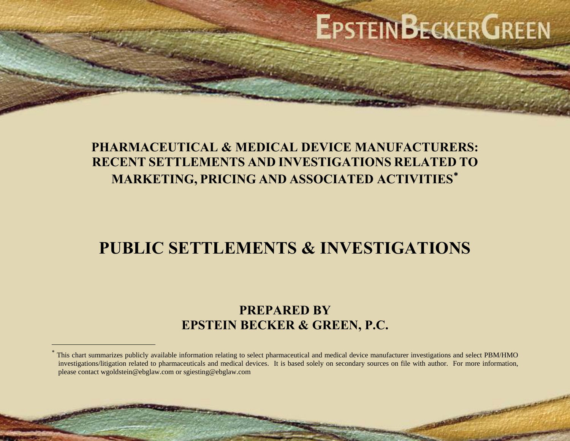# **EPSTEINBECKERGREEN**

## **PHARMACEUTICAL & MEDICAL DEVICE MANUFACTURERS: RECENT SETTLEMENTS AND INVESTIGATIONS RELATED TOMARKETING, PRICING AND ASSOCIATED ACTIVITIES** [∗](#page-0-0)

## **PUBLIC SETTLEMENTS & INVESTIGATIONS**

## **PREPARED BY EPSTEIN BECKER & GREEN, P.C.**

<span id="page-0-0"></span>This chart summarizes publicly available information relating to select pharmaceutical and medical device manufacturer investigations and select PBM/HMO investigations/litigation related to pharmaceuticals and medical devices. It is based solely on secondary sources on file with author. For more information, please contact wgoldstein@ebglaw.com or sgiesting@ebglaw.com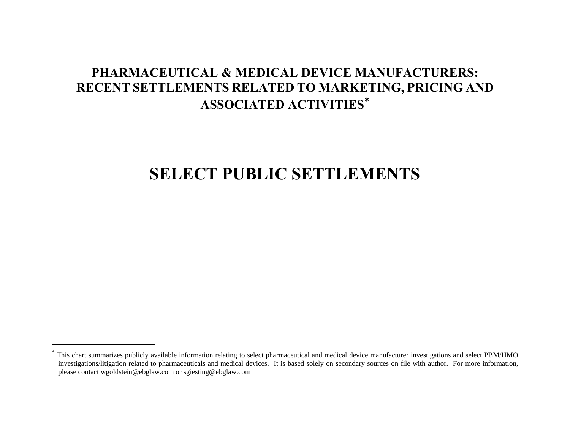## **SELECT PUBLIC SETTLEMENTS**

<span id="page-1-0"></span>This chart summarizes publicly available information relating to select pharmaceutical and medical device manufacturer investigations and select PBM/HMO investigations/litigation related to pharmaceuticals and medical devices. It is based solely on secondary sources on file with author. For more information, please contact wgoldstein@ebglaw.com or sgiesting@ebglaw.com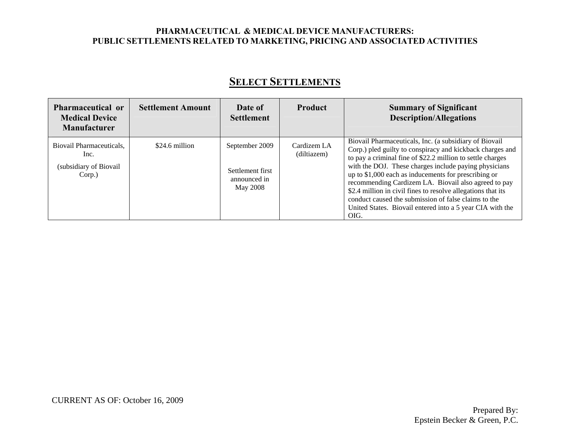| <b>Pharmaceutical or</b><br><b>Medical Device</b><br><b>Manufacturer</b> | <b>Settlement Amount</b> | Date of<br><b>Settlement</b>                                   | <b>Product</b>             | <b>Summary of Significant</b><br><b>Description/Allegations</b>                                                                                                                                                                                                                                                                                                                                                                                                                                                                                          |
|--------------------------------------------------------------------------|--------------------------|----------------------------------------------------------------|----------------------------|----------------------------------------------------------------------------------------------------------------------------------------------------------------------------------------------------------------------------------------------------------------------------------------------------------------------------------------------------------------------------------------------------------------------------------------------------------------------------------------------------------------------------------------------------------|
| Biovail Pharmaceuticals,<br>Inc.<br>(subsidiary of Biovail<br>Corp.)     | \$24.6 million           | September 2009<br>Settlement first<br>announced in<br>May 2008 | Cardizem LA<br>(diltiazem) | Biovail Pharmaceuticals, Inc. (a subsidiary of Biovail<br>Corp.) pled guilty to conspiracy and kickback charges and<br>to pay a criminal fine of \$22.2 million to settle charges<br>with the DOJ. These charges include paying physicians<br>up to $$1,000$ each as inducements for prescribing or<br>recommending Cardizem LA. Biovail also agreed to pay<br>\$2.4 million in civil fines to resolve allegations that its<br>conduct caused the submission of false claims to the<br>United States. Biovail entered into a 5 year CIA with the<br>OIG. |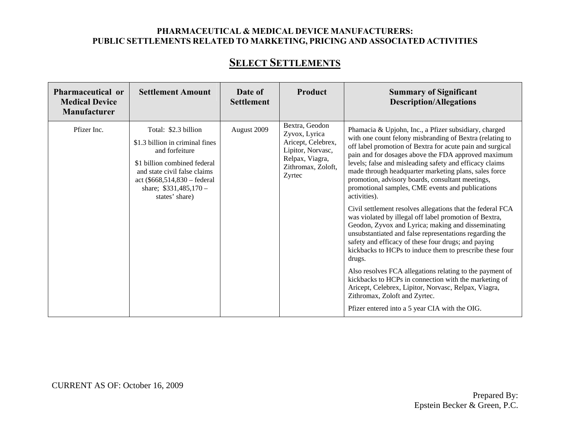## **SELECT SETTLEMENTS**

| Pharmaceutical or<br><b>Medical Device</b><br><b>Manufacturer</b> | <b>Settlement Amount</b>                                                                                                                                                                                              | Date of<br><b>Settlement</b> | Product                                                                                                                       | <b>Summary of Significant</b><br><b>Description/Allegations</b>                                                                                                                                                                                                                                                                                                                                                                                                                                                                                                                                                                                                                                                                                                                                                                                                                                                                                                                                                                                                                                                         |
|-------------------------------------------------------------------|-----------------------------------------------------------------------------------------------------------------------------------------------------------------------------------------------------------------------|------------------------------|-------------------------------------------------------------------------------------------------------------------------------|-------------------------------------------------------------------------------------------------------------------------------------------------------------------------------------------------------------------------------------------------------------------------------------------------------------------------------------------------------------------------------------------------------------------------------------------------------------------------------------------------------------------------------------------------------------------------------------------------------------------------------------------------------------------------------------------------------------------------------------------------------------------------------------------------------------------------------------------------------------------------------------------------------------------------------------------------------------------------------------------------------------------------------------------------------------------------------------------------------------------------|
| Pfizer Inc.                                                       | Total: \$2.3 billion<br>\$1.3 billion in criminal fines<br>and forfeiture<br>\$1 billion combined federal<br>and state civil false claims<br>act (\$668,514,830 – federal<br>share; $$331,485,170-$<br>states' share) | August 2009                  | Bextra, Geodon<br>Zyvox, Lyrica<br>Aricept, Celebrex,<br>Lipitor, Norvasc,<br>Relpax, Viagra,<br>Zithromax, Zoloft,<br>Zyrtec | Phamacia & Upjohn, Inc., a Pfizer subsidiary, charged<br>with one count felony misbranding of Bextra (relating to<br>off label promotion of Bextra for acute pain and surgical<br>pain and for dosages above the FDA approved maximum<br>levels; false and misleading safety and efficacy claims<br>made through headquarter marketing plans, sales force<br>promotion, advisory boards, consultant meetings,<br>promotional samples, CME events and publications<br>activities).<br>Civil settlement resolves allegations that the federal FCA<br>was violated by illegal off label promotion of Bextra,<br>Geodon, Zyvox and Lyrica; making and disseminating<br>unsubstantiated and false representations regarding the<br>safety and efficacy of these four drugs; and paying<br>kickbacks to HCPs to induce them to prescribe these four<br>drugs.<br>Also resolves FCA allegations relating to the payment of<br>kickbacks to HCPs in connection with the marketing of<br>Aricept, Celebrex, Lipitor, Norvasc, Relpax, Viagra,<br>Zithromax, Zoloft and Zyrtec.<br>Pfizer entered into a 5 year CIA with the OIG. |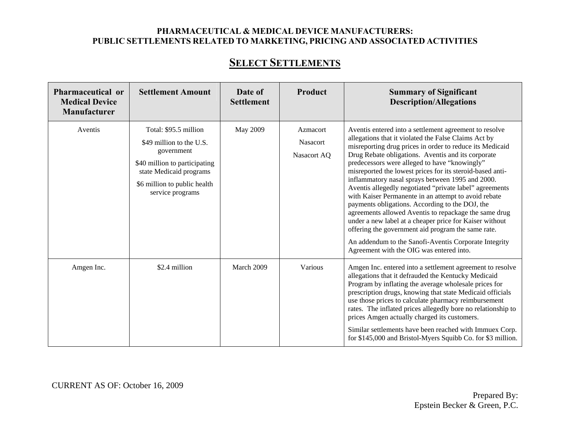## **SELECT SETTLEMENTS**

| <b>Pharmaceutical or</b><br><b>Medical Device</b><br>Manufacturer | <b>Settlement Amount</b>                                                                                                                                                        | Date of<br><b>Settlement</b> | Product                                    | <b>Summary of Significant</b><br><b>Description/Allegations</b>                                                                                                                                                                                                                                                                                                                                                                                                                                                                                                                                                                                                                                                                                                                                                                                         |
|-------------------------------------------------------------------|---------------------------------------------------------------------------------------------------------------------------------------------------------------------------------|------------------------------|--------------------------------------------|---------------------------------------------------------------------------------------------------------------------------------------------------------------------------------------------------------------------------------------------------------------------------------------------------------------------------------------------------------------------------------------------------------------------------------------------------------------------------------------------------------------------------------------------------------------------------------------------------------------------------------------------------------------------------------------------------------------------------------------------------------------------------------------------------------------------------------------------------------|
| Aventis                                                           | Total: \$95.5 million<br>\$49 million to the U.S.<br>government<br>\$40 million to participating<br>state Medicaid programs<br>\$6 million to public health<br>service programs | May 2009                     | Azmacort<br><b>Nasacort</b><br>Nasacort AQ | Aventis entered into a settlement agreement to resolve<br>allegations that it violated the False Claims Act by<br>misreporting drug prices in order to reduce its Medicaid<br>Drug Rebate obligations. Aventis and its corporate<br>predecessors were alleged to have "knowingly"<br>misreported the lowest prices for its steroid-based anti-<br>inflammatory nasal sprays between 1995 and 2000.<br>Aventis allegedly negotiated "private label" agreements<br>with Kaiser Permanente in an attempt to avoid rebate<br>payments obligations. According to the DOJ, the<br>agreements allowed Aventis to repackage the same drug<br>under a new label at a cheaper price for Kaiser without<br>offering the government aid program the same rate.<br>An addendum to the Sanofi-Aventis Corporate Integrity<br>Agreement with the OIG was entered into. |
| Amgen Inc.                                                        | \$2.4 million                                                                                                                                                                   | March 2009                   | Various                                    | Amgen Inc. entered into a settlement agreement to resolve<br>allegations that it defrauded the Kentucky Medicaid<br>Program by inflating the average wholesale prices for<br>prescription drugs, knowing that state Medicaid officials<br>use those prices to calculate pharmacy reimbursement<br>rates. The inflated prices allegedly bore no relationship to<br>prices Amgen actually charged its customers.<br>Similar settlements have been reached with Immuex Corp.<br>for \$145,000 and Bristol-Myers Squibb Co. for \$3 million.                                                                                                                                                                                                                                                                                                                |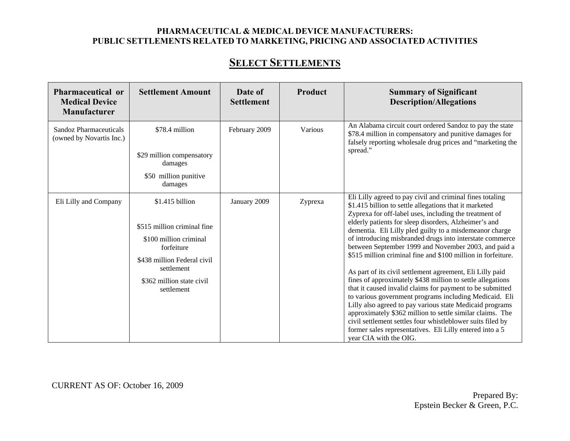## **SELECT SETTLEMENTS**

| Pharmaceutical or<br><b>Medical Device</b><br><b>Manufacturer</b> | <b>Settlement Amount</b>                                                                                                                                                       | Date of<br><b>Settlement</b> | Product | <b>Summary of Significant</b><br><b>Description/Allegations</b>                                                                                                                                                                                                                                                                                                                                                                                                                                                                                                                                                                                                                                                                                                                                                                                                                                                                                                                                                      |
|-------------------------------------------------------------------|--------------------------------------------------------------------------------------------------------------------------------------------------------------------------------|------------------------------|---------|----------------------------------------------------------------------------------------------------------------------------------------------------------------------------------------------------------------------------------------------------------------------------------------------------------------------------------------------------------------------------------------------------------------------------------------------------------------------------------------------------------------------------------------------------------------------------------------------------------------------------------------------------------------------------------------------------------------------------------------------------------------------------------------------------------------------------------------------------------------------------------------------------------------------------------------------------------------------------------------------------------------------|
| <b>Sandoz Pharmaceuticals</b><br>(owned by Novartis Inc.)         | \$78.4 million<br>\$29 million compensatory<br>damages<br>\$50 million punitive<br>damages                                                                                     | February 2009                | Various | An Alabama circuit court ordered Sandoz to pay the state<br>\$78.4 million in compensatory and punitive damages for<br>falsely reporting wholesale drug prices and "marketing the<br>spread."                                                                                                                                                                                                                                                                                                                                                                                                                                                                                                                                                                                                                                                                                                                                                                                                                        |
| Eli Lilly and Company                                             | \$1.415 billion<br>\$515 million criminal fine<br>\$100 million criminal<br>forfeiture<br>\$438 million Federal civil<br>settlement<br>\$362 million state civil<br>settlement | January 2009                 | Zyprexa | Eli Lilly agreed to pay civil and criminal fines totaling<br>\$1.415 billion to settle allegations that it marketed<br>Zyprexa for off-label uses, including the treatment of<br>elderly patients for sleep disorders, Alzheimer's and<br>dementia. Eli Lilly pled guilty to a misdemeanor charge<br>of introducing misbranded drugs into interstate commerce<br>between September 1999 and November 2003, and paid a<br>\$515 million criminal fine and \$100 million in forfeiture.<br>As part of its civil settlement agreement, Eli Lilly paid<br>fines of approximately \$438 million to settle allegations<br>that it caused invalid claims for payment to be submitted<br>to various government programs including Medicaid. Eli<br>Lilly also agreed to pay various state Medicaid programs<br>approximately \$362 million to settle similar claims. The<br>civil settlement settles four whistleblower suits filed by<br>former sales representatives. Eli Lilly entered into a 5<br>year CIA with the OIG. |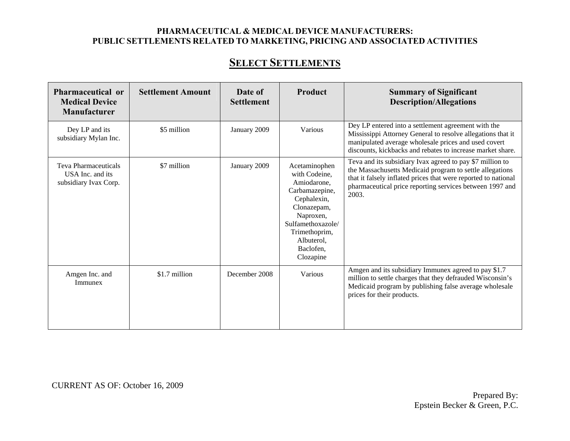| Pharmaceutical or<br><b>Medical Device</b><br><b>Manufacturer</b> | <b>Settlement Amount</b> | Date of<br><b>Settlement</b> | Product                                                                                                                                                                                  | <b>Summary of Significant</b><br><b>Description/Allegations</b>                                                                                                                                                                                              |
|-------------------------------------------------------------------|--------------------------|------------------------------|------------------------------------------------------------------------------------------------------------------------------------------------------------------------------------------|--------------------------------------------------------------------------------------------------------------------------------------------------------------------------------------------------------------------------------------------------------------|
| Dey LP and its<br>subsidiary Mylan Inc.                           | \$5 million              | January 2009                 | Various                                                                                                                                                                                  | Dey LP entered into a settlement agreement with the<br>Mississippi Attorney General to resolve allegations that it<br>manipulated average wholesale prices and used covert<br>discounts, kickbacks and rebates to increase market share.                     |
| Teva Pharmaceuticals<br>USA Inc. and its<br>subsidiary Ivax Corp. | \$7 million              | January 2009                 | Acetaminophen<br>with Codeine,<br>Amiodarone.<br>Carbamazepine,<br>Cephalexin,<br>Clonazepam,<br>Naproxen,<br>Sulfamethoxazole/<br>Trimethoprim,<br>Albuterol,<br>Baclofen,<br>Clozapine | Teva and its subsidiary Ivax agreed to pay \$7 million to<br>the Massachusetts Medicaid program to settle allegations<br>that it falsely inflated prices that were reported to national<br>pharmaceutical price reporting services between 1997 and<br>2003. |
| Amgen Inc. and<br>Immunex                                         | \$1.7 million            | December 2008                | Various                                                                                                                                                                                  | Amgen and its subsidiary Immunex agreed to pay \$1.7<br>million to settle charges that they defrauded Wisconsin's<br>Medicaid program by publishing false average wholesale<br>prices for their products.                                                    |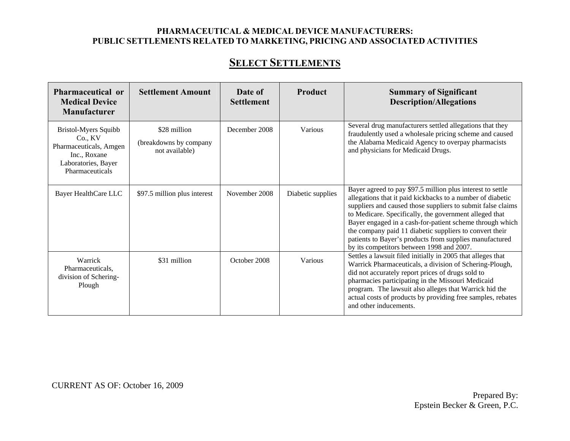| Pharmaceutical or<br><b>Medical Device</b><br><b>Manufacturer</b>                                                   | <b>Settlement Amount</b>                                 | Date of<br><b>Settlement</b> | Product           | <b>Summary of Significant</b><br><b>Description/Allegations</b>                                                                                                                                                                                                                                                                                                                                                                                                                  |
|---------------------------------------------------------------------------------------------------------------------|----------------------------------------------------------|------------------------------|-------------------|----------------------------------------------------------------------------------------------------------------------------------------------------------------------------------------------------------------------------------------------------------------------------------------------------------------------------------------------------------------------------------------------------------------------------------------------------------------------------------|
| Bristol-Myers Squibb<br>Co., KV<br>Pharmaceuticals, Amgen<br>Inc., Roxane<br>Laboratories, Bayer<br>Pharmaceuticals | \$28 million<br>(breakdowns by company<br>not available) | December 2008                | Various           | Several drug manufacturers settled allegations that they<br>fraudulently used a wholesale pricing scheme and caused<br>the Alabama Medicaid Agency to overpay pharmacists<br>and physicians for Medicaid Drugs.                                                                                                                                                                                                                                                                  |
| Bayer HealthCare LLC                                                                                                | \$97.5 million plus interest                             | November 2008                | Diabetic supplies | Bayer agreed to pay \$97.5 million plus interest to settle<br>allegations that it paid kickbacks to a number of diabetic<br>suppliers and caused those suppliers to submit false claims<br>to Medicare. Specifically, the government alleged that<br>Bayer engaged in a cash-for-patient scheme through which<br>the company paid 11 diabetic suppliers to convert their<br>patients to Bayer's products from supplies manufactured<br>by its competitors between 1998 and 2007. |
| Warrick<br>Pharmaceuticals,<br>division of Schering-<br>Plough                                                      | \$31 million                                             | October 2008                 | Various           | Settles a lawsuit filed initially in 2005 that alleges that<br>Warrick Pharmaceuticals, a division of Schering-Plough,<br>did not accurately report prices of drugs sold to<br>pharmacies participating in the Missouri Medicaid<br>program. The lawsuit also alleges that Warrick hid the<br>actual costs of products by providing free samples, rebates<br>and other inducements.                                                                                              |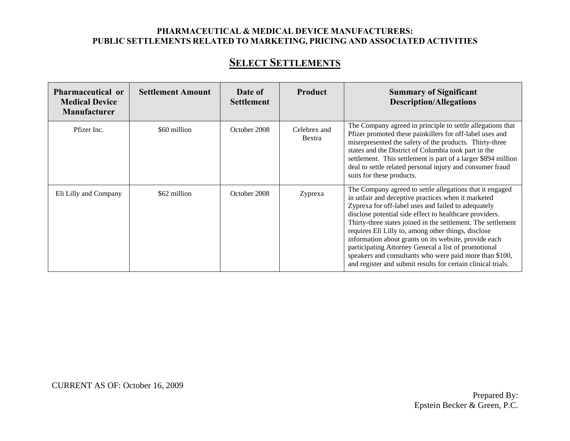| Pharmaceutical or<br><b>Medical Device</b><br><b>Manufacturer</b> | <b>Settlement Amount</b> | Date of<br><b>Settlement</b> | <b>Product</b>         | <b>Summary of Significant</b><br><b>Description/Allegations</b>                                                                                                                                                                                                                                                                                                                                                                                                                                                                                                                                     |
|-------------------------------------------------------------------|--------------------------|------------------------------|------------------------|-----------------------------------------------------------------------------------------------------------------------------------------------------------------------------------------------------------------------------------------------------------------------------------------------------------------------------------------------------------------------------------------------------------------------------------------------------------------------------------------------------------------------------------------------------------------------------------------------------|
| Pfizer Inc.                                                       | \$60 million             | October 2008                 | Celebrex and<br>Bextra | The Company agreed in principle to settle allegations that<br>Pfizer promoted these painkillers for off-label uses and<br>misrepresented the safety of the products. Thirty-three<br>states and the District of Columbia took part in the<br>settlement. This settlement is part of a larger \$894 million<br>deal to settle related personal injury and consumer fraud<br>suits for these products.                                                                                                                                                                                                |
| Eli Lilly and Company                                             | \$62 million             | October 2008                 | Zyprexa                | The Company agreed to settle allegations that it engaged<br>in unfair and deceptive practices when it marketed<br>Zyprexa for off-label uses and failed to adequately<br>disclose potential side effect to healthcare providers.<br>Thirty-three states joined in the settlement. The settlement<br>requires Eli Lilly to, among other things, disclose<br>information about grants on its website, provide each<br>participating Attorney General a list of promotional<br>speakers and consultants who were paid more than \$100,<br>and register and submit results for certain clinical trials. |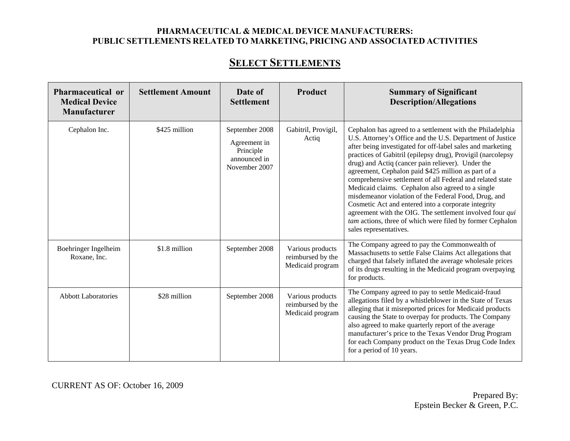## **SELECT SETTLEMENTS**

| <b>Pharmaceutical or</b><br><b>Medical Device</b><br><b>Manufacturer</b> | <b>Settlement Amount</b> | Date of<br><b>Settlement</b>                                                 | Product                                                   | <b>Summary of Significant</b><br><b>Description/Allegations</b>                                                                                                                                                                                                                                                                                                                                                                                                                                                                                                                                                                                                                                                                                     |
|--------------------------------------------------------------------------|--------------------------|------------------------------------------------------------------------------|-----------------------------------------------------------|-----------------------------------------------------------------------------------------------------------------------------------------------------------------------------------------------------------------------------------------------------------------------------------------------------------------------------------------------------------------------------------------------------------------------------------------------------------------------------------------------------------------------------------------------------------------------------------------------------------------------------------------------------------------------------------------------------------------------------------------------------|
| Cephalon Inc.                                                            | \$425 million            | September 2008<br>Agreement in<br>Principle<br>announced in<br>November 2007 | Gabitril, Provigil,<br>Actiq                              | Cephalon has agreed to a settlement with the Philadelphia<br>U.S. Attorney's Office and the U.S. Department of Justice<br>after being investigated for off-label sales and marketing<br>practices of Gabitril (epilepsy drug), Provigil (narcolepsy<br>drug) and Actiq (cancer pain reliever). Under the<br>agreement, Cephalon paid \$425 million as part of a<br>comprehensive settlement of all Federal and related state<br>Medicaid claims. Cephalon also agreed to a single<br>misdemeanor violation of the Federal Food, Drug, and<br>Cosmetic Act and entered into a corporate integrity<br>agreement with the OIG. The settlement involved four qui<br>tam actions, three of which were filed by former Cephalon<br>sales representatives. |
| Boehringer Ingelheim<br>Roxane, Inc.                                     | \$1.8 million            | September 2008                                                               | Various products<br>reimbursed by the<br>Medicaid program | The Company agreed to pay the Commonwealth of<br>Massachusetts to settle False Claims Act allegations that<br>charged that falsely inflated the average wholesale prices<br>of its drugs resulting in the Medicaid program overpaying<br>for products.                                                                                                                                                                                                                                                                                                                                                                                                                                                                                              |
| <b>Abbott Laboratories</b>                                               | \$28 million             | September 2008                                                               | Various products<br>reimbursed by the<br>Medicaid program | The Company agreed to pay to settle Medicaid-fraud<br>allegations filed by a whistleblower in the State of Texas<br>alleging that it misreported prices for Medicaid products<br>causing the State to overpay for products. The Company<br>also agreed to make quarterly report of the average<br>manufacturer's price to the Texas Vendor Drug Program<br>for each Company product on the Texas Drug Code Index<br>for a period of 10 years.                                                                                                                                                                                                                                                                                                       |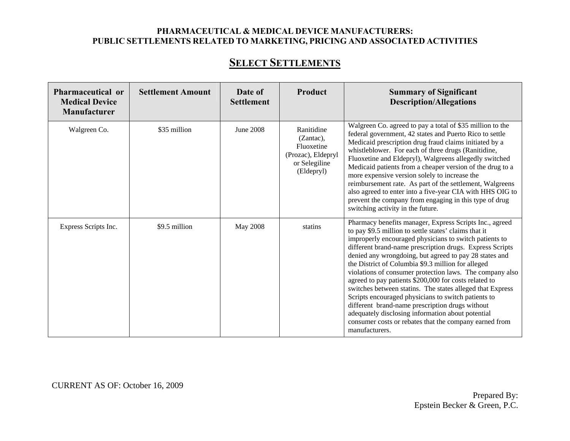## **SELECT SETTLEMENTS**

| Pharmaceutical or<br><b>Medical Device</b><br>Manufacturer | <b>Settlement Amount</b> | Date of<br><b>Settlement</b> | Product                                                                                    | <b>Summary of Significant</b><br><b>Description/Allegations</b>                                                                                                                                                                                                                                                                                                                                                                                                                                                                                                                                                                                                                                                                                                                     |
|------------------------------------------------------------|--------------------------|------------------------------|--------------------------------------------------------------------------------------------|-------------------------------------------------------------------------------------------------------------------------------------------------------------------------------------------------------------------------------------------------------------------------------------------------------------------------------------------------------------------------------------------------------------------------------------------------------------------------------------------------------------------------------------------------------------------------------------------------------------------------------------------------------------------------------------------------------------------------------------------------------------------------------------|
| Walgreen Co.                                               | \$35 million             | <b>June 2008</b>             | Ranitidine<br>(Zantac),<br>Fluoxetine<br>(Prozac), Eldepryl<br>or Selegiline<br>(Eldepryl) | Walgreen Co. agreed to pay a total of \$35 million to the<br>federal government, 42 states and Puerto Rico to settle<br>Medicaid prescription drug fraud claims initiated by a<br>whistleblower. For each of three drugs (Ranitidine,<br>Fluoxetine and Eldepryl), Walgreens allegedly switched<br>Medicaid patients from a cheaper version of the drug to a<br>more expensive version solely to increase the<br>reimbursement rate. As part of the settlement, Walgreens<br>also agreed to enter into a five-year CIA with HHS OIG to<br>prevent the company from engaging in this type of drug<br>switching activity in the future.                                                                                                                                               |
| Express Scripts Inc.                                       | \$9.5 million            | May 2008                     | statins                                                                                    | Pharmacy benefits manager, Express Scripts Inc., agreed<br>to pay \$9.5 million to settle states' claims that it<br>improperly encouraged physicians to switch patients to<br>different brand-name prescription drugs. Express Scripts<br>denied any wrongdoing, but agreed to pay 28 states and<br>the District of Columbia \$9.3 million for alleged<br>violations of consumer protection laws. The company also<br>agreed to pay patients \$200,000 for costs related to<br>switches between statins. The states alleged that Express<br>Scripts encouraged physicians to switch patients to<br>different brand-name prescription drugs without<br>adequately disclosing information about potential<br>consumer costs or rebates that the company earned from<br>manufacturers. |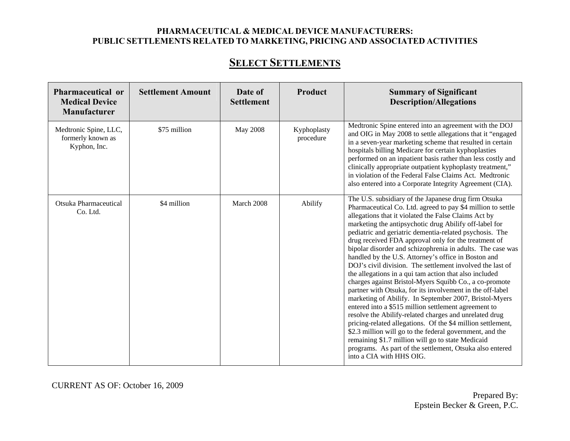## **SELECT SETTLEMENTS**

| <b>Pharmaceutical or</b><br><b>Medical Device</b><br><b>Manufacturer</b> | <b>Settlement Amount</b> | Date of<br><b>Settlement</b> | Product                  | <b>Summary of Significant</b><br><b>Description/Allegations</b>                                                                                                                                                                                                                                                                                                                                                                                                                                                                                                                                                                                                                                                                                                                                                                                                                                                                                                                                                                                                                                                                                                                 |
|--------------------------------------------------------------------------|--------------------------|------------------------------|--------------------------|---------------------------------------------------------------------------------------------------------------------------------------------------------------------------------------------------------------------------------------------------------------------------------------------------------------------------------------------------------------------------------------------------------------------------------------------------------------------------------------------------------------------------------------------------------------------------------------------------------------------------------------------------------------------------------------------------------------------------------------------------------------------------------------------------------------------------------------------------------------------------------------------------------------------------------------------------------------------------------------------------------------------------------------------------------------------------------------------------------------------------------------------------------------------------------|
| Medtronic Spine, LLC,<br>formerly known as<br>Kyphon, Inc.               | \$75 million             | May 2008                     | Kyphoplasty<br>procedure | Medtronic Spine entered into an agreement with the DOJ<br>and OIG in May 2008 to settle allegations that it "engaged<br>in a seven-year marketing scheme that resulted in certain<br>hospitals billing Medicare for certain kyphoplasties<br>performed on an inpatient basis rather than less costly and<br>clinically appropriate outpatient kyphoplasty treatment,"<br>in violation of the Federal False Claims Act. Medtronic<br>also entered into a Corporate Integrity Agreement (CIA).                                                                                                                                                                                                                                                                                                                                                                                                                                                                                                                                                                                                                                                                                    |
| Otsuka Pharmaceutical<br>Co. Ltd.                                        | \$4 million              | March 2008                   | Abilify                  | The U.S. subsidiary of the Japanese drug firm Otsuka<br>Pharmaceutical Co. Ltd. agreed to pay \$4 million to settle<br>allegations that it violated the False Claims Act by<br>marketing the antipsychotic drug Abilify off-label for<br>pediatric and geriatric dementia-related psychosis. The<br>drug received FDA approval only for the treatment of<br>bipolar disorder and schizophrenia in adults. The case was<br>handled by the U.S. Attorney's office in Boston and<br>DOJ's civil division. The settlement involved the last of<br>the allegations in a qui tam action that also included<br>charges against Bristol-Myers Squibb Co., a co-promote<br>partner with Otsuka, for its involvement in the off-label<br>marketing of Abilify. In September 2007, Bristol-Myers<br>entered into a \$515 million settlement agreement to<br>resolve the Abilify-related charges and unrelated drug<br>pricing-related allegations. Of the \$4 million settlement,<br>\$2.3 million will go to the federal government, and the<br>remaining \$1.7 million will go to state Medicaid<br>programs. As part of the settlement, Otsuka also entered<br>into a CIA with HHS OIG. |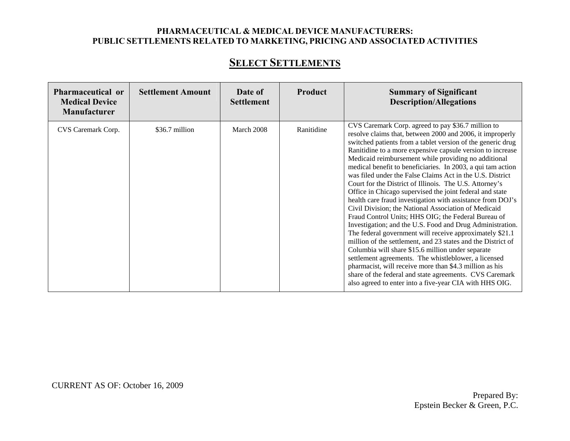## **SELECT SETTLEMENTS**

| Pharmaceutical or<br><b>Medical Device</b><br><b>Manufacturer</b> | <b>Settlement Amount</b> | Date of<br><b>Settlement</b> | Product    | <b>Summary of Significant</b><br><b>Description/Allegations</b>                                                                                                                                                                                                                                                                                                                                                                                                                                                                                                                                                                                                                                                                                                                                                                                                                                                                                                                                                                                                                                                                                                                                                             |
|-------------------------------------------------------------------|--------------------------|------------------------------|------------|-----------------------------------------------------------------------------------------------------------------------------------------------------------------------------------------------------------------------------------------------------------------------------------------------------------------------------------------------------------------------------------------------------------------------------------------------------------------------------------------------------------------------------------------------------------------------------------------------------------------------------------------------------------------------------------------------------------------------------------------------------------------------------------------------------------------------------------------------------------------------------------------------------------------------------------------------------------------------------------------------------------------------------------------------------------------------------------------------------------------------------------------------------------------------------------------------------------------------------|
| CVS Caremark Corp.                                                | \$36.7 million           | March 2008                   | Ranitidine | CVS Caremark Corp. agreed to pay \$36.7 million to<br>resolve claims that, between 2000 and 2006, it improperly<br>switched patients from a tablet version of the generic drug<br>Ranitidine to a more expensive capsule version to increase<br>Medicaid reimbursement while providing no additional<br>medical benefit to beneficiaries. In 2003, a qui tam action<br>was filed under the False Claims Act in the U.S. District<br>Court for the District of Illinois. The U.S. Attorney's<br>Office in Chicago supervised the joint federal and state<br>health care fraud investigation with assistance from DOJ's<br>Civil Division; the National Association of Medicaid<br>Fraud Control Units; HHS OIG; the Federal Bureau of<br>Investigation; and the U.S. Food and Drug Administration.<br>The federal government will receive approximately \$21.1<br>million of the settlement, and 23 states and the District of<br>Columbia will share \$15.6 million under separate<br>settlement agreements. The whistleblower, a licensed<br>pharmacist, will receive more than \$4.3 million as his<br>share of the federal and state agreements. CVS Caremark<br>also agreed to enter into a five-year CIA with HHS OIG. |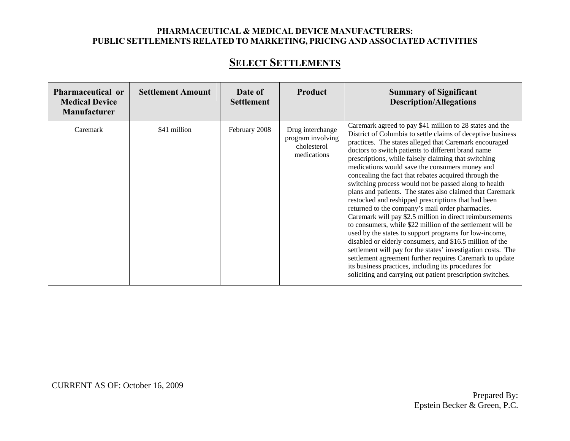| <b>Pharmaceutical or</b><br><b>Medical Device</b><br><b>Manufacturer</b> | <b>Settlement Amount</b> | Date of<br><b>Settlement</b> | Product                                                             | <b>Summary of Significant</b><br><b>Description/Allegations</b>                                                                                                                                                                                                                                                                                                                                                                                                                                                                                                                                                                                                                                                                                                                                                                                                                                                                                                                                                                                                                                                                               |
|--------------------------------------------------------------------------|--------------------------|------------------------------|---------------------------------------------------------------------|-----------------------------------------------------------------------------------------------------------------------------------------------------------------------------------------------------------------------------------------------------------------------------------------------------------------------------------------------------------------------------------------------------------------------------------------------------------------------------------------------------------------------------------------------------------------------------------------------------------------------------------------------------------------------------------------------------------------------------------------------------------------------------------------------------------------------------------------------------------------------------------------------------------------------------------------------------------------------------------------------------------------------------------------------------------------------------------------------------------------------------------------------|
| Caremark                                                                 | \$41 million             | February 2008                | Drug interchange<br>program involving<br>cholesterol<br>medications | Caremark agreed to pay \$41 million to 28 states and the<br>District of Columbia to settle claims of deceptive business<br>practices. The states alleged that Caremark encouraged<br>doctors to switch patients to different brand name<br>prescriptions, while falsely claiming that switching<br>medications would save the consumers money and<br>concealing the fact that rebates acquired through the<br>switching process would not be passed along to health<br>plans and patients. The states also claimed that Caremark<br>restocked and reshipped prescriptions that had been<br>returned to the company's mail order pharmacies.<br>Caremark will pay \$2.5 million in direct reimbursements<br>to consumers, while \$22 million of the settlement will be<br>used by the states to support programs for low-income,<br>disabled or elderly consumers, and \$16.5 million of the<br>settlement will pay for the states' investigation costs. The<br>settlement agreement further requires Caremark to update<br>its business practices, including its procedures for<br>soliciting and carrying out patient prescription switches. |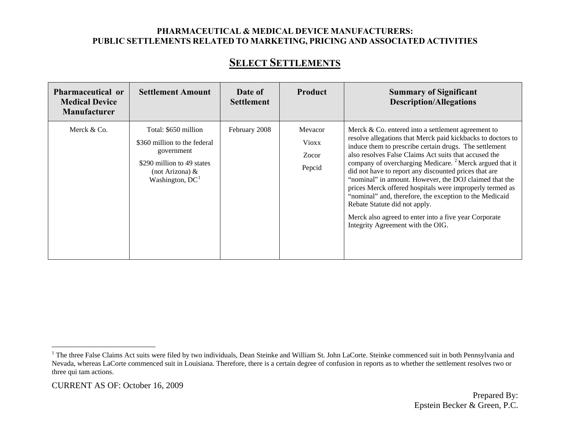| <b>Pharmaceutical or</b><br><b>Medical Device</b><br><b>Manufacturer</b> | <b>Settlement Amount</b>                                                                                                                    | Date of<br><b>Settlement</b> | Product                             | <b>Summary of Significant</b><br><b>Description/Allegations</b>                                                                                                                                                                                                                                                                                                                                                                                                                                                                                                                                                                                                                        |
|--------------------------------------------------------------------------|---------------------------------------------------------------------------------------------------------------------------------------------|------------------------------|-------------------------------------|----------------------------------------------------------------------------------------------------------------------------------------------------------------------------------------------------------------------------------------------------------------------------------------------------------------------------------------------------------------------------------------------------------------------------------------------------------------------------------------------------------------------------------------------------------------------------------------------------------------------------------------------------------------------------------------|
| Merck & Co.                                                              | Total: \$650 million<br>\$360 million to the federal<br>government<br>\$290 million to 49 states<br>(not Arizona) $\&$<br>Washington, $DC1$ | February 2008                | Mevacor<br>Vioxx<br>Zocor<br>Pepcid | Merck $& Co.$ entered into a settlement agreement to<br>resolve allegations that Merck paid kickbacks to doctors to<br>induce them to prescribe certain drugs. The settlement<br>also resolves False Claims Act suits that accused the<br>company of overcharging Medicare. <sup>2</sup> Merck argued that it<br>did not have to report any discounted prices that are<br>"nominal" in amount. However, the DOJ claimed that the<br>prices Merck offered hospitals were improperly termed as<br>"nominal" and, therefore, the exception to the Medicaid<br>Rebate Statute did not apply.<br>Merck also agreed to enter into a five year Corporate<br>Integrity Agreement with the OIG. |

<span id="page-14-0"></span><sup>&</sup>lt;sup>1</sup> The three False Claims Act suits were filed by two individuals, Dean Steinke and William St. John LaCorte. Steinke commenced suit in both Pennsylvania and Nevada, whereas LaCorte commenced suit in Louisiana. Therefore, there is a certain degree of confusion in reports as to whether the settlement resolves two or three qui tam actions.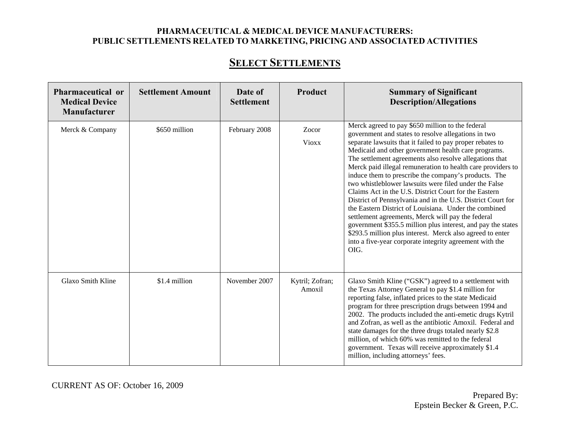## **SELECT SETTLEMENTS**

| <b>Pharmaceutical or</b><br><b>Medical Device</b><br><b>Manufacturer</b> | <b>Settlement Amount</b> | Date of<br><b>Settlement</b> | Product                   | <b>Summary of Significant</b><br><b>Description/Allegations</b>                                                                                                                                                                                                                                                                                                                                                                                                                                                                                                                                                                                                                                                                                                                                                                                                                                              |
|--------------------------------------------------------------------------|--------------------------|------------------------------|---------------------------|--------------------------------------------------------------------------------------------------------------------------------------------------------------------------------------------------------------------------------------------------------------------------------------------------------------------------------------------------------------------------------------------------------------------------------------------------------------------------------------------------------------------------------------------------------------------------------------------------------------------------------------------------------------------------------------------------------------------------------------------------------------------------------------------------------------------------------------------------------------------------------------------------------------|
| Merck & Company                                                          | \$650 million            | February 2008                | Zocor<br><b>Vioxx</b>     | Merck agreed to pay \$650 million to the federal<br>government and states to resolve allegations in two<br>separate lawsuits that it failed to pay proper rebates to<br>Medicaid and other government health care programs.<br>The settlement agreements also resolve allegations that<br>Merck paid illegal remuneration to health care providers to<br>induce them to prescribe the company's products. The<br>two whistleblower lawsuits were filed under the False<br>Claims Act in the U.S. District Court for the Eastern<br>District of Pennsylvania and in the U.S. District Court for<br>the Eastern District of Louisiana. Under the combined<br>settlement agreements, Merck will pay the federal<br>government \$355.5 million plus interest, and pay the states<br>\$293.5 million plus interest. Merck also agreed to enter<br>into a five-year corporate integrity agreement with the<br>OIG. |
| Glaxo Smith Kline                                                        | \$1.4 million            | November 2007                | Kytril; Zofran;<br>Amoxil | Glaxo Smith Kline ("GSK") agreed to a settlement with<br>the Texas Attorney General to pay \$1.4 million for<br>reporting false, inflated prices to the state Medicaid<br>program for three prescription drugs between 1994 and<br>2002. The products included the anti-emetic drugs Kytril<br>and Zofran, as well as the antibiotic Amoxil. Federal and<br>state damages for the three drugs totaled nearly \$2.8<br>million, of which 60% was remitted to the federal<br>government. Texas will receive approximately \$1.4<br>million, including attorneys' fees.                                                                                                                                                                                                                                                                                                                                         |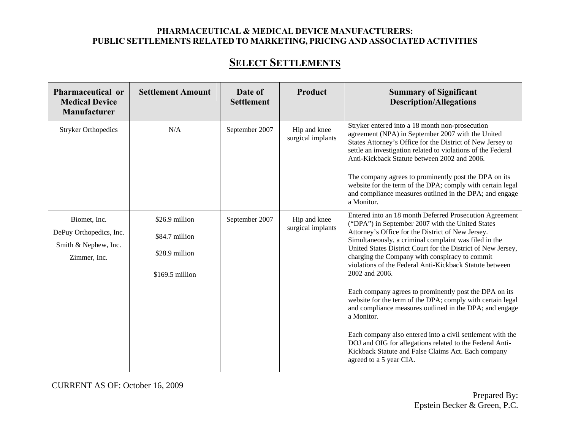## **SELECT SETTLEMENTS**

| Pharmaceutical or<br><b>Medical Device</b><br>Manufacturer | <b>Settlement Amount</b> | Date of<br><b>Settlement</b> | Product                           | <b>Summary of Significant</b><br><b>Description/Allegations</b>                                                                                                                                                                                                                                                                                                                                           |
|------------------------------------------------------------|--------------------------|------------------------------|-----------------------------------|-----------------------------------------------------------------------------------------------------------------------------------------------------------------------------------------------------------------------------------------------------------------------------------------------------------------------------------------------------------------------------------------------------------|
| <b>Stryker Orthopedics</b>                                 | N/A                      | September 2007               | Hip and knee<br>surgical implants | Stryker entered into a 18 month non-prosecution<br>agreement (NPA) in September 2007 with the United<br>States Attorney's Office for the District of New Jersey to<br>settle an investigation related to violations of the Federal<br>Anti-Kickback Statute between 2002 and 2006.<br>The company agrees to prominently post the DPA on its<br>website for the term of the DPA; comply with certain legal |
|                                                            |                          |                              |                                   | and compliance measures outlined in the DPA; and engage<br>a Monitor.                                                                                                                                                                                                                                                                                                                                     |
| Biomet, Inc.                                               | \$26.9 million           | September 2007               | Hip and knee                      | Entered into an 18 month Deferred Prosecution Agreement<br>("DPA") in September 2007 with the United States                                                                                                                                                                                                                                                                                               |
| DePuy Orthopedics, Inc.                                    | \$84.7 million           |                              | surgical implants                 | Attorney's Office for the District of New Jersey.<br>Simultaneously, a criminal complaint was filed in the                                                                                                                                                                                                                                                                                                |
| Smith & Nephew, Inc.<br>Zimmer, Inc.                       | \$28.9 million           |                              |                                   | United States District Court for the District of New Jersey,<br>charging the Company with conspiracy to commit<br>violations of the Federal Anti-Kickback Statute between                                                                                                                                                                                                                                 |
|                                                            | $$169.5$ million         |                              |                                   | 2002 and 2006.                                                                                                                                                                                                                                                                                                                                                                                            |
|                                                            |                          |                              |                                   | Each company agrees to prominently post the DPA on its<br>website for the term of the DPA; comply with certain legal<br>and compliance measures outlined in the DPA; and engage<br>a Monitor.                                                                                                                                                                                                             |
|                                                            |                          |                              |                                   | Each company also entered into a civil settlement with the<br>DOJ and OIG for allegations related to the Federal Anti-<br>Kickback Statute and False Claims Act. Each company<br>agreed to a 5 year CIA.                                                                                                                                                                                                  |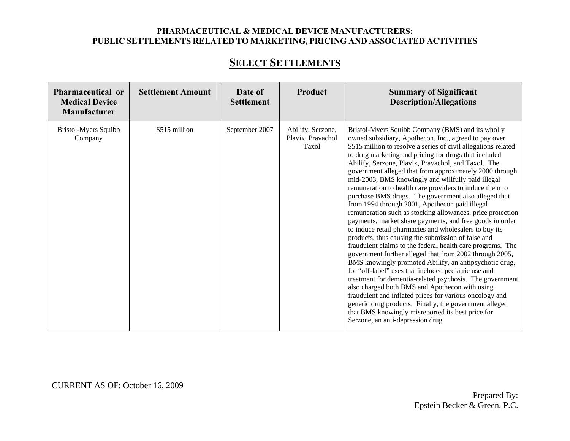| Pharmaceutical or<br><b>Medical Device</b><br>Manufacturer | <b>Settlement Amount</b> | Date of<br><b>Settlement</b> | <b>Product</b>                                  | <b>Summary of Significant</b><br><b>Description/Allegations</b>                                                                                                                                                                                                                                                                                                                                                                                                                                                                                                                                                                                                                                                                                                                                                                                                                                                                                                                                                                                                                                                                                                                                                                                                                                                                                                                                      |
|------------------------------------------------------------|--------------------------|------------------------------|-------------------------------------------------|------------------------------------------------------------------------------------------------------------------------------------------------------------------------------------------------------------------------------------------------------------------------------------------------------------------------------------------------------------------------------------------------------------------------------------------------------------------------------------------------------------------------------------------------------------------------------------------------------------------------------------------------------------------------------------------------------------------------------------------------------------------------------------------------------------------------------------------------------------------------------------------------------------------------------------------------------------------------------------------------------------------------------------------------------------------------------------------------------------------------------------------------------------------------------------------------------------------------------------------------------------------------------------------------------------------------------------------------------------------------------------------------------|
| Bristol-Myers Squibb<br>Company                            | \$515 million            | September 2007               | Abilify, Serzone,<br>Plavix, Pravachol<br>Taxol | Bristol-Myers Squibb Company (BMS) and its wholly<br>owned subsidiary, Apothecon, Inc., agreed to pay over<br>\$515 million to resolve a series of civil allegations related<br>to drug marketing and pricing for drugs that included<br>Abilify, Serzone, Plavix, Pravachol, and Taxol. The<br>government alleged that from approximately 2000 through<br>mid-2003, BMS knowingly and willfully paid illegal<br>remuneration to health care providers to induce them to<br>purchase BMS drugs. The government also alleged that<br>from 1994 through 2001, Apothecon paid illegal<br>remuneration such as stocking allowances, price protection<br>payments, market share payments, and free goods in order<br>to induce retail pharmacies and wholesalers to buy its<br>products, thus causing the submission of false and<br>fraudulent claims to the federal health care programs. The<br>government further alleged that from 2002 through 2005,<br>BMS knowingly promoted Abilify, an antipsychotic drug,<br>for "off-label" uses that included pediatric use and<br>treatment for dementia-related psychosis. The government<br>also charged both BMS and Apothecon with using<br>fraudulent and inflated prices for various oncology and<br>generic drug products. Finally, the government alleged<br>that BMS knowingly misreported its best price for<br>Serzone, an anti-depression drug. |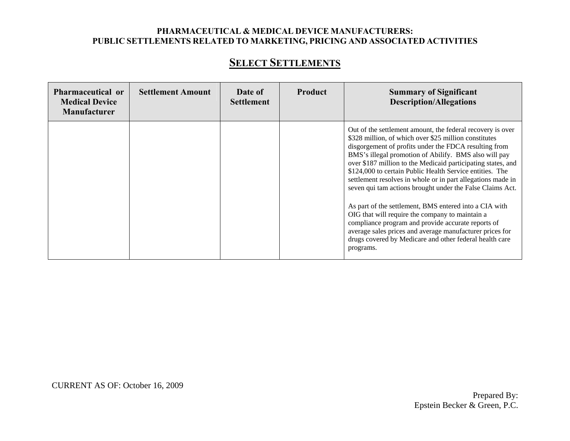| Pharmaceutical or<br><b>Medical Device</b><br><b>Manufacturer</b> | <b>Settlement Amount</b> | Date of<br><b>Settlement</b> | Product | <b>Summary of Significant</b><br><b>Description/Allegations</b>                                                                                                                                                                                                                                                                                                                                                                                                                               |
|-------------------------------------------------------------------|--------------------------|------------------------------|---------|-----------------------------------------------------------------------------------------------------------------------------------------------------------------------------------------------------------------------------------------------------------------------------------------------------------------------------------------------------------------------------------------------------------------------------------------------------------------------------------------------|
|                                                                   |                          |                              |         | Out of the settlement amount, the federal recovery is over<br>\$328 million, of which over \$25 million constitutes<br>disgorgement of profits under the FDCA resulting from<br>BMS's illegal promotion of Abilify. BMS also will pay<br>over \$187 million to the Medicaid participating states, and<br>\$124,000 to certain Public Health Service entities. The<br>settlement resolves in whole or in part allegations made in<br>seven qui tam actions brought under the False Claims Act. |
|                                                                   |                          |                              |         | As part of the settlement, BMS entered into a CIA with<br>OIG that will require the company to maintain a<br>compliance program and provide accurate reports of<br>average sales prices and average manufacturer prices for<br>drugs covered by Medicare and other federal health care<br>programs.                                                                                                                                                                                           |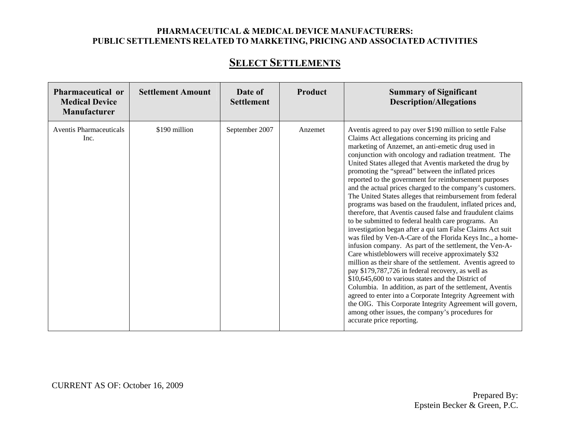## **SELECT SETTLEMENTS**

| Pharmaceutical or<br><b>Medical Device</b><br><b>Manufacturer</b> | <b>Settlement Amount</b> | Date of<br><b>Settlement</b> | <b>Product</b> | <b>Summary of Significant</b><br><b>Description/Allegations</b>                                                                                                                                                                                                                                                                                                                                                                                                                                                                                                                                                                                                                                                                                                                                                                                                                                                                                                                                                                                                                                                                                                                                                                                                                                                                                                                                                  |
|-------------------------------------------------------------------|--------------------------|------------------------------|----------------|------------------------------------------------------------------------------------------------------------------------------------------------------------------------------------------------------------------------------------------------------------------------------------------------------------------------------------------------------------------------------------------------------------------------------------------------------------------------------------------------------------------------------------------------------------------------------------------------------------------------------------------------------------------------------------------------------------------------------------------------------------------------------------------------------------------------------------------------------------------------------------------------------------------------------------------------------------------------------------------------------------------------------------------------------------------------------------------------------------------------------------------------------------------------------------------------------------------------------------------------------------------------------------------------------------------------------------------------------------------------------------------------------------------|
| Aventis Pharmaceuticals<br>Inc.                                   | \$190 million            | September 2007               | Anzemet        | Aventis agreed to pay over \$190 million to settle False<br>Claims Act allegations concerning its pricing and<br>marketing of Anzemet, an anti-emetic drug used in<br>conjunction with oncology and radiation treatment. The<br>United States alleged that Aventis marketed the drug by<br>promoting the "spread" between the inflated prices<br>reported to the government for reimbursement purposes<br>and the actual prices charged to the company's customers.<br>The United States alleges that reimbursement from federal<br>programs was based on the fraudulent, inflated prices and,<br>therefore, that Aventis caused false and fraudulent claims<br>to be submitted to federal health care programs. An<br>investigation began after a qui tam False Claims Act suit<br>was filed by Ven-A-Care of the Florida Keys Inc., a home-<br>infusion company. As part of the settlement, the Ven-A-<br>Care whistleblowers will receive approximately \$32<br>million as their share of the settlement. Aventis agreed to<br>pay \$179,787,726 in federal recovery, as well as<br>\$10,645,600 to various states and the District of<br>Columbia. In addition, as part of the settlement, Aventis<br>agreed to enter into a Corporate Integrity Agreement with<br>the OIG. This Corporate Integrity Agreement will govern,<br>among other issues, the company's procedures for<br>accurate price reporting. |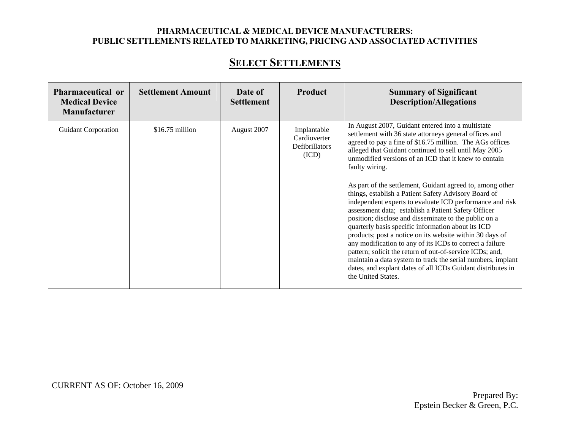## **SELECT SETTLEMENTS**

| Pharmaceutical or<br><b>Medical Device</b><br><b>Manufacturer</b> | <b>Settlement Amount</b> | Date of<br><b>Settlement</b> | Product                                                | <b>Summary of Significant</b><br><b>Description/Allegations</b>                                                                                                                                                                                                                                                                                                                                                                                                                                                                                                                                                                                                                                                                                                                                                                                                                                                                                                                                            |
|-------------------------------------------------------------------|--------------------------|------------------------------|--------------------------------------------------------|------------------------------------------------------------------------------------------------------------------------------------------------------------------------------------------------------------------------------------------------------------------------------------------------------------------------------------------------------------------------------------------------------------------------------------------------------------------------------------------------------------------------------------------------------------------------------------------------------------------------------------------------------------------------------------------------------------------------------------------------------------------------------------------------------------------------------------------------------------------------------------------------------------------------------------------------------------------------------------------------------------|
| <b>Guidant Corporation</b>                                        | $$16.75$ million         | August 2007                  | Implantable<br>Cardioverter<br>Defibrillators<br>(ICD) | In August 2007, Guidant entered into a multistate<br>settlement with 36 state attorneys general offices and<br>agreed to pay a fine of \$16.75 million. The AGs offices<br>alleged that Guidant continued to sell until May 2005<br>unmodified versions of an ICD that it knew to contain<br>faulty wiring.<br>As part of the settlement, Guidant agreed to, among other<br>things, establish a Patient Safety Advisory Board of<br>independent experts to evaluate ICD performance and risk<br>assessment data; establish a Patient Safety Officer<br>position; disclose and disseminate to the public on a<br>quarterly basis specific information about its ICD<br>products; post a notice on its website within 30 days of<br>any modification to any of its ICDs to correct a failure<br>pattern; solicit the return of out-of-service ICDs; and,<br>maintain a data system to track the serial numbers, implant<br>dates, and explant dates of all ICDs Guidant distributes in<br>the United States. |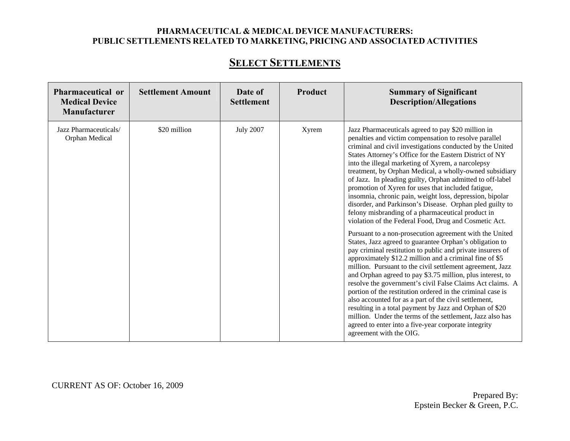## **SELECT SETTLEMENTS**

| Pharmaceutical or<br><b>Medical Device</b><br><b>Manufacturer</b> | <b>Settlement Amount</b> | Date of<br><b>Settlement</b> | Product | <b>Summary of Significant</b><br><b>Description/Allegations</b>                                                                                                                                                                                                                                                                                                                                                                                                                                                                                                                                                                                                                                                                                                                                                                                                                                                                                                                                                                                                                                                                                                                                                                                                                                                                                                                                                                                                                       |
|-------------------------------------------------------------------|--------------------------|------------------------------|---------|---------------------------------------------------------------------------------------------------------------------------------------------------------------------------------------------------------------------------------------------------------------------------------------------------------------------------------------------------------------------------------------------------------------------------------------------------------------------------------------------------------------------------------------------------------------------------------------------------------------------------------------------------------------------------------------------------------------------------------------------------------------------------------------------------------------------------------------------------------------------------------------------------------------------------------------------------------------------------------------------------------------------------------------------------------------------------------------------------------------------------------------------------------------------------------------------------------------------------------------------------------------------------------------------------------------------------------------------------------------------------------------------------------------------------------------------------------------------------------------|
| Jazz Pharmaceuticals/<br>Orphan Medical                           | \$20 million             | <b>July 2007</b>             | Xyrem   | Jazz Pharmaceuticals agreed to pay \$20 million in<br>penalties and victim compensation to resolve parallel<br>criminal and civil investigations conducted by the United<br>States Attorney's Office for the Eastern District of NY<br>into the illegal marketing of Xyrem, a narcolepsy<br>treatment, by Orphan Medical, a wholly-owned subsidiary<br>of Jazz. In pleading guilty, Orphan admitted to off-label<br>promotion of Xyren for uses that included fatigue,<br>insomnia, chronic pain, weight loss, depression, bipolar<br>disorder, and Parkinson's Disease. Orphan pled guilty to<br>felony misbranding of a pharmaceutical product in<br>violation of the Federal Food, Drug and Cosmetic Act.<br>Pursuant to a non-prosecution agreement with the United<br>States, Jazz agreed to guarantee Orphan's obligation to<br>pay criminal restitution to public and private insurers of<br>approximately \$12.2 million and a criminal fine of \$5<br>million. Pursuant to the civil settlement agreement, Jazz<br>and Orphan agreed to pay \$3.75 million, plus interest, to<br>resolve the government's civil False Claims Act claims. A<br>portion of the restitution ordered in the criminal case is<br>also accounted for as a part of the civil settlement,<br>resulting in a total payment by Jazz and Orphan of \$20<br>million. Under the terms of the settlement, Jazz also has<br>agreed to enter into a five-year corporate integrity<br>agreement with the OIG. |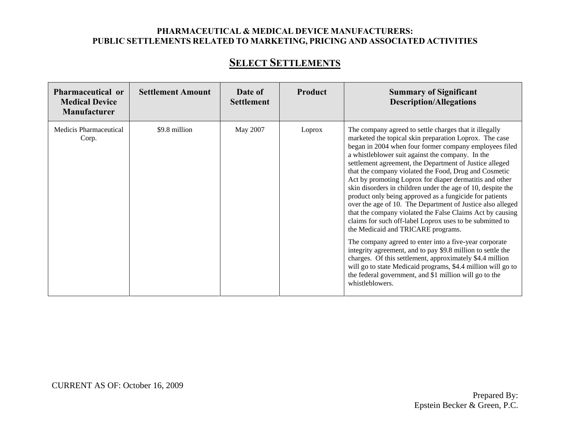## **SELECT SETTLEMENTS**

| Pharmaceutical or<br><b>Medical Device</b><br>Manufacturer | <b>Settlement Amount</b> | Date of<br><b>Settlement</b> | Product | <b>Summary of Significant</b><br><b>Description/Allegations</b>                                                                                                                                                                                                                                                                                                                                                                                                                                                                                                                                                                                                                                                                                                                                                                                                                                                                                                                                                                                                                                        |
|------------------------------------------------------------|--------------------------|------------------------------|---------|--------------------------------------------------------------------------------------------------------------------------------------------------------------------------------------------------------------------------------------------------------------------------------------------------------------------------------------------------------------------------------------------------------------------------------------------------------------------------------------------------------------------------------------------------------------------------------------------------------------------------------------------------------------------------------------------------------------------------------------------------------------------------------------------------------------------------------------------------------------------------------------------------------------------------------------------------------------------------------------------------------------------------------------------------------------------------------------------------------|
| Medicis Pharmaceutical<br>Corp.                            | \$9.8 million            | May 2007                     | Loprox  | The company agreed to settle charges that it illegally<br>marketed the topical skin preparation Loprox. The case<br>began in 2004 when four former company employees filed<br>a whistleblower suit against the company. In the<br>settlement agreement, the Department of Justice alleged<br>that the company violated the Food, Drug and Cosmetic<br>Act by promoting Loprox for diaper dermatitis and other<br>skin disorders in children under the age of 10, despite the<br>product only being approved as a fungicide for patients<br>over the age of 10. The Department of Justice also alleged<br>that the company violated the False Claims Act by causing<br>claims for such off-label Loprox uses to be submitted to<br>the Medicaid and TRICARE programs.<br>The company agreed to enter into a five-year corporate<br>integrity agreement, and to pay \$9.8 million to settle the<br>charges. Of this settlement, approximately \$4.4 million<br>will go to state Medicaid programs, \$4.4 million will go to<br>the federal government, and \$1 million will go to the<br>whistleblowers. |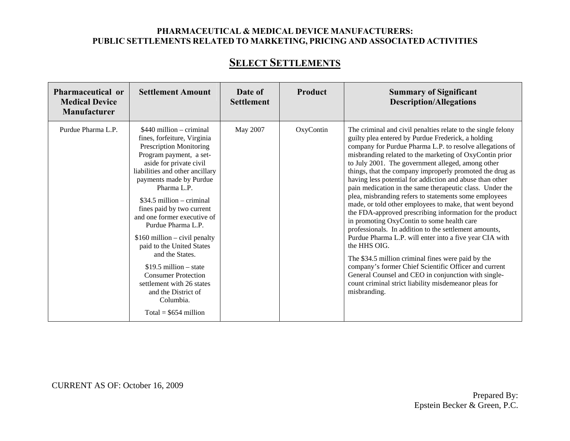## **SELECT SETTLEMENTS**

| Pharmaceutical or<br><b>Medical Device</b><br>Manufacturer | <b>Settlement Amount</b>                                                                                                                                                                                                                                                                                                                                                                                                                                                                                                                                                             | Date of<br><b>Settlement</b> | Product   | <b>Summary of Significant</b><br><b>Description/Allegations</b>                                                                                                                                                                                                                                                                                                                                                                                                                                                                                                                                                                                                                                                                                                                                                                                                                                                                                                                                                                                                                                     |
|------------------------------------------------------------|--------------------------------------------------------------------------------------------------------------------------------------------------------------------------------------------------------------------------------------------------------------------------------------------------------------------------------------------------------------------------------------------------------------------------------------------------------------------------------------------------------------------------------------------------------------------------------------|------------------------------|-----------|-----------------------------------------------------------------------------------------------------------------------------------------------------------------------------------------------------------------------------------------------------------------------------------------------------------------------------------------------------------------------------------------------------------------------------------------------------------------------------------------------------------------------------------------------------------------------------------------------------------------------------------------------------------------------------------------------------------------------------------------------------------------------------------------------------------------------------------------------------------------------------------------------------------------------------------------------------------------------------------------------------------------------------------------------------------------------------------------------------|
| Purdue Pharma L.P.                                         | $$440$ million – criminal<br>fines, forfeiture, Virginia<br><b>Prescription Monitoring</b><br>Program payment, a set-<br>aside for private civil<br>liabilities and other ancillary<br>payments made by Purdue<br>Pharma L.P.<br>\$34.5 million $-$ criminal<br>fines paid by two current<br>and one former executive of<br>Purdue Pharma L.P.<br>$$160$ million – civil penalty<br>paid to the United States<br>and the States.<br>$$19.5$ million – state<br><b>Consumer Protection</b><br>settlement with 26 states<br>and the District of<br>Columbia.<br>Total = $$654$ million | May 2007                     | OxyContin | The criminal and civil penalties relate to the single felony<br>guilty plea entered by Purdue Frederick, a holding<br>company for Purdue Pharma L.P. to resolve allegations of<br>misbranding related to the marketing of OxyContin prior<br>to July 2001. The government alleged, among other<br>things, that the company improperly promoted the drug as<br>having less potential for addiction and abuse than other<br>pain medication in the same therapeutic class. Under the<br>plea, misbranding refers to statements some employees<br>made, or told other employees to make, that went beyond<br>the FDA-approved prescribing information for the product<br>in promoting OxyContin to some health care<br>professionals. In addition to the settlement amounts,<br>Purdue Pharma L.P. will enter into a five year CIA with<br>the HHS OIG.<br>The \$34.5 million criminal fines were paid by the<br>company's former Chief Scientific Officer and current<br>General Counsel and CEO in conjunction with single-<br>count criminal strict liability misdemeanor pleas for<br>misbranding. |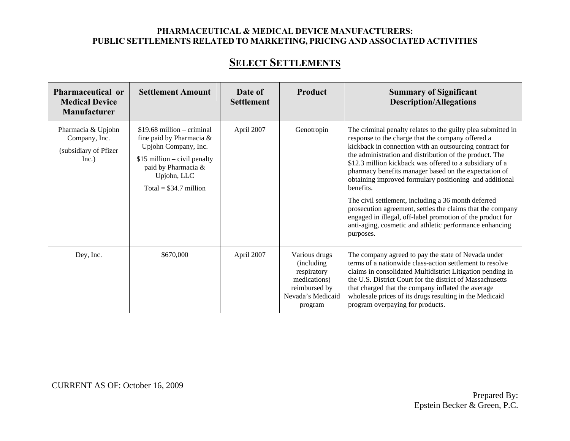## **SELECT SETTLEMENTS**

| Pharmaceutical or<br><b>Medical Device</b><br>Manufacturer            | <b>Settlement Amount</b>                                                                                                                                                             | Date of<br><b>Settlement</b> | <b>Product</b>                                                                                               | <b>Summary of Significant</b><br><b>Description/Allegations</b>                                                                                                                                                                                                                                                                                                                                                                                                                                                                                                                                                                                                                                 |
|-----------------------------------------------------------------------|--------------------------------------------------------------------------------------------------------------------------------------------------------------------------------------|------------------------------|--------------------------------------------------------------------------------------------------------------|-------------------------------------------------------------------------------------------------------------------------------------------------------------------------------------------------------------------------------------------------------------------------------------------------------------------------------------------------------------------------------------------------------------------------------------------------------------------------------------------------------------------------------------------------------------------------------------------------------------------------------------------------------------------------------------------------|
| Pharmacia & Upjohn<br>Company, Inc.<br>(subsidiary of Pfizer<br>Inc.) | $$19.68$ million – criminal<br>fine paid by Pharmacia $\&$<br>Upjohn Company, Inc.<br>$$15$ million – civil penalty<br>paid by Pharmacia &<br>Upjohn, LLC<br>Total = $$34.7$ million | April 2007                   | Genotropin                                                                                                   | The criminal penalty relates to the guilty plea submitted in<br>response to the charge that the company offered a<br>kickback in connection with an outsourcing contract for<br>the administration and distribution of the product. The<br>\$12.3 million kickback was offered to a subsidiary of a<br>pharmacy benefits manager based on the expectation of<br>obtaining improved formulary positioning and additional<br>benefits.<br>The civil settlement, including a 36 month deferred<br>prosecution agreement, settles the claims that the company<br>engaged in illegal, off-label promotion of the product for<br>anti-aging, cosmetic and athletic performance enhancing<br>purposes. |
| Dey, Inc.                                                             | \$670,000                                                                                                                                                                            | April 2007                   | Various drugs<br>(including)<br>respiratory<br>medications)<br>reimbursed by<br>Nevada's Medicaid<br>program | The company agreed to pay the state of Nevada under<br>terms of a nationwide class-action settlement to resolve<br>claims in consolidated Multidistrict Litigation pending in<br>the U.S. District Court for the district of Massachusetts<br>that charged that the company inflated the average<br>wholesale prices of its drugs resulting in the Medicaid<br>program overpaying for products.                                                                                                                                                                                                                                                                                                 |

CURRENT AS OF: October 16, 2009

Prepared By: Epstein Becker & Green, P.C.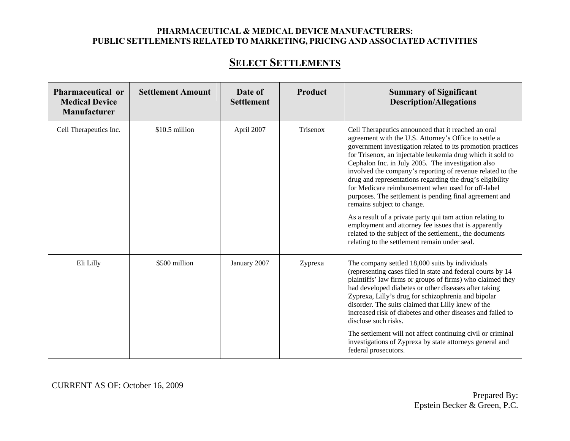## **SELECT SETTLEMENTS**

| <b>Pharmaceutical or</b><br><b>Medical Device</b><br><b>Manufacturer</b> | <b>Settlement Amount</b> | Date of<br><b>Settlement</b> | Product  | <b>Summary of Significant</b><br><b>Description/Allegations</b>                                                                                                                                                                                                                                                                                                                                                                                                                                                                                                                                                                                                                                                                                                                                              |
|--------------------------------------------------------------------------|--------------------------|------------------------------|----------|--------------------------------------------------------------------------------------------------------------------------------------------------------------------------------------------------------------------------------------------------------------------------------------------------------------------------------------------------------------------------------------------------------------------------------------------------------------------------------------------------------------------------------------------------------------------------------------------------------------------------------------------------------------------------------------------------------------------------------------------------------------------------------------------------------------|
| Cell Therapeutics Inc.                                                   | \$10.5 million           | April 2007                   | Trisenox | Cell Therapeutics announced that it reached an oral<br>agreement with the U.S. Attorney's Office to settle a<br>government investigation related to its promotion practices<br>for Trisenox, an injectable leukemia drug which it sold to<br>Cephalon Inc. in July 2005. The investigation also<br>involved the company's reporting of revenue related to the<br>drug and representations regarding the drug's eligibility<br>for Medicare reimbursement when used for off-label<br>purposes. The settlement is pending final agreement and<br>remains subject to change.<br>As a result of a private party qui tam action relating to<br>employment and attorney fee issues that is apparently<br>related to the subject of the settlement., the documents<br>relating to the settlement remain under seal. |
| Eli Lilly                                                                | \$500 million            | January 2007                 | Zyprexa  | The company settled 18,000 suits by individuals<br>(representing cases filed in state and federal courts by 14<br>plaintiffs' law firms or groups of firms) who claimed they<br>had developed diabetes or other diseases after taking<br>Zyprexa, Lilly's drug for schizophrenia and bipolar<br>disorder. The suits claimed that Lilly knew of the<br>increased risk of diabetes and other diseases and failed to<br>disclose such risks.<br>The settlement will not affect continuing civil or criminal<br>investigations of Zyprexa by state attorneys general and<br>federal prosecutors.                                                                                                                                                                                                                 |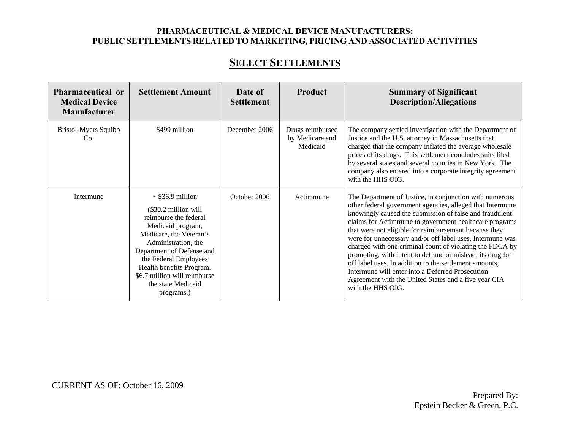## **SELECT SETTLEMENTS**

| Pharmaceutical or<br><b>Medical Device</b><br><b>Manufacturer</b> | <b>Settlement Amount</b>                                                                                                                                                                                                                                                                            | Date of<br><b>Settlement</b> | Product                                         | <b>Summary of Significant</b><br><b>Description/Allegations</b>                                                                                                                                                                                                                                                                                                                                                                                                                                                                                                                                                                                                                      |
|-------------------------------------------------------------------|-----------------------------------------------------------------------------------------------------------------------------------------------------------------------------------------------------------------------------------------------------------------------------------------------------|------------------------------|-------------------------------------------------|--------------------------------------------------------------------------------------------------------------------------------------------------------------------------------------------------------------------------------------------------------------------------------------------------------------------------------------------------------------------------------------------------------------------------------------------------------------------------------------------------------------------------------------------------------------------------------------------------------------------------------------------------------------------------------------|
| Bristol-Myers Squibb<br>Co.                                       | \$499 million                                                                                                                                                                                                                                                                                       | December 2006                | Drugs reimbursed<br>by Medicare and<br>Medicaid | The company settled investigation with the Department of<br>Justice and the U.S. attorney in Massachusetts that<br>charged that the company inflated the average wholesale<br>prices of its drugs. This settlement concludes suits filed<br>by several states and several counties in New York. The<br>company also entered into a corporate integrity agreement<br>with the HHS OIG.                                                                                                                                                                                                                                                                                                |
| Intermune                                                         | $\sim$ \$36.9 million<br>(\$30.2 million will<br>reimburse the federal<br>Medicaid program,<br>Medicare, the Veteran's<br>Administration, the<br>Department of Defense and<br>the Federal Employees<br>Health benefits Program.<br>\$6.7 million will reimburse<br>the state Medicaid<br>programs.) | October 2006                 | Actimmune                                       | The Department of Justice, in conjunction with numerous<br>other federal government agencies, alleged that Intermune<br>knowingly caused the submission of false and fraudulent<br>claims for Actimmune to government healthcare programs<br>that were not eligible for reimbursement because they<br>were for unnecessary and/or off label uses. Intermune was<br>charged with one criminal count of violating the FDCA by<br>promoting, with intent to defraud or mislead, its drug for<br>off label uses. In addition to the settlement amounts,<br>Intermune will enter into a Deferred Prosecution<br>Agreement with the United States and a five year CIA<br>with the HHS OIG. |

CURRENT AS OF: October 16, 2009

Prepared By: Epstein Becker & Green, P.C.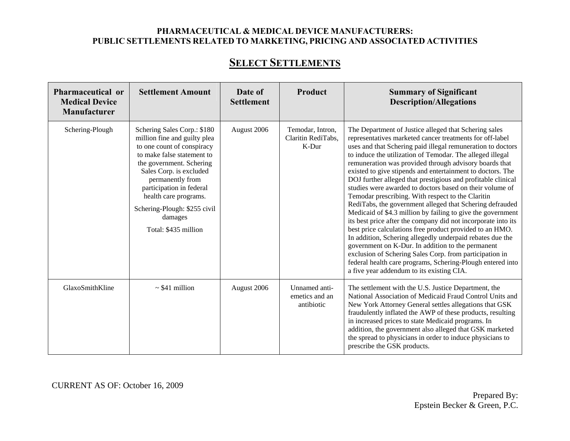## **SELECT SETTLEMENTS**

| Pharmaceutical or<br><b>Medical Device</b><br><b>Manufacturer</b> | <b>Settlement Amount</b>                                                                                                                                                                                                                                                                                                   | Date of<br><b>Settlement</b> | Product                                         | <b>Summary of Significant</b><br><b>Description/Allegations</b>                                                                                                                                                                                                                                                                                                                                                                                                                                                                                                                                                                                                                                                                                                                                                                                                                                                                                                                                                                                                                                        |
|-------------------------------------------------------------------|----------------------------------------------------------------------------------------------------------------------------------------------------------------------------------------------------------------------------------------------------------------------------------------------------------------------------|------------------------------|-------------------------------------------------|--------------------------------------------------------------------------------------------------------------------------------------------------------------------------------------------------------------------------------------------------------------------------------------------------------------------------------------------------------------------------------------------------------------------------------------------------------------------------------------------------------------------------------------------------------------------------------------------------------------------------------------------------------------------------------------------------------------------------------------------------------------------------------------------------------------------------------------------------------------------------------------------------------------------------------------------------------------------------------------------------------------------------------------------------------------------------------------------------------|
| Schering-Plough                                                   | Schering Sales Corp.: \$180<br>million fine and guilty plea<br>to one count of conspiracy<br>to make false statement to<br>the government. Schering<br>Sales Corp. is excluded<br>permanently from<br>participation in federal<br>health care programs.<br>Schering-Plough: \$255 civil<br>damages<br>Total: \$435 million | August 2006                  | Temodar, Intron,<br>Claritin RediTabs,<br>K-Dur | The Department of Justice alleged that Schering sales<br>representatives marketed cancer treatments for off-label<br>uses and that Schering paid illegal remuneration to doctors<br>to induce the utilization of Temodar. The alleged illegal<br>remuneration was provided through advisory boards that<br>existed to give stipends and entertainment to doctors. The<br>DOJ further alleged that prestigious and profitable clinical<br>studies were awarded to doctors based on their volume of<br>Temodar prescribing. With respect to the Claritin<br>RediTabs, the government alleged that Schering defrauded<br>Medicaid of \$4.3 million by failing to give the government<br>its best price after the company did not incorporate into its<br>best price calculations free product provided to an HMO.<br>In addition, Schering allegedly underpaid rebates due the<br>government on K-Dur. In addition to the permanent<br>exclusion of Schering Sales Corp. from participation in<br>federal health care programs, Schering-Plough entered into<br>a five year addendum to its existing CIA. |
| GlaxoSmithKline                                                   | $\sim$ \$41 million                                                                                                                                                                                                                                                                                                        | August 2006                  | Unnamed anti-<br>emetics and an<br>antibiotic   | The settlement with the U.S. Justice Department, the<br>National Association of Medicaid Fraud Control Units and<br>New York Attorney General settles allegations that GSK<br>fraudulently inflated the AWP of these products, resulting<br>in increased prices to state Medicaid programs. In<br>addition, the government also alleged that GSK marketed<br>the spread to physicians in order to induce physicians to<br>prescribe the GSK products.                                                                                                                                                                                                                                                                                                                                                                                                                                                                                                                                                                                                                                                  |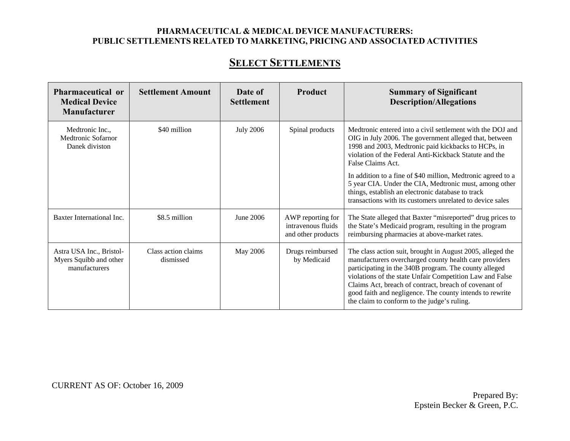## **SELECT SETTLEMENTS**

| <b>Pharmaceutical or</b><br><b>Medical Device</b><br>Manufacturer   | <b>Settlement Amount</b>         | Date of<br><b>Settlement</b> | Product                                                       | <b>Summary of Significant</b><br><b>Description/Allegations</b>                                                                                                                                                                                                                                                                                                                                               |
|---------------------------------------------------------------------|----------------------------------|------------------------------|---------------------------------------------------------------|---------------------------------------------------------------------------------------------------------------------------------------------------------------------------------------------------------------------------------------------------------------------------------------------------------------------------------------------------------------------------------------------------------------|
| Medtronic Inc.,<br>Medtronic Sofarnor<br>Danek diviston             | \$40 million                     | <b>July 2006</b>             | Spinal products                                               | Medtronic entered into a civil settlement with the DOJ and<br>OIG in July 2006. The government alleged that, between<br>1998 and 2003, Medtronic paid kickbacks to HCPs, in<br>violation of the Federal Anti-Kickback Statute and the<br>False Claims Act.                                                                                                                                                    |
|                                                                     |                                  |                              |                                                               | In addition to a fine of \$40 million, Medtronic agreed to a<br>5 year CIA. Under the CIA, Medtronic must, among other<br>things, establish an electronic database to track<br>transactions with its customers unrelated to device sales                                                                                                                                                                      |
| Baxter International Inc.                                           | \$8.5 million                    | June 2006                    | AWP reporting for<br>intravenous fluids<br>and other products | The State alleged that Baxter "misreported" drug prices to<br>the State's Medicaid program, resulting in the program<br>reimbursing pharmacies at above-market rates.                                                                                                                                                                                                                                         |
| Astra USA Inc., Bristol-<br>Myers Squibb and other<br>manufacturers | Class action claims<br>dismissed | May 2006                     | Drugs reimbursed<br>by Medicaid                               | The class action suit, brought in August 2005, alleged the<br>manufacturers overcharged county health care providers<br>participating in the 340B program. The county alleged<br>violations of the state Unfair Competition Law and False<br>Claims Act, breach of contract, breach of covenant of<br>good faith and negligence. The county intends to rewrite<br>the claim to conform to the judge's ruling. |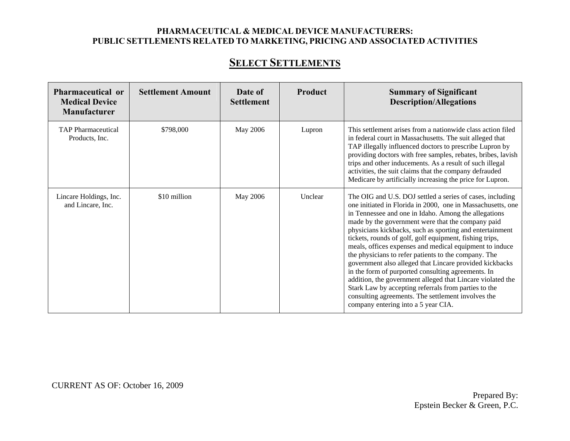## **SELECT SETTLEMENTS**

| Pharmaceutical or<br><b>Medical Device</b><br><b>Manufacturer</b> | <b>Settlement Amount</b> | Date of<br><b>Settlement</b> | Product | <b>Summary of Significant</b><br><b>Description/Allegations</b>                                                                                                                                                                                                                                                                                                                                                                                                                                                                                                                                                                                                                                                                                                                                                     |
|-------------------------------------------------------------------|--------------------------|------------------------------|---------|---------------------------------------------------------------------------------------------------------------------------------------------------------------------------------------------------------------------------------------------------------------------------------------------------------------------------------------------------------------------------------------------------------------------------------------------------------------------------------------------------------------------------------------------------------------------------------------------------------------------------------------------------------------------------------------------------------------------------------------------------------------------------------------------------------------------|
| <b>TAP</b> Pharmaceutical<br>Products, Inc.                       | \$798,000                | May 2006                     | Lupron  | This settlement arises from a nationwide class action filed<br>in federal court in Massachusetts. The suit alleged that<br>TAP illegally influenced doctors to prescribe Lupron by<br>providing doctors with free samples, rebates, bribes, lavish<br>trips and other inducements. As a result of such illegal<br>activities, the suit claims that the company defrauded<br>Medicare by artificially increasing the price for Lupron.                                                                                                                                                                                                                                                                                                                                                                               |
| Lincare Holdings, Inc.<br>and Lincare, Inc.                       | \$10 million             | May 2006                     | Unclear | The OIG and U.S. DOJ settled a series of cases, including<br>one initiated in Florida in 2000, one in Massachusetts, one<br>in Tennessee and one in Idaho. Among the allegations<br>made by the government were that the company paid<br>physicians kickbacks, such as sporting and entertainment<br>tickets, rounds of golf, golf equipment, fishing trips,<br>meals, offices expenses and medical equipment to induce<br>the physicians to refer patients to the company. The<br>government also alleged that Lincare provided kickbacks<br>in the form of purported consulting agreements. In<br>addition, the government alleged that Lincare violated the<br>Stark Law by accepting referrals from parties to the<br>consulting agreements. The settlement involves the<br>company entering into a 5 year CIA. |

CURRENT AS OF: October 16, 2009

Prepared By: Epstein Becker & Green, P.C.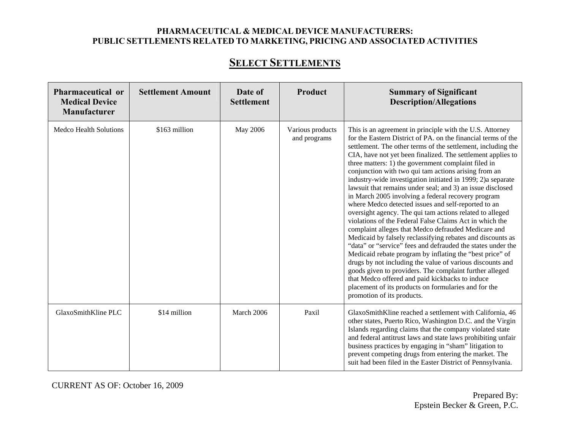## **SELECT SETTLEMENTS**

| <b>Pharmaceutical or</b><br><b>Medical Device</b><br><b>Manufacturer</b> | <b>Settlement Amount</b> | Date of<br><b>Settlement</b> | Product                          | <b>Summary of Significant</b><br><b>Description/Allegations</b>                                                                                                                                                                                                                                                                                                                                                                                                                                                                                                                                                                                                                                                                                                                                                                                                                                                                                                                                                                                                                                                                                                                                                                                           |
|--------------------------------------------------------------------------|--------------------------|------------------------------|----------------------------------|-----------------------------------------------------------------------------------------------------------------------------------------------------------------------------------------------------------------------------------------------------------------------------------------------------------------------------------------------------------------------------------------------------------------------------------------------------------------------------------------------------------------------------------------------------------------------------------------------------------------------------------------------------------------------------------------------------------------------------------------------------------------------------------------------------------------------------------------------------------------------------------------------------------------------------------------------------------------------------------------------------------------------------------------------------------------------------------------------------------------------------------------------------------------------------------------------------------------------------------------------------------|
| <b>Medco Health Solutions</b>                                            | \$163 million            | May 2006                     | Various products<br>and programs | This is an agreement in principle with the U.S. Attorney<br>for the Eastern District of PA. on the financial terms of the<br>settlement. The other terms of the settlement, including the<br>CIA, have not yet been finalized. The settlement applies to<br>three matters: 1) the government complaint filed in<br>conjunction with two qui tam actions arising from an<br>industry-wide investigation initiated in 1999; 2)a separate<br>lawsuit that remains under seal; and 3) an issue disclosed<br>in March 2005 involving a federal recovery program<br>where Medco detected issues and self-reported to an<br>oversight agency. The qui tam actions related to alleged<br>violations of the Federal False Claims Act in which the<br>complaint alleges that Medco defrauded Medicare and<br>Medicaid by falsely reclassifying rebates and discounts as<br>"data" or "service" fees and defrauded the states under the<br>Medicaid rebate program by inflating the "best price" of<br>drugs by not including the value of various discounts and<br>goods given to providers. The complaint further alleged<br>that Medco offered and paid kickbacks to induce<br>placement of its products on formularies and for the<br>promotion of its products. |
| GlaxoSmithKline PLC                                                      | \$14 million             | March 2006                   | Paxil                            | GlaxoSmithKline reached a settlement with California, 46<br>other states, Puerto Rico, Washington D.C. and the Virgin<br>Islands regarding claims that the company violated state<br>and federal antitrust laws and state laws prohibiting unfair<br>business practices by engaging in "sham" litigation to<br>prevent competing drugs from entering the market. The<br>suit had been filed in the Easter District of Pennsylvania.                                                                                                                                                                                                                                                                                                                                                                                                                                                                                                                                                                                                                                                                                                                                                                                                                       |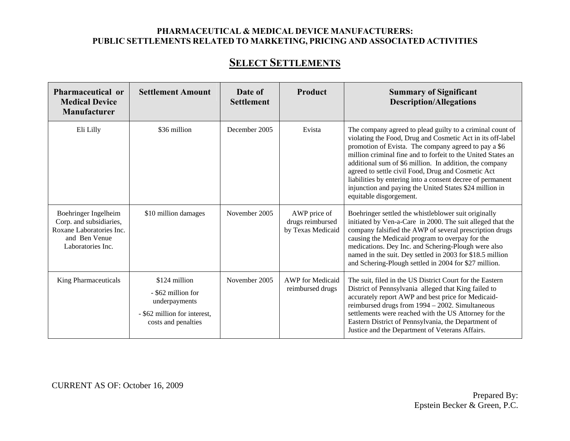## **SELECT SETTLEMENTS**

| <b>Pharmaceutical or</b><br><b>Medical Device</b><br><b>Manufacturer</b>                                          | <b>Settlement Amount</b>                                                                                    | Date of<br><b>Settlement</b> | Product                                               | <b>Summary of Significant</b><br><b>Description/Allegations</b>                                                                                                                                                                                                                                                                                                                                                                                                                                                      |
|-------------------------------------------------------------------------------------------------------------------|-------------------------------------------------------------------------------------------------------------|------------------------------|-------------------------------------------------------|----------------------------------------------------------------------------------------------------------------------------------------------------------------------------------------------------------------------------------------------------------------------------------------------------------------------------------------------------------------------------------------------------------------------------------------------------------------------------------------------------------------------|
| Eli Lilly                                                                                                         | \$36 million                                                                                                | December 2005                | Evista                                                | The company agreed to plead guilty to a criminal count of<br>violating the Food, Drug and Cosmetic Act in its off-label<br>promotion of Evista. The company agreed to pay a \$6<br>million criminal fine and to forfeit to the United States an<br>additional sum of \$6 million. In addition, the company<br>agreed to settle civil Food, Drug and Cosmetic Act<br>liabilities by entering into a consent decree of permanent<br>injunction and paying the United States \$24 million in<br>equitable disgorgement. |
| Boehringer Ingelheim<br>Corp. and subsidiaries,<br>Roxane Laboratories Inc.<br>and Ben Venue<br>Laboratories Inc. | \$10 million damages                                                                                        | November 2005                | AWP price of<br>drugs reimbursed<br>by Texas Medicaid | Boehringer settled the whistleblower suit originally<br>initiated by Ven-a-Care in 2000. The suit alleged that the<br>company falsified the AWP of several prescription drugs<br>causing the Medicaid program to overpay for the<br>medications. Dey Inc. and Schering-Plough were also<br>named in the suit. Dey settled in 2003 for \$18.5 million<br>and Schering-Plough settled in 2004 for \$27 million.                                                                                                        |
| King Pharmaceuticals                                                                                              | \$124 million<br>- \$62 million for<br>underpayments<br>- \$62 million for interest,<br>costs and penalties | November 2005                | <b>AWP</b> for Medicaid<br>reimbursed drugs           | The suit, filed in the US District Court for the Eastern<br>District of Pennsylvania alleged that King failed to<br>accurately report AWP and best price for Medicaid-<br>reimbursed drugs from 1994 - 2002. Simultaneous<br>settlements were reached with the US Attorney for the<br>Eastern District of Pennsylvania, the Department of<br>Justice and the Department of Veterans Affairs.                                                                                                                         |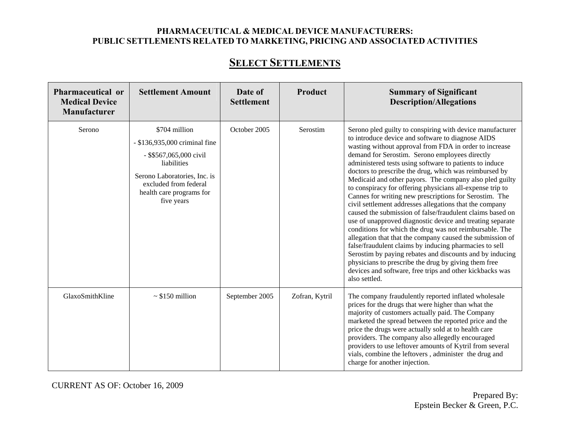## **SELECT SETTLEMENTS**

| Pharmaceutical or<br><b>Medical Device</b><br>Manufacturer | <b>Settlement Amount</b>                                                                                                                                                                    | Date of<br><b>Settlement</b> | Product        | <b>Summary of Significant</b><br><b>Description/Allegations</b>                                                                                                                                                                                                                                                                                                                                                                                                                                                                                                                                                                                                                                                                                                                                                                                                                                                                                                                                                                                                                                           |
|------------------------------------------------------------|---------------------------------------------------------------------------------------------------------------------------------------------------------------------------------------------|------------------------------|----------------|-----------------------------------------------------------------------------------------------------------------------------------------------------------------------------------------------------------------------------------------------------------------------------------------------------------------------------------------------------------------------------------------------------------------------------------------------------------------------------------------------------------------------------------------------------------------------------------------------------------------------------------------------------------------------------------------------------------------------------------------------------------------------------------------------------------------------------------------------------------------------------------------------------------------------------------------------------------------------------------------------------------------------------------------------------------------------------------------------------------|
| Serono                                                     | \$704 million<br>- \$136,935,000 criminal fine<br>- \$\$567,065,000 civil<br>liabilities<br>Serono Laboratories, Inc. is<br>excluded from federal<br>health care programs for<br>five years | October 2005                 | Serostim       | Serono pled guilty to conspiring with device manufacturer<br>to introduce device and software to diagnose AIDS<br>wasting without approval from FDA in order to increase<br>demand for Serostim. Serono employees directly<br>administered tests using software to patients to induce<br>doctors to prescribe the drug, which was reimbursed by<br>Medicaid and other payors. The company also pled guilty<br>to conspiracy for offering physicians all-expense trip to<br>Cannes for writing new prescriptions for Serostim. The<br>civil settlement addresses allegations that the company<br>caused the submission of false/fraudulent claims based on<br>use of unapproved diagnostic device and treating separate<br>conditions for which the drug was not reimbursable. The<br>allegation that that the company caused the submission of<br>false/fraudulent claims by inducing pharmacies to sell<br>Serostim by paying rebates and discounts and by inducing<br>physicians to prescribe the drug by giving them free<br>devices and software, free trips and other kickbacks was<br>also settled. |
| GlaxoSmithKline                                            | $\sim$ \$150 million                                                                                                                                                                        | September 2005               | Zofran, Kytril | The company fraudulently reported inflated wholesale<br>prices for the drugs that were higher than what the<br>majority of customers actually paid. The Company<br>marketed the spread between the reported price and the<br>price the drugs were actually sold at to health care<br>providers. The company also allegedly encouraged<br>providers to use leftover amounts of Kytril from several<br>vials, combine the leftovers, administer the drug and<br>charge for another injection.                                                                                                                                                                                                                                                                                                                                                                                                                                                                                                                                                                                                               |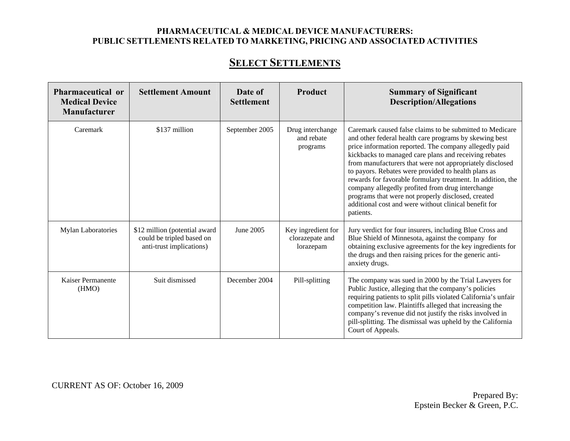## **SELECT SETTLEMENTS**

| <b>Pharmaceutical or</b><br><b>Medical Device</b><br>Manufacturer | <b>Settlement Amount</b>                                                               | Date of<br><b>Settlement</b> | Product                                            | <b>Summary of Significant</b><br><b>Description/Allegations</b>                                                                                                                                                                                                                                                                                                                                                                                                                                                                                                                                         |
|-------------------------------------------------------------------|----------------------------------------------------------------------------------------|------------------------------|----------------------------------------------------|---------------------------------------------------------------------------------------------------------------------------------------------------------------------------------------------------------------------------------------------------------------------------------------------------------------------------------------------------------------------------------------------------------------------------------------------------------------------------------------------------------------------------------------------------------------------------------------------------------|
| Caremark                                                          | \$137 million                                                                          | September 2005               | Drug interchange<br>and rebate<br>programs         | Caremark caused false claims to be submitted to Medicare<br>and other federal health care programs by skewing best<br>price information reported. The company allegedly paid<br>kickbacks to managed care plans and receiving rebates<br>from manufacturers that were not appropriately disclosed<br>to payors. Rebates were provided to health plans as<br>rewards for favorable formulary treatment. In addition, the<br>company allegedly profited from drug interchange<br>programs that were not properly disclosed, created<br>additional cost and were without clinical benefit for<br>patients. |
| <b>Mylan Laboratories</b>                                         | \$12 million (potential award<br>could be tripled based on<br>anti-trust implications) | June 2005                    | Key ingredient for<br>clorazepate and<br>lorazepam | Jury verdict for four insurers, including Blue Cross and<br>Blue Shield of Minnesota, against the company for<br>obtaining exclusive agreements for the key ingredients for<br>the drugs and then raising prices for the generic anti-<br>anxiety drugs.                                                                                                                                                                                                                                                                                                                                                |
| Kaiser Permanente<br>(HMO)                                        | Suit dismissed                                                                         | December 2004                | Pill-splitting                                     | The company was sued in 2000 by the Trial Lawyers for<br>Public Justice, alleging that the company's policies<br>requiring patients to split pills violated California's unfair<br>competition law. Plaintiffs alleged that increasing the<br>company's revenue did not justify the risks involved in<br>pill-splitting. The dismissal was upheld by the California<br>Court of Appeals.                                                                                                                                                                                                                |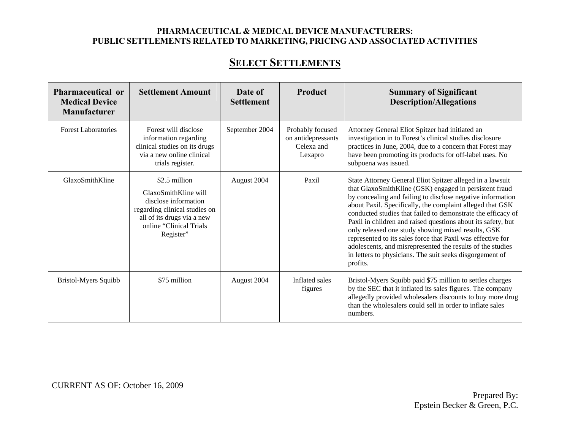## **SELECT SETTLEMENTS**

| Pharmaceutical or<br><b>Medical Device</b><br><b>Manufacturer</b> | <b>Settlement Amount</b>                                                                                                                                             | Date of<br><b>Settlement</b> | <b>Product</b>                                                  | <b>Summary of Significant</b><br><b>Description/Allegations</b>                                                                                                                                                                                                                                                                                                                                                                                                                                                                                                                                                                           |
|-------------------------------------------------------------------|----------------------------------------------------------------------------------------------------------------------------------------------------------------------|------------------------------|-----------------------------------------------------------------|-------------------------------------------------------------------------------------------------------------------------------------------------------------------------------------------------------------------------------------------------------------------------------------------------------------------------------------------------------------------------------------------------------------------------------------------------------------------------------------------------------------------------------------------------------------------------------------------------------------------------------------------|
| <b>Forest Laboratories</b>                                        | Forest will disclose<br>information regarding<br>clinical studies on its drugs<br>via a new online clinical<br>trials register.                                      | September 2004               | Probably focused<br>on antidepressants<br>Celexa and<br>Lexapro | Attorney General Eliot Spitzer had initiated an<br>investigation in to Forest's clinical studies disclosure<br>practices in June, 2004, due to a concern that Forest may<br>have been promoting its products for off-label uses. No<br>subpoena was issued.                                                                                                                                                                                                                                                                                                                                                                               |
| GlaxoSmithKline                                                   | \$2.5 million<br>GlaxoSmithKline will<br>disclose information<br>regarding clinical studies on<br>all of its drugs via a new<br>online "Clinical Trials<br>Register" | August 2004                  | Paxil                                                           | State Attorney General Eliot Spitzer alleged in a lawsuit<br>that GlaxoSmithKline (GSK) engaged in persistent fraud<br>by concealing and failing to disclose negative information<br>about Paxil. Specifically, the complaint alleged that GSK<br>conducted studies that failed to demonstrate the efficacy of<br>Paxil in children and raised questions about its safety, but<br>only released one study showing mixed results, GSK<br>represented to its sales force that Paxil was effective for<br>adolescents, and misrepresented the results of the studies<br>in letters to physicians. The suit seeks disgorgement of<br>profits. |
| Bristol-Myers Squibb                                              | \$75 million                                                                                                                                                         | August 2004                  | Inflated sales<br>figures                                       | Bristol-Myers Squibb paid \$75 million to settles charges<br>by the SEC that it inflated its sales figures. The company<br>allegedly provided wholesalers discounts to buy more drug<br>than the wholesalers could sell in order to inflate sales<br>numbers.                                                                                                                                                                                                                                                                                                                                                                             |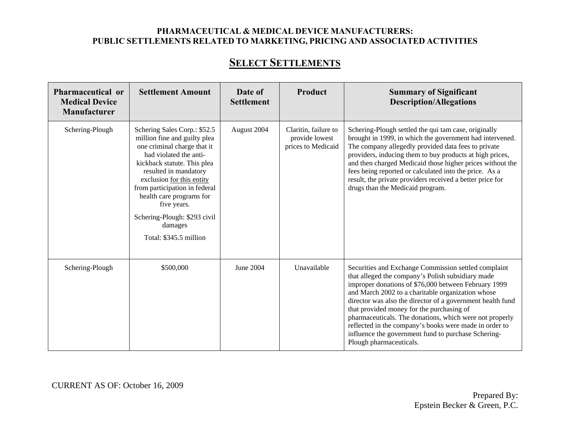| <b>Pharmaceutical or</b><br><b>Medical Device</b><br><b>Manufacturer</b> | <b>Settlement Amount</b>                                                                                                                                                                                                                                                                                                                                    | Date of<br><b>Settlement</b> | Product                                                      | <b>Summary of Significant</b><br><b>Description/Allegations</b>                                                                                                                                                                                                                                                                                                                                                                                                                                                                          |
|--------------------------------------------------------------------------|-------------------------------------------------------------------------------------------------------------------------------------------------------------------------------------------------------------------------------------------------------------------------------------------------------------------------------------------------------------|------------------------------|--------------------------------------------------------------|------------------------------------------------------------------------------------------------------------------------------------------------------------------------------------------------------------------------------------------------------------------------------------------------------------------------------------------------------------------------------------------------------------------------------------------------------------------------------------------------------------------------------------------|
| Schering-Plough                                                          | Schering Sales Corp.: \$52.5<br>million fine and guilty plea<br>one criminal charge that it<br>had violated the anti-<br>kickback statute. This plea<br>resulted in mandatory<br>exclusion for this entity<br>from participation in federal<br>health care programs for<br>five years.<br>Schering-Plough: \$293 civil<br>damages<br>Total: \$345.5 million | August 2004                  | Claritin, failure to<br>provide lowest<br>prices to Medicaid | Schering-Plough settled the qui tam case, originally<br>brought in 1999, in which the government had intervened.<br>The company allegedly provided data fees to private<br>providers, inducing them to buy products at high prices,<br>and then charged Medicaid those higher prices without the<br>fees being reported or calculated into the price. As a<br>result, the private providers received a better price for<br>drugs than the Medicaid program.                                                                              |
| Schering-Plough                                                          | \$500,000                                                                                                                                                                                                                                                                                                                                                   | June 2004                    | Unavailable                                                  | Securities and Exchange Commission settled complaint<br>that alleged the company's Polish subsidiary made<br>improper donations of \$76,000 between February 1999<br>and March 2002 to a charitable organization whose<br>director was also the director of a government health fund<br>that provided money for the purchasing of<br>pharmaceuticals. The donations, which were not properly<br>reflected in the company's books were made in order to<br>influence the government fund to purchase Schering-<br>Plough pharmaceuticals. |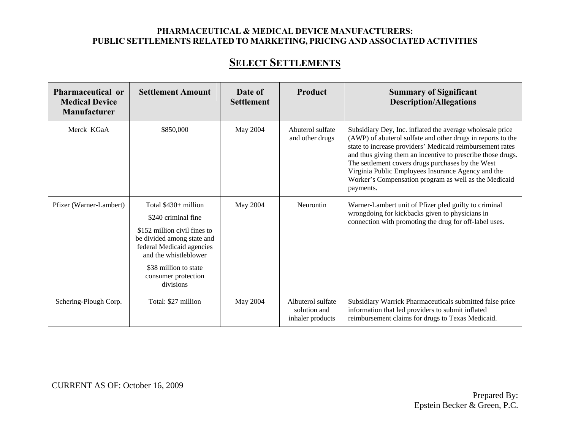# **SELECT SETTLEMENTS**

| Pharmaceutical or<br><b>Medical Device</b><br><b>Manufacturer</b> | <b>Settlement Amount</b>                                                                                                                                                                                                      | Date of<br><b>Settlement</b> | Product                                               | <b>Summary of Significant</b><br><b>Description/Allegations</b>                                                                                                                                                                                                                                                                                                                                                                       |
|-------------------------------------------------------------------|-------------------------------------------------------------------------------------------------------------------------------------------------------------------------------------------------------------------------------|------------------------------|-------------------------------------------------------|---------------------------------------------------------------------------------------------------------------------------------------------------------------------------------------------------------------------------------------------------------------------------------------------------------------------------------------------------------------------------------------------------------------------------------------|
| Merck KGaA                                                        | \$850,000                                                                                                                                                                                                                     | May 2004                     | Abuterol sulfate<br>and other drugs                   | Subsidiary Dey, Inc. inflated the average wholesale price<br>(AWP) of abuterol sulfate and other drugs in reports to the<br>state to increase providers' Medicaid reimbursement rates<br>and thus giving them an incentive to prescribe those drugs.<br>The settlement covers drugs purchases by the West<br>Virginia Public Employees Insurance Agency and the<br>Worker's Compensation program as well as the Medicaid<br>payments. |
| Pfizer (Warner-Lambert)                                           | Total $$430+$ million<br>\$240 criminal fine<br>\$152 million civil fines to<br>be divided among state and<br>federal Medicaid agencies<br>and the whistleblower<br>\$38 million to state<br>consumer protection<br>divisions | May 2004                     | Neurontin                                             | Warner-Lambert unit of Pfizer pled guilty to criminal<br>wrongdoing for kickbacks given to physicians in<br>connection with promoting the drug for off-label uses.                                                                                                                                                                                                                                                                    |
| Schering-Plough Corp.                                             | Total: \$27 million                                                                                                                                                                                                           | May 2004                     | Albuterol sulfate<br>solution and<br>inhaler products | Subsidiary Warrick Pharmaceuticals submitted false price<br>information that led providers to submit inflated<br>reimbursement claims for drugs to Texas Medicaid.                                                                                                                                                                                                                                                                    |

CURRENT AS OF: October 16, 2009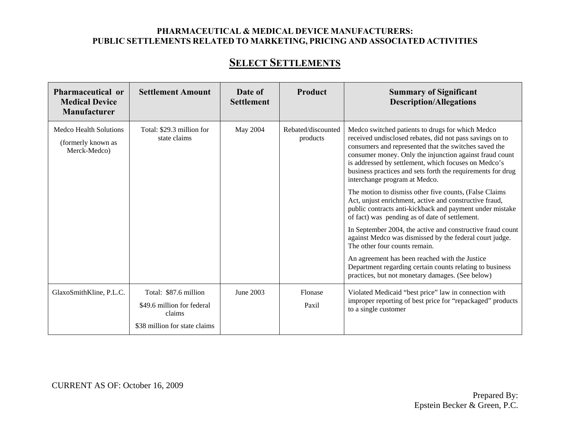# **SELECT SETTLEMENTS**

| Pharmaceutical or<br><b>Medical Device</b><br>Manufacturer   | <b>Settlement Amount</b>                                                                       | Date of<br><b>Settlement</b> | Product                        | <b>Summary of Significant</b><br><b>Description/Allegations</b>                                                                                                                                                                                                                                                                                                                                                                                                                                                                                                                                                                                                                                                                                                                                                                                                                                                                                        |
|--------------------------------------------------------------|------------------------------------------------------------------------------------------------|------------------------------|--------------------------------|--------------------------------------------------------------------------------------------------------------------------------------------------------------------------------------------------------------------------------------------------------------------------------------------------------------------------------------------------------------------------------------------------------------------------------------------------------------------------------------------------------------------------------------------------------------------------------------------------------------------------------------------------------------------------------------------------------------------------------------------------------------------------------------------------------------------------------------------------------------------------------------------------------------------------------------------------------|
| Medco Health Solutions<br>(formerly known as<br>Merck-Medco) | Total: \$29.3 million for<br>state claims                                                      | May 2004                     | Rebated/discounted<br>products | Medco switched patients to drugs for which Medco<br>received undisclosed rebates, did not pass savings on to<br>consumers and represented that the switches saved the<br>consumer money. Only the injunction against fraud count<br>is addressed by settlement, which focuses on Medco's<br>business practices and sets forth the requirements for drug<br>interchange program at Medco.<br>The motion to dismiss other five counts, (False Claims<br>Act, unjust enrichment, active and constructive fraud,<br>public contracts anti-kickback and payment under mistake<br>of fact) was pending as of date of settlement.<br>In September 2004, the active and constructive fraud count<br>against Medco was dismissed by the federal court judge.<br>The other four counts remain.<br>An agreement has been reached with the Justice<br>Department regarding certain counts relating to business<br>practices, but not monetary damages. (See below) |
| GlaxoSmithKline, P.L.C.                                      | Total: \$87.6 million<br>\$49.6 million for federal<br>claims<br>\$38 million for state claims | June 2003                    | Flonase<br>Paxil               | Violated Medicaid "best price" law in connection with<br>improper reporting of best price for "repackaged" products<br>to a single customer                                                                                                                                                                                                                                                                                                                                                                                                                                                                                                                                                                                                                                                                                                                                                                                                            |

CURRENT AS OF: October 16, 2009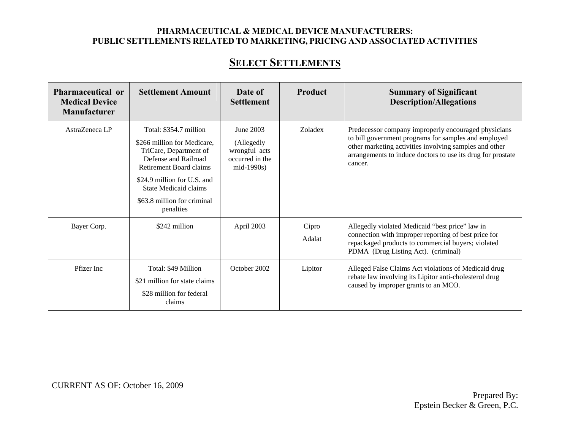# **SELECT SETTLEMENTS**

| Pharmaceutical or<br><b>Medical Device</b><br><b>Manufacturer</b> | <b>Settlement Amount</b>                                                                                                                                                                                                               | Date of<br><b>Settlement</b>                                                | Product         | <b>Summary of Significant</b><br><b>Description/Allegations</b>                                                                                                                                                                                  |
|-------------------------------------------------------------------|----------------------------------------------------------------------------------------------------------------------------------------------------------------------------------------------------------------------------------------|-----------------------------------------------------------------------------|-----------------|--------------------------------------------------------------------------------------------------------------------------------------------------------------------------------------------------------------------------------------------------|
| AstraZeneca LP                                                    | Total: \$354.7 million<br>\$266 million for Medicare,<br>TriCare, Department of<br>Defense and Railroad<br>Retirement Board claims<br>\$24.9 million for U.S. and<br>State Medicaid claims<br>\$63.8 million for criminal<br>penalties | June 2003<br>(Allegedly<br>wrongful acts<br>occurred in the<br>$mid-1990s)$ | Zoladex         | Predecessor company improperly encouraged physicians<br>to bill government programs for samples and employed<br>other marketing activities involving samples and other<br>arrangements to induce doctors to use its drug for prostate<br>cancer. |
| Bayer Corp.                                                       | \$242 million                                                                                                                                                                                                                          | April 2003                                                                  | Cipro<br>Adalat | Allegedly violated Medicaid "best price" law in<br>connection with improper reporting of best price for<br>repackaged products to commercial buyers; violated<br>PDMA (Drug Listing Act). (criminal)                                             |
| Pfizer Inc                                                        | Total: \$49 Million<br>\$21 million for state claims<br>\$28 million for federal<br>claims                                                                                                                                             | October 2002                                                                | Lipitor         | Alleged False Claims Act violations of Medicaid drug<br>rebate law involving its Lipitor anti-cholesterol drug<br>caused by improper grants to an MCO.                                                                                           |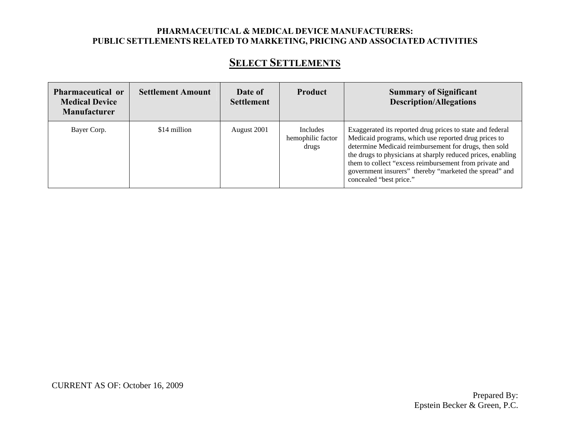# **SELECT SETTLEMENTS**

| <b>Pharmaceutical or</b><br><b>Medical Device</b><br><b>Manufacturer</b> | <b>Settlement Amount</b> | Date of<br><b>Settlement</b> | Product                                       | <b>Summary of Significant</b><br><b>Description/Allegations</b>                                                                                                                                                                                                                                                                                                                          |
|--------------------------------------------------------------------------|--------------------------|------------------------------|-----------------------------------------------|------------------------------------------------------------------------------------------------------------------------------------------------------------------------------------------------------------------------------------------------------------------------------------------------------------------------------------------------------------------------------------------|
| Bayer Corp.                                                              | \$14 million             | August 2001                  | <b>Includes</b><br>hemophilic factor<br>drugs | Exaggerated its reported drug prices to state and federal<br>Medicaid programs, which use reported drug prices to<br>determine Medicaid reimbursement for drugs, then sold<br>the drugs to physicians at sharply reduced prices, enabling<br>them to collect "excess reimbursement from private and<br>government insurers" thereby "marketed the spread" and<br>concealed "best price." |

CURRENT AS OF: October 16, 2009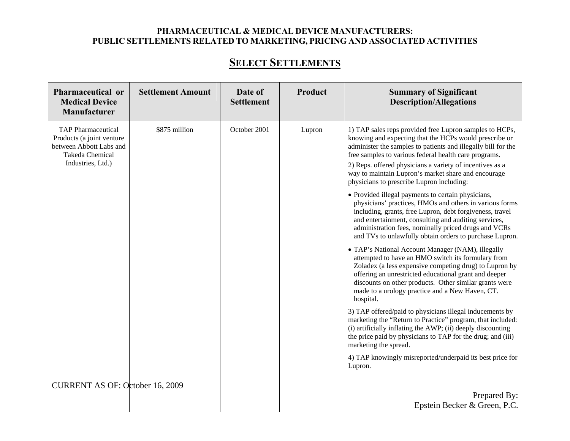### **SELECT SETTLEMENTS**

| Pharmaceutical or<br><b>Medical Device</b><br>Manufacturer                                                                | <b>Settlement Amount</b> | Date of<br><b>Settlement</b> | Product | <b>Summary of Significant</b><br><b>Description/Allegations</b>                                                                                                                                                                                                                                                                                                                                                                                                                                                                                                                                                                                                                                                                                                     |
|---------------------------------------------------------------------------------------------------------------------------|--------------------------|------------------------------|---------|---------------------------------------------------------------------------------------------------------------------------------------------------------------------------------------------------------------------------------------------------------------------------------------------------------------------------------------------------------------------------------------------------------------------------------------------------------------------------------------------------------------------------------------------------------------------------------------------------------------------------------------------------------------------------------------------------------------------------------------------------------------------|
| <b>TAP</b> Pharmaceutical<br>Products (a joint venture<br>between Abbott Labs and<br>Takeda Chemical<br>Industries, Ltd.) | \$875 million            | October 2001                 | Lupron  | 1) TAP sales reps provided free Lupron samples to HCPs,<br>knowing and expecting that the HCPs would prescribe or<br>administer the samples to patients and illegally bill for the<br>free samples to various federal health care programs.<br>2) Reps. offered physicians a variety of incentives as a<br>way to maintain Lupron's market share and encourage<br>physicians to prescribe Lupron including:<br>• Provided illegal payments to certain physicians,<br>physicians' practices, HMOs and others in various forms<br>including, grants, free Lupron, debt forgiveness, travel<br>and entertainment, consulting and auditing services,<br>administration fees, nominally priced drugs and VCRs<br>and TVs to unlawfully obtain orders to purchase Lupron. |
|                                                                                                                           |                          |                              |         | • TAP's National Account Manager (NAM), illegally<br>attempted to have an HMO switch its formulary from<br>Zoladex (a less expensive competing drug) to Lupron by<br>offering an unrestricted educational grant and deeper<br>discounts on other products. Other similar grants were<br>made to a urology practice and a New Haven, CT.<br>hospital.                                                                                                                                                                                                                                                                                                                                                                                                                |
|                                                                                                                           |                          |                              |         | 3) TAP offered/paid to physicians illegal inducements by<br>marketing the "Return to Practice" program, that included:<br>(i) artificially inflating the AWP; (ii) deeply discounting<br>the price paid by physicians to TAP for the drug; and (iii)<br>marketing the spread.                                                                                                                                                                                                                                                                                                                                                                                                                                                                                       |
|                                                                                                                           |                          |                              |         | 4) TAP knowingly misreported/underpaid its best price for<br>Lupron.                                                                                                                                                                                                                                                                                                                                                                                                                                                                                                                                                                                                                                                                                                |
| <b>CURRENT AS OF: October 16, 2009</b>                                                                                    |                          |                              |         |                                                                                                                                                                                                                                                                                                                                                                                                                                                                                                                                                                                                                                                                                                                                                                     |
|                                                                                                                           |                          |                              |         | Prepared By:<br>Epstein Becker & Green, P.C.                                                                                                                                                                                                                                                                                                                                                                                                                                                                                                                                                                                                                                                                                                                        |
|                                                                                                                           |                          |                              |         |                                                                                                                                                                                                                                                                                                                                                                                                                                                                                                                                                                                                                                                                                                                                                                     |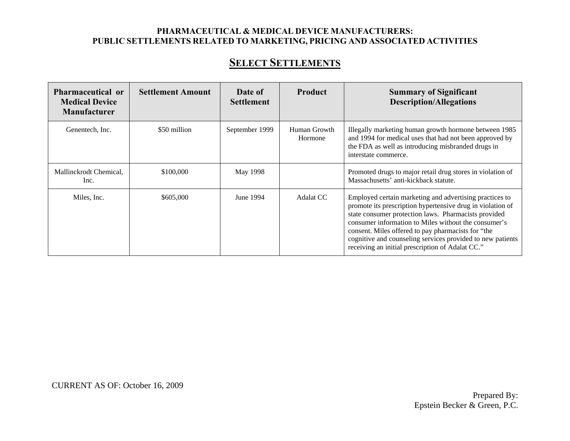# **SELECT SETTLEMENTS**

| <b>Pharmaceutical or</b><br><b>Medical Device</b><br><b>Manufacturer</b> | <b>Settlement Amount</b> | Date of<br><b>Settlement</b> | <b>Product</b>          | <b>Summary of Significant</b><br><b>Description/Allegations</b>                                                                                                                                                                                                                                                                                                                                               |
|--------------------------------------------------------------------------|--------------------------|------------------------------|-------------------------|---------------------------------------------------------------------------------------------------------------------------------------------------------------------------------------------------------------------------------------------------------------------------------------------------------------------------------------------------------------------------------------------------------------|
| Genentech, Inc.                                                          | \$50 million             | September 1999               | Human Growth<br>Hormone | Illegally marketing human growth hormone between 1985<br>and 1994 for medical uses that had not been approved by<br>the FDA as well as introducing misbranded drugs in<br>interstate commerce.                                                                                                                                                                                                                |
| Mallinckrodt Chemical,<br>Inc.                                           | \$100,000                | May 1998                     |                         | Promoted drugs to major retail drug stores in violation of<br>Massachusetts' anti-kickback statute.                                                                                                                                                                                                                                                                                                           |
| Miles, Inc.                                                              | \$605,000                | June 1994                    | Adalat CC               | Employed certain marketing and advertising practices to<br>promote its prescription hypertensive drug in violation of<br>state consumer protection laws. Pharmacists provided<br>consumer information to Miles without the consumer's<br>consent. Miles offered to pay pharmacists for "the<br>cognitive and counseling services provided to new patients<br>receiving an initial prescription of Adalat CC." |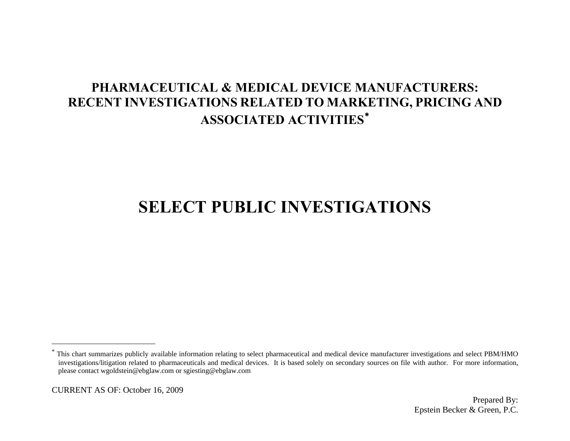# **SELECT PUBLIC INVESTIGATIONS**

<span id="page-42-0"></span><sup>∗</sup> This chart summarizes publicly available information relating to select pharmaceutical and medical device manufacturer investigations and select PBM/HMO investigations/litigation related to pharmaceuticals and medical devices. It is based solely on secondary sources on file with author. For more information, please contact wgoldstein@ebglaw.com or sgiesting@ebglaw.com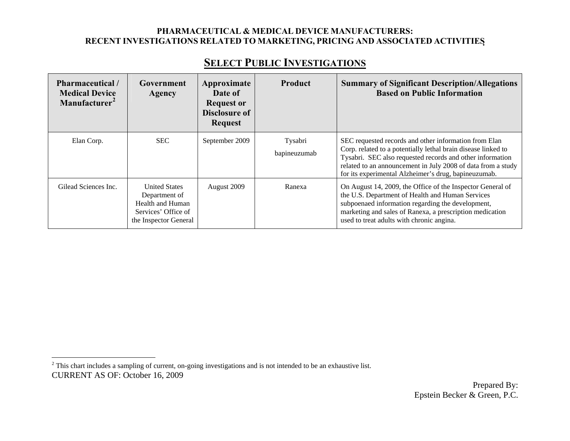# **SELECT PUBLIC INVESTIGATIONS**

| Pharmaceutical /<br><b>Medical Device</b><br>Manufacturer <sup>2</sup> | Government<br>Agency                                                                                      | Approximate<br>Date of<br><b>Request or</b><br><b>Disclosure of</b><br><b>Request</b> | <b>Product</b>          | <b>Summary of Significant Description/Allegations</b><br><b>Based on Public Information</b>                                                                                                                                                                                                                 |
|------------------------------------------------------------------------|-----------------------------------------------------------------------------------------------------------|---------------------------------------------------------------------------------------|-------------------------|-------------------------------------------------------------------------------------------------------------------------------------------------------------------------------------------------------------------------------------------------------------------------------------------------------------|
| Elan Corp.                                                             | <b>SEC</b>                                                                                                | September 2009                                                                        | Tysabri<br>bapineuzumab | SEC requested records and other information from Elan<br>Corp. related to a potentially lethal brain disease linked to<br>Tysabri. SEC also requested records and other information<br>related to an announcement in July 2008 of data from a study<br>for its experimental Alzheimer's drug, bapineuzumab. |
| Gilead Sciences Inc.                                                   | <b>United States</b><br>Department of<br>Health and Human<br>Services' Office of<br>the Inspector General | August 2009                                                                           | Ranexa                  | On August 14, 2009, the Office of the Inspector General of<br>the U.S. Department of Health and Human Services<br>subpoenaed information regarding the development,<br>marketing and sales of Ranexa, a prescription medication<br>used to treat adults with chronic angina.                                |

<span id="page-43-0"></span>CURRENT AS OF: October 16, 2009  $2$  This chart includes a sampling of current, on-going investigations and is not intended to be an exhaustive list.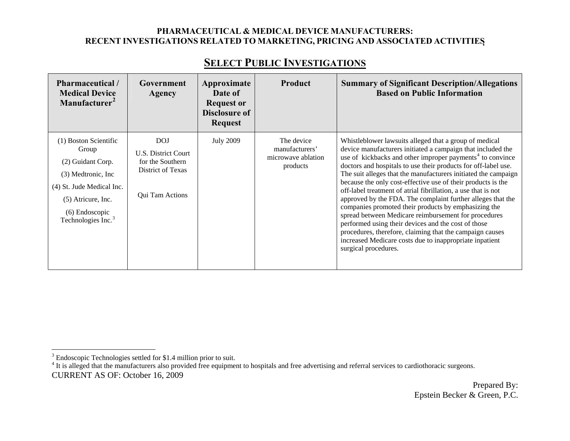| <b>Pharmaceutical</b> /<br><b>Medical Device</b><br>Manufacturer <sup>2</sup>                                                                                                     | Government<br>Agency                                                                          | Approximate<br>Date of<br><b>Request or</b><br><b>Disclosure of</b><br><b>Request</b> | <b>Product</b>                                                 | <b>Summary of Significant Description/Allegations</b><br><b>Based on Public Information</b>                                                                                                                                                                                                                                                                                                                                                                                                                                                                                                                                                                                                                                                                                                                                                              |
|-----------------------------------------------------------------------------------------------------------------------------------------------------------------------------------|-----------------------------------------------------------------------------------------------|---------------------------------------------------------------------------------------|----------------------------------------------------------------|----------------------------------------------------------------------------------------------------------------------------------------------------------------------------------------------------------------------------------------------------------------------------------------------------------------------------------------------------------------------------------------------------------------------------------------------------------------------------------------------------------------------------------------------------------------------------------------------------------------------------------------------------------------------------------------------------------------------------------------------------------------------------------------------------------------------------------------------------------|
| (1) Boston Scientific<br>Group<br>(2) Guidant Corp.<br>(3) Medtronic, Inc.<br>(4) St. Jude Medical Inc.<br>(5) Atricure, Inc.<br>(6) Endoscopic<br>Technologies Inc. <sup>3</sup> | <b>DOJ</b><br>U.S. District Court<br>for the Southern<br>District of Texas<br>Qui Tam Actions | <b>July 2009</b>                                                                      | The device<br>manufacturers'<br>microwave ablation<br>products | Whistleblower lawsuits alleged that a group of medical<br>device manufacturers initiated a campaign that included the<br>use of kickbacks and other improper payments <sup>4</sup> to convince<br>doctors and hospitals to use their products for off-label use.<br>The suit alleges that the manufacturers initiated the campaign<br>because the only cost-effective use of their products is the<br>off-label treatment of atrial fibrillation, a use that is not<br>approved by the FDA. The complaint further alleges that the<br>companies promoted their products by emphasizing the<br>spread between Medicare reimbursement for procedures<br>performed using their devices and the cost of those<br>procedures, therefore, claiming that the campaign causes<br>increased Medicare costs due to inappropriate inpatient<br>surgical procedures. |

### **SELECT PUBLIC INVESTIGATIONS**

<span id="page-44-0"></span><sup>3</sup> Endoscopic Technologies settled for \$1.4 million prior to suit.

<span id="page-44-1"></span>CURRENT AS OF: October 16, 2009 <sup>4</sup> It is alleged that the manufacturers also provided free equipment to hospitals and free advertising and referral services to cardiothoracic surgeons.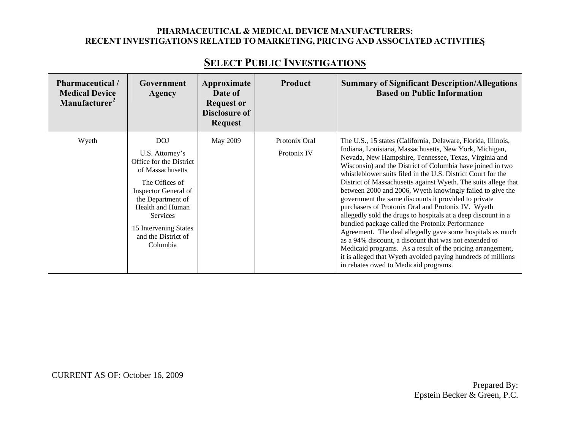| Pharmaceutical /<br><b>Medical Device</b><br>Manufacturer <sup>2</sup> | Government<br>Agency                                                                                                                                                                                                                           | Approximate<br>Date of<br><b>Request or</b><br><b>Disclosure of</b><br><b>Request</b> | <b>Product</b>               | <b>Summary of Significant Description/Allegations</b><br><b>Based on Public Information</b>                                                                                                                                                                                                                                                                                                                                                                                                                                                                                                                                                                                                                                                                                                                                                                          |
|------------------------------------------------------------------------|------------------------------------------------------------------------------------------------------------------------------------------------------------------------------------------------------------------------------------------------|---------------------------------------------------------------------------------------|------------------------------|----------------------------------------------------------------------------------------------------------------------------------------------------------------------------------------------------------------------------------------------------------------------------------------------------------------------------------------------------------------------------------------------------------------------------------------------------------------------------------------------------------------------------------------------------------------------------------------------------------------------------------------------------------------------------------------------------------------------------------------------------------------------------------------------------------------------------------------------------------------------|
| Wyeth                                                                  | <b>DOJ</b><br>U.S. Attorney's<br>Office for the District<br>of Massachusetts<br>The Offices of<br>Inspector General of<br>the Department of<br>Health and Human<br><b>Services</b><br>15 Intervening States<br>and the District of<br>Columbia | May 2009                                                                              | Protonix Oral<br>Protonix IV | The U.S., 15 states (California, Delaware, Florida, Illinois,<br>Indiana, Louisiana, Massachusetts, New York, Michigan,<br>Nevada, New Hampshire, Tennessee, Texas, Virginia and<br>Wisconsin) and the District of Columbia have joined in two<br>whistleblower suits filed in the U.S. District Court for the<br>District of Massachusetts against Wyeth. The suits allege that<br>between 2000 and 2006, Wyeth knowingly failed to give the<br>government the same discounts it provided to private<br>purchasers of Protonix Oral and Protonix IV. Wyeth<br>allegedly sold the drugs to hospitals at a deep discount in a<br>bundled package called the Protonix Performance<br>Agreement. The deal allegedly gave some hospitals as much<br>as a 94% discount, a discount that was not extended to<br>Medicaid programs. As a result of the pricing arrangement, |
|                                                                        |                                                                                                                                                                                                                                                |                                                                                       |                              | it is alleged that Wyeth avoided paying hundreds of millions<br>in rebates owed to Medicaid programs.                                                                                                                                                                                                                                                                                                                                                                                                                                                                                                                                                                                                                                                                                                                                                                |

### **SELECT PUBLIC INVESTIGATIONS**

CURRENT AS OF: October 16, 2009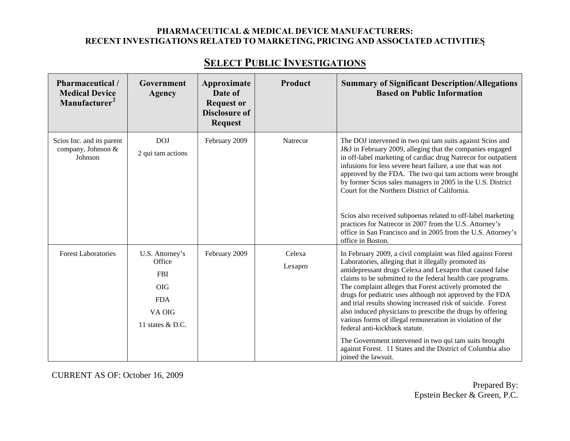| Pharmaceutical /<br><b>Medical Device</b><br>Manufacturer <sup>2</sup> | Government<br><b>Agency</b>                                                                       | Approximate<br>Date of<br><b>Request or</b><br><b>Disclosure of</b><br><b>Request</b> | Product           | <b>Summary of Significant Description/Allegations</b><br><b>Based on Public Information</b>                                                                                                                                                                                                                                                                                                                                                                                                                                                                                                                                                                                                                                    |
|------------------------------------------------------------------------|---------------------------------------------------------------------------------------------------|---------------------------------------------------------------------------------------|-------------------|--------------------------------------------------------------------------------------------------------------------------------------------------------------------------------------------------------------------------------------------------------------------------------------------------------------------------------------------------------------------------------------------------------------------------------------------------------------------------------------------------------------------------------------------------------------------------------------------------------------------------------------------------------------------------------------------------------------------------------|
| Scios Inc. and its parent<br>company, Johnson &<br>Johnson             | <b>DOJ</b><br>2 qui tam actions                                                                   | February 2009                                                                         | Natrecor          | The DOJ intervened in two qui tam suits against Scios and<br>J&J in February 2009, alleging that the companies engaged<br>in off-label marketing of cardiac drug Natrecor for outpatient<br>infusions for less severe heart failure, a use that was not<br>approved by the FDA. The two qui tam actions were brought<br>by former Scios sales managers in 2005 in the U.S. District<br>Court for the Northern District of California.<br>Scios also received subpoenas related to off-label marketing<br>practices for Natrecor in 2007 from the U.S. Attorney's<br>office in San Francisco and in 2005 from the U.S. Attorney's<br>office in Boston.                                                                          |
| <b>Forest Laboratories</b>                                             | U.S. Attorney's<br>Office<br><b>FBI</b><br><b>OIG</b><br><b>FDA</b><br>VA OIG<br>11 states & D.C. | February 2009                                                                         | Celexa<br>Lexapro | In February 2009, a civil complaint was filed against Forest<br>Laboratories, alleging that it illegally promoted its<br>antidepressant drugs Celexa and Lexapro that caused false<br>claims to be submitted to the federal health care programs.<br>The complaint alleges that Forest actively promoted the<br>drugs for pediatric uses although not approved by the FDA<br>and trial results showing increased risk of suicide. Forest<br>also induced physicians to prescribe the drugs by offering<br>various forms of illegal remuneration in violation of the<br>federal anti-kickback statute.<br>The Government intervened in two qui tam suits brought<br>against Forest. 11 States and the District of Columbia also |

joined the lawsuit.

# **SELECT PUBLIC INVESTIGATIONS**

CURRENT AS OF: October 16, 2009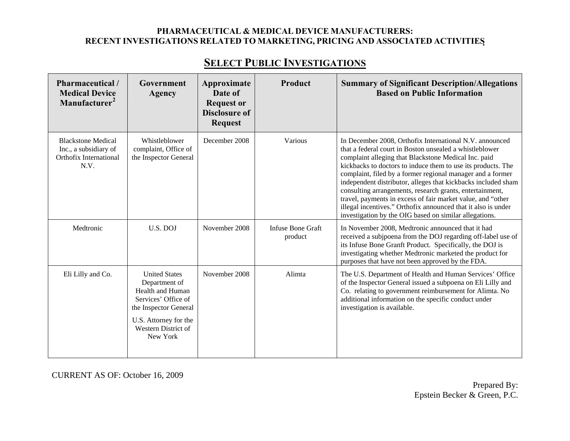| Pharmaceutical /<br><b>Medical Device</b><br>Manufacturer <sup>2</sup>               | Government<br><b>Agency</b>                                                                                                                                           | Approximate<br>Date of<br><b>Request or</b><br><b>Disclosure of</b><br><b>Request</b> | Product                      | <b>Summary of Significant Description/Allegations</b><br><b>Based on Public Information</b>                                                                                                                                                                                                                                                                                                                                                                                                                                                                                                                                     |
|--------------------------------------------------------------------------------------|-----------------------------------------------------------------------------------------------------------------------------------------------------------------------|---------------------------------------------------------------------------------------|------------------------------|---------------------------------------------------------------------------------------------------------------------------------------------------------------------------------------------------------------------------------------------------------------------------------------------------------------------------------------------------------------------------------------------------------------------------------------------------------------------------------------------------------------------------------------------------------------------------------------------------------------------------------|
| <b>Blackstone Medical</b><br>Inc., a subsidiary of<br>Orthofix International<br>N.V. | Whistleblower<br>complaint, Office of<br>the Inspector General                                                                                                        | December 2008                                                                         | Various                      | In December 2008, Orthofix International N.V. announced<br>that a federal court in Boston unsealed a whistleblower<br>complaint alleging that Blackstone Medical Inc. paid<br>kickbacks to doctors to induce them to use its products. The<br>complaint, filed by a former regional manager and a former<br>independent distributor, alleges that kickbacks included sham<br>consulting arrangements, research grants, entertainment,<br>travel, payments in excess of fair market value, and "other<br>illegal incentives." Orthofix announced that it also is under<br>investigation by the OIG based on similar allegations. |
| Medtronic                                                                            | U.S. DOJ                                                                                                                                                              | November 2008                                                                         | Infuse Bone Graft<br>product | In November 2008, Medtronic announced that it had<br>received a subjpoena from the DOJ regarding off-label use of<br>its Infuse Bone Granft Product. Specifically, the DOJ is<br>investigating whether Medtronic marketed the product for<br>purposes that have not been approved by the FDA.                                                                                                                                                                                                                                                                                                                                   |
| Eli Lilly and Co.                                                                    | <b>United States</b><br>Department of<br>Health and Human<br>Services' Office of<br>the Inspector General<br>U.S. Attorney for the<br>Western District of<br>New York | November 2008                                                                         | Alimta                       | The U.S. Department of Health and Human Services' Office<br>of the Inspector General issued a subpoena on Eli Lilly and<br>Co. relating to government reimbursement for Alimta. No<br>additional information on the specific conduct under<br>investigation is available.                                                                                                                                                                                                                                                                                                                                                       |

CURRENT AS OF: October 16, 2009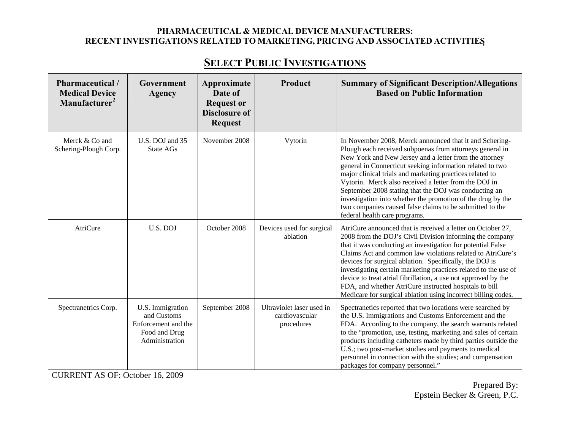| Pharmaceutical /<br><b>Medical Device</b><br>Manufacturer <sup>2</sup> | Government<br>Agency                                                                      | Approximate<br>Date of<br><b>Request or</b><br><b>Disclosure of</b><br><b>Request</b> | Product                                                   | <b>Summary of Significant Description/Allegations</b><br><b>Based on Public Information</b>                                                                                                                                                                                                                                                                                                                                                                                                                                                                                          |
|------------------------------------------------------------------------|-------------------------------------------------------------------------------------------|---------------------------------------------------------------------------------------|-----------------------------------------------------------|--------------------------------------------------------------------------------------------------------------------------------------------------------------------------------------------------------------------------------------------------------------------------------------------------------------------------------------------------------------------------------------------------------------------------------------------------------------------------------------------------------------------------------------------------------------------------------------|
| Merck & Co and<br>Schering-Plough Corp.                                | U.S. DOJ and 35<br>State AGs                                                              | November 2008                                                                         | Vytorin                                                   | In November 2008, Merck announced that it and Schering-<br>Plough each received subpoenas from attorneys general in<br>New York and New Jersey and a letter from the attorney<br>general in Connecticut seeking information related to two<br>major clinical trials and marketing practices related to<br>Vytorin. Merck also received a letter from the DOJ in<br>September 2008 stating that the DOJ was conducting an<br>investigation into whether the promotion of the drug by the<br>two companies caused false claims to be submitted to the<br>federal health care programs. |
| AtriCure                                                               | U.S. DOJ                                                                                  | October 2008                                                                          | Devices used for surgical<br>ablation                     | AtriCure announced that is received a letter on October 27,<br>2008 from the DOJ's Civil Division informing the company<br>that it was conducting an investigation for potential False<br>Claims Act and common law violations related to AtriCure's<br>devices for surgical ablation. Specifically, the DOJ is<br>investigating certain marketing practices related to the use of<br>device to treat atrial fibrillation, a use not approved by the<br>FDA, and whether AtriCure instructed hospitals to bill<br>Medicare for surgical ablation using incorrect billing codes.      |
| Spectranetrics Corp.                                                   | U.S. Immigration<br>and Customs<br>Enforcement and the<br>Food and Drug<br>Administration | September 2008                                                                        | Ultraviolet laser used in<br>cardiovascular<br>procedures | Spectranetics reported that two locations were searched by<br>the U.S. Immigrations and Customs Enforcement and the<br>FDA. According to the company, the search warrants related<br>to the "promotion, use, testing, marketing and sales of certain<br>products including catheters made by third parties outside the<br>U.S.; two post-market studies and payments to medical<br>personnel in connection with the studies; and compensation<br>packages for company personnel."                                                                                                    |

CURRENT AS OF: October 16, 2009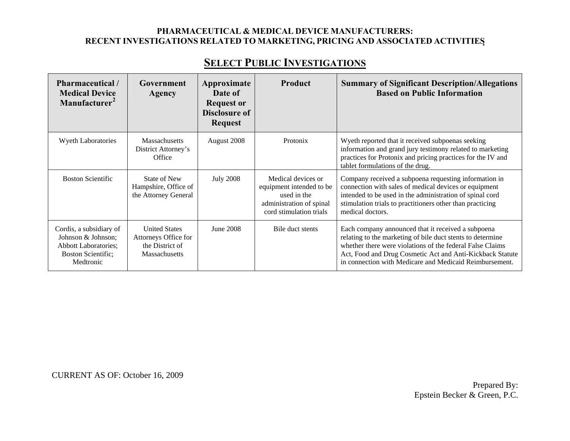# **SELECT PUBLIC INVESTIGATIONS**

| Pharmaceutical /<br><b>Medical Device</b><br>Manufacturer <sup>2</sup>                                                 | Government<br>Agency                                                             | Approximate<br>Date of<br><b>Request or</b> | <b>Product</b>                                                                                                       | <b>Summary of Significant Description/Allegations</b><br><b>Based on Public Information</b>                                                                                                                                                                                                           |
|------------------------------------------------------------------------------------------------------------------------|----------------------------------------------------------------------------------|---------------------------------------------|----------------------------------------------------------------------------------------------------------------------|-------------------------------------------------------------------------------------------------------------------------------------------------------------------------------------------------------------------------------------------------------------------------------------------------------|
|                                                                                                                        |                                                                                  | <b>Disclosure of</b><br><b>Request</b>      |                                                                                                                      |                                                                                                                                                                                                                                                                                                       |
| <b>Wyeth Laboratories</b>                                                                                              | Massachusetts<br>District Attorney's<br>Office                                   | August 2008                                 | Protonix                                                                                                             | Wyeth reported that it received subpoenas seeking<br>information and grand jury testimony related to marketing<br>practices for Protonix and pricing practices for the IV and<br>tablet formulations of the drug.                                                                                     |
| <b>Boston Scientific</b>                                                                                               | State of New<br>Hampshire, Office of<br>the Attorney General                     | <b>July 2008</b>                            | Medical devices or<br>equipment intended to be<br>used in the<br>administration of spinal<br>cord stimulation trials | Company received a subpoena requesting information in<br>connection with sales of medical devices or equipment<br>intended to be used in the administration of spinal cord<br>stimulation trials to practitioners other than practicing<br>medical doctors.                                           |
| Cordis, a subsidiary of<br>Johnson & Johnson;<br><b>Abbott Laboratories;</b><br><b>Boston Scientific;</b><br>Medtronic | <b>United States</b><br>Attorneys Office for<br>the District of<br>Massachusetts | June 2008                                   | Bile duct stents                                                                                                     | Each company announced that it received a subpoena<br>relating to the marketing of bile duct stents to determine<br>whether there were violations of the federal False Claims<br>Act, Food and Drug Cosmetic Act and Anti-Kickback Statute<br>in connection with Medicare and Medicaid Reimbursement. |

CURRENT AS OF: October 16, 2009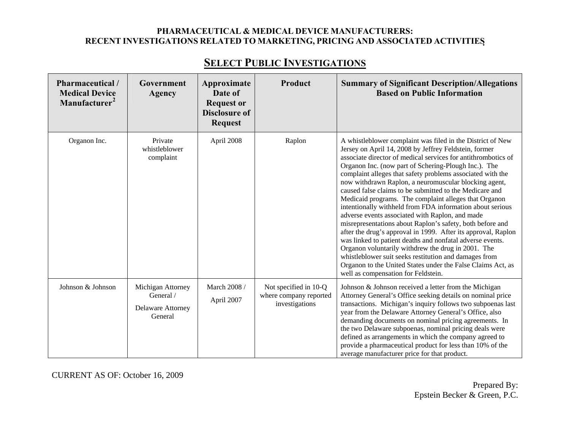| <b>Pharmaceutical</b> /<br><b>Medical Device</b><br>Manufacturer <sup>2</sup> | Government<br>Agency                                           | Approximate<br>Date of<br><b>Request or</b><br><b>Disclosure of</b><br><b>Request</b> | Product                                                           | <b>Summary of Significant Description/Allegations</b><br><b>Based on Public Information</b>                                                                                                                                                                                                                                                                                                                                                                                                                                                                                                                                                                                                                                                                                                                                                                                                                                                                                                                             |
|-------------------------------------------------------------------------------|----------------------------------------------------------------|---------------------------------------------------------------------------------------|-------------------------------------------------------------------|-------------------------------------------------------------------------------------------------------------------------------------------------------------------------------------------------------------------------------------------------------------------------------------------------------------------------------------------------------------------------------------------------------------------------------------------------------------------------------------------------------------------------------------------------------------------------------------------------------------------------------------------------------------------------------------------------------------------------------------------------------------------------------------------------------------------------------------------------------------------------------------------------------------------------------------------------------------------------------------------------------------------------|
| Organon Inc.                                                                  | Private<br>whistleblower<br>complaint                          | April 2008                                                                            | Raplon                                                            | A whistleblower complaint was filed in the District of New<br>Jersey on April 14, 2008 by Jeffrey Feldstein, former<br>associate director of medical services for antithrombotics of<br>Organon Inc. (now part of Schering-Plough Inc.). The<br>complaint alleges that safety problems associated with the<br>now withdrawn Raplon, a neuromuscular blocking agent,<br>caused false claims to be submitted to the Medicare and<br>Medicaid programs. The complaint alleges that Organon<br>intentionally withheld from FDA information about serious<br>adverse events associated with Raplon, and made<br>misrepresentations about Raplon's safety, both before and<br>after the drug's approval in 1999. After its approval, Raplon<br>was linked to patient deaths and nonfatal adverse events.<br>Organon voluntarily withdrew the drug in 2001. The<br>whistleblower suit seeks restitution and damages from<br>Organon to the United States under the False Claims Act, as<br>well as compensation for Feldstein. |
| Johnson & Johnson                                                             | Michigan Attorney<br>General /<br>Delaware Attorney<br>General | March 2008 /<br>April 2007                                                            | Not specified in 10-Q<br>where company reported<br>investigations | Johnson & Johnson received a letter from the Michigan<br>Attorney General's Office seeking details on nominal price<br>transactions. Michigan's inquiry follows two subpoenas last<br>year from the Delaware Attorney General's Office, also<br>demanding documents on nominal pricing agreements. In<br>the two Delaware subpoenas, nominal pricing deals were<br>defined as arrangements in which the company agreed to<br>provide a pharmaceutical product for less than 10% of the<br>average manufacturer price for that product.                                                                                                                                                                                                                                                                                                                                                                                                                                                                                  |

# **SELECT PUBLIC INVESTIGATIONS**

CURRENT AS OF: October 16, 2009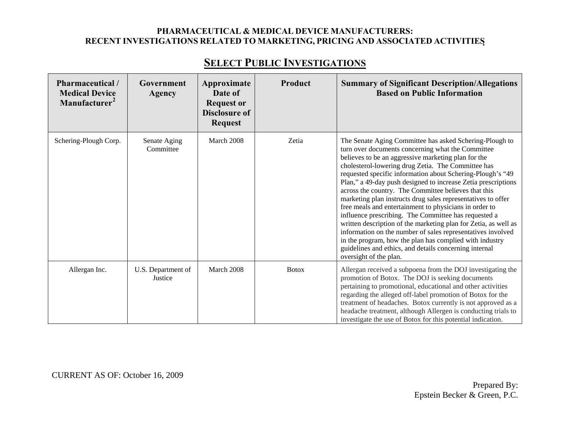| Pharmaceutical /<br><b>Medical Device</b><br>Manufacturer <sup>2</sup> | Government<br>Agency          | Approximate<br>Date of<br><b>Request or</b><br><b>Disclosure of</b><br><b>Request</b> | Product      | <b>Summary of Significant Description/Allegations</b><br><b>Based on Public Information</b>                                                                                                                                                                                                                                                                                                                                                                                                                                                                                                                                                                                                                                                                                                                                                                                         |
|------------------------------------------------------------------------|-------------------------------|---------------------------------------------------------------------------------------|--------------|-------------------------------------------------------------------------------------------------------------------------------------------------------------------------------------------------------------------------------------------------------------------------------------------------------------------------------------------------------------------------------------------------------------------------------------------------------------------------------------------------------------------------------------------------------------------------------------------------------------------------------------------------------------------------------------------------------------------------------------------------------------------------------------------------------------------------------------------------------------------------------------|
| Schering-Plough Corp.                                                  | Senate Aging<br>Committee     | March 2008                                                                            | Zetia        | The Senate Aging Committee has asked Schering-Plough to<br>turn over documents concerning what the Committee<br>believes to be an aggressive marketing plan for the<br>cholesterol-lowering drug Zetia. The Committee has<br>requested specific information about Schering-Plough's "49<br>Plan," a 49-day push designed to increase Zetia prescriptions<br>across the country. The Committee believes that this<br>marketing plan instructs drug sales representatives to offer<br>free meals and entertainment to physicians in order to<br>influence prescribing. The Committee has requested a<br>written description of the marketing plan for Zetia, as well as<br>information on the number of sales representatives involved<br>in the program, how the plan has complied with industry<br>guidelines and ethics, and details concerning internal<br>oversight of the plan. |
| Allergan Inc.                                                          | U.S. Department of<br>Justice | March 2008                                                                            | <b>Botox</b> | Allergan received a subpoena from the DOJ investigating the<br>promotion of Botox. The DOJ is seeking documents<br>pertaining to promotional, educational and other activities<br>regarding the alleged off-label promotion of Botox for the<br>treatment of headaches. Botox currently is not approved as a<br>headache treatment, although Allergen is conducting trials to<br>investigate the use of Botox for this potential indication.                                                                                                                                                                                                                                                                                                                                                                                                                                        |

# **SELECT PUBLIC INVESTIGATIONS**

CURRENT AS OF: October 16, 2009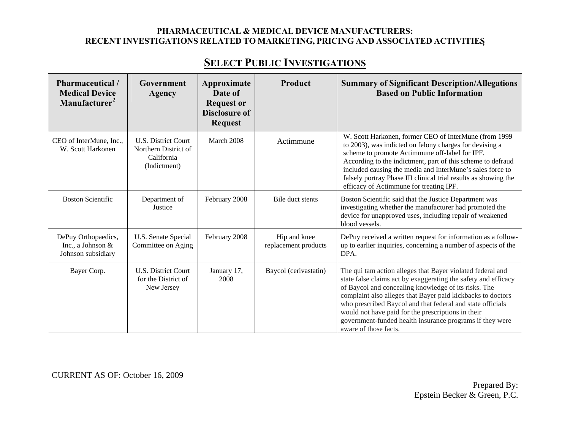# **SELECT PUBLIC INVESTIGATIONS**

| Pharmaceutical /<br><b>Medical Device</b><br>Manufacturer <sup>2</sup> | Government<br>Agency                                                             | Approximate<br>Date of<br><b>Request or</b><br><b>Disclosure of</b><br><b>Request</b> | Product                              | <b>Summary of Significant Description/Allegations</b><br><b>Based on Public Information</b>                                                                                                                                                                                                                                                                                                                                                                  |
|------------------------------------------------------------------------|----------------------------------------------------------------------------------|---------------------------------------------------------------------------------------|--------------------------------------|--------------------------------------------------------------------------------------------------------------------------------------------------------------------------------------------------------------------------------------------------------------------------------------------------------------------------------------------------------------------------------------------------------------------------------------------------------------|
| CEO of InterMune, Inc.,<br>W. Scott Harkonen                           | <b>U.S. District Court</b><br>Northern District of<br>California<br>(Indictment) | March 2008                                                                            | Actimmune                            | W. Scott Harkonen, former CEO of InterMune (from 1999<br>to 2003), was indicted on felony charges for devising a<br>scheme to promote Actimmune off-label for IPF.<br>According to the indictment, part of this scheme to defraud<br>included causing the media and InterMune's sales force to<br>falsely portray Phase III clinical trial results as showing the<br>efficacy of Actimmune for treating IPF.                                                 |
| <b>Boston Scientific</b>                                               | Department of<br>Justice                                                         | February 2008                                                                         | Bile duct stents                     | Boston Scientific said that the Justice Department was<br>investigating whether the manufacturer had promoted the<br>device for unapproved uses, including repair of weakened<br>blood vessels.                                                                                                                                                                                                                                                              |
| DePuy Orthopaedics,<br>Inc., a Johnson &<br>Johnson subsidiary         | U.S. Senate Special<br>Committee on Aging                                        | February 2008                                                                         | Hip and knee<br>replacement products | DePuy received a written request for information as a follow-<br>up to earlier inquiries, concerning a number of aspects of the<br>DPA.                                                                                                                                                                                                                                                                                                                      |
| Bayer Corp.                                                            | <b>U.S. District Court</b><br>for the District of<br>New Jersey                  | January 17,<br>2008                                                                   | Baycol (cerivastatin)                | The qui tam action alleges that Bayer violated federal and<br>state false claims act by exaggerating the safety and efficacy<br>of Baycol and concealing knowledge of its risks. The<br>complaint also alleges that Bayer paid kickbacks to doctors<br>who prescribed Baycol and that federal and state officials<br>would not have paid for the prescriptions in their<br>government-funded health insurance programs if they were<br>aware of those facts. |

CURRENT AS OF: October 16, 2009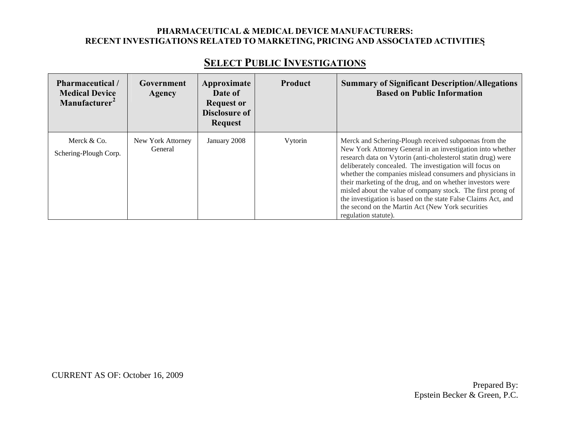| Pharmaceutical/<br><b>Medical Device</b><br>Manufacturer <sup>2</sup> | Government<br>Agency         | Approximate<br>Date of<br><b>Request or</b><br>Disclosure of<br><b>Request</b> | <b>Product</b> | <b>Summary of Significant Description/Allegations</b><br><b>Based on Public Information</b>                                                                                                                                                                                                                                                                                                                                                                                                                                                                                            |
|-----------------------------------------------------------------------|------------------------------|--------------------------------------------------------------------------------|----------------|----------------------------------------------------------------------------------------------------------------------------------------------------------------------------------------------------------------------------------------------------------------------------------------------------------------------------------------------------------------------------------------------------------------------------------------------------------------------------------------------------------------------------------------------------------------------------------------|
| Merck & Co.<br>Schering-Plough Corp.                                  | New York Attorney<br>General | January 2008                                                                   | Vytorin        | Merck and Schering-Plough received subpoenas from the<br>New York Attorney General in an investigation into whether<br>research data on Vytorin (anti-cholesterol statin drug) were<br>deliberately concealed. The investigation will focus on<br>whether the companies mislead consumers and physicians in<br>their marketing of the drug, and on whether investors were<br>misled about the value of company stock. The first prong of<br>the investigation is based on the state False Claims Act, and<br>the second on the Martin Act (New York securities<br>regulation statute). |

CURRENT AS OF: October 16, 2009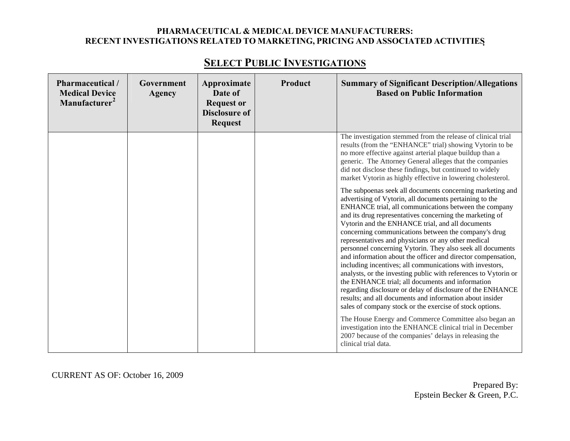| <b>Pharmaceutical</b> /<br><b>Medical Device</b><br>Manufacturer <sup>2</sup> | Government<br>Agency | Approximate<br>Date of<br><b>Request or</b><br><b>Disclosure of</b><br><b>Request</b> | Product | <b>Summary of Significant Description/Allegations</b><br><b>Based on Public Information</b>                                                                                                                                                                                                                                                                                                                                                                                                                                                                                                                                                                                                                                                                                                                                                                                                                         |
|-------------------------------------------------------------------------------|----------------------|---------------------------------------------------------------------------------------|---------|---------------------------------------------------------------------------------------------------------------------------------------------------------------------------------------------------------------------------------------------------------------------------------------------------------------------------------------------------------------------------------------------------------------------------------------------------------------------------------------------------------------------------------------------------------------------------------------------------------------------------------------------------------------------------------------------------------------------------------------------------------------------------------------------------------------------------------------------------------------------------------------------------------------------|
|                                                                               |                      |                                                                                       |         |                                                                                                                                                                                                                                                                                                                                                                                                                                                                                                                                                                                                                                                                                                                                                                                                                                                                                                                     |
|                                                                               |                      |                                                                                       |         | The investigation stemmed from the release of clinical trial<br>results (from the "ENHANCE" trial) showing Vytorin to be<br>no more effective against arterial plaque buildup than a<br>generic. The Attorney General alleges that the companies<br>did not disclose these findings, but continued to widely<br>market Vytorin as highly effective in lowering cholesterol.                                                                                                                                                                                                                                                                                                                                                                                                                                                                                                                                         |
|                                                                               |                      |                                                                                       |         | The subpoenas seek all documents concerning marketing and<br>advertising of Vytorin, all documents pertaining to the<br>ENHANCE trial, all communications between the company<br>and its drug representatives concerning the marketing of<br>Vytorin and the ENHANCE trial, and all documents<br>concerning communications between the company's drug<br>representatives and physicians or any other medical<br>personnel concerning Vytorin. They also seek all documents<br>and information about the officer and director compensation,<br>including incentives; all communications with investors,<br>analysts, or the investing public with references to Vytorin or<br>the ENHANCE trial; all documents and information<br>regarding disclosure or delay of disclosure of the ENHANCE<br>results; and all documents and information about insider<br>sales of company stock or the exercise of stock options. |
|                                                                               |                      |                                                                                       |         | The House Energy and Commerce Committee also began an<br>investigation into the ENHANCE clinical trial in December<br>2007 because of the companies' delays in releasing the<br>clinical trial data.                                                                                                                                                                                                                                                                                                                                                                                                                                                                                                                                                                                                                                                                                                                |

CURRENT AS OF: October 16, 2009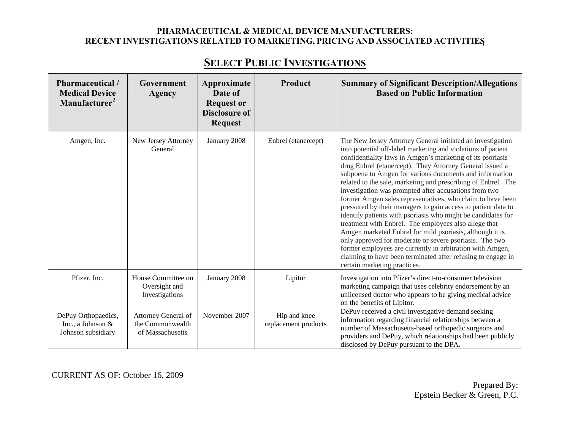| <b>Pharmaceutical</b> /<br><b>Medical Device</b><br>Manufacturer <sup>2</sup> | Government<br>Agency                                        | Approximate<br>Date of<br><b>Request or</b><br><b>Disclosure of</b><br><b>Request</b> | Product                              | <b>Summary of Significant Description/Allegations</b><br><b>Based on Public Information</b>                                                                                                                                                                                                                                                                                                                                                                                                                                                                                                                                                                                                                                                                                                                                                                                                                                                                                           |
|-------------------------------------------------------------------------------|-------------------------------------------------------------|---------------------------------------------------------------------------------------|--------------------------------------|---------------------------------------------------------------------------------------------------------------------------------------------------------------------------------------------------------------------------------------------------------------------------------------------------------------------------------------------------------------------------------------------------------------------------------------------------------------------------------------------------------------------------------------------------------------------------------------------------------------------------------------------------------------------------------------------------------------------------------------------------------------------------------------------------------------------------------------------------------------------------------------------------------------------------------------------------------------------------------------|
| Amgen, Inc.                                                                   | New Jersey Attorney<br>General                              | January 2008                                                                          | Enbrel (etanercept)                  | The New Jersey Attorney General initiated an investigation<br>into potential off-label marketing and violations of patient<br>confidentiality laws in Amgen's marketing of its psoriasis<br>drug Enbrel (etanercept). They Attorney General issued a<br>subpoena to Amgen for various documents and information<br>related to the sale, marketing and prescribing of Enbrel. The<br>investigation was prompted after accusations from two<br>former Amgen sales representatives, who claim to have been<br>pressured by their managers to gain access to patient data to<br>identify patients with psoriasis who might be candidates for<br>treatment with Enbrel. The employees also allege that<br>Amgen marketed Enbrel for mild psoriasis, although it is<br>only approved for moderate or severe psoriasis. The two<br>former employees are currently in arbitration with Amgen,<br>claiming to have been terminated after refusing to engage in<br>certain marketing practices. |
| Pfizer, Inc.                                                                  | House Committee on<br>Oversight and<br>Investigations       | January 2008                                                                          | Lipitor                              | Investigation into Pfizer's direct-to-consumer television<br>marketing campaign that uses celebrity endorsement by an<br>unlicensed doctor who appears to be giving medical advice<br>on the benefits of Lipitor.                                                                                                                                                                                                                                                                                                                                                                                                                                                                                                                                                                                                                                                                                                                                                                     |
| DePuy Orthopaedics,<br>Inc., a Johnson &<br>Johnson subsidiary                | Attorney General of<br>the Commonwealth<br>of Massachusetts | November 2007                                                                         | Hip and knee<br>replacement products | DePuy received a civil investigative demand seeking<br>information regarding financial relationships between a<br>number of Massachusetts-based orthopedic surgeons and<br>providers and DePuy, which relationships had been publicly<br>disclosed by DePuy pursuant to the DPA.                                                                                                                                                                                                                                                                                                                                                                                                                                                                                                                                                                                                                                                                                                      |

# **SELECT PUBLIC INVESTIGATIONS**

CURRENT AS OF: October 16, 2009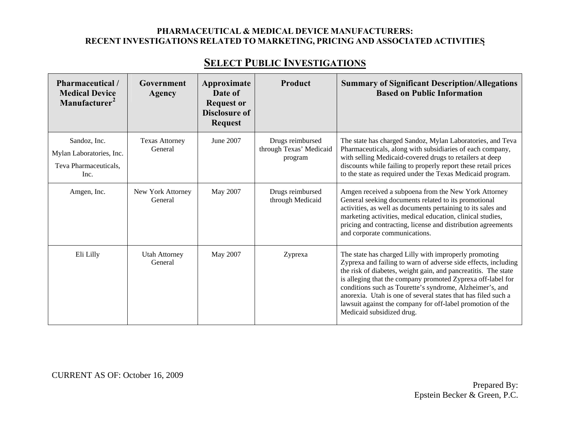# **SELECT PUBLIC INVESTIGATIONS**

| Pharmaceutical /<br><b>Medical Device</b><br>Manufacturer <sup>2</sup>    | Government<br><b>Agency</b>      | Approximate<br>Date of<br><b>Request or</b><br><b>Disclosure of</b><br><b>Request</b> | Product                                                | <b>Summary of Significant Description/Allegations</b><br><b>Based on Public Information</b>                                                                                                                                                                                                                                                                                                                                                                                      |
|---------------------------------------------------------------------------|----------------------------------|---------------------------------------------------------------------------------------|--------------------------------------------------------|----------------------------------------------------------------------------------------------------------------------------------------------------------------------------------------------------------------------------------------------------------------------------------------------------------------------------------------------------------------------------------------------------------------------------------------------------------------------------------|
| Sandoz, Inc.<br>Mylan Laboratories, Inc.<br>Teva Pharmaceuticals,<br>Inc. | <b>Texas Attorney</b><br>General | June 2007                                                                             | Drugs reimbursed<br>through Texas' Medicaid<br>program | The state has charged Sandoz, Mylan Laboratories, and Teva<br>Pharmaceuticals, along with subsidiaries of each company,<br>with selling Medicaid-covered drugs to retailers at deep<br>discounts while failing to properly report these retail prices<br>to the state as required under the Texas Medicaid program.                                                                                                                                                              |
| Amgen, Inc.                                                               | New York Attorney<br>General     | May 2007                                                                              | Drugs reimbursed<br>through Medicaid                   | Amgen received a subpoena from the New York Attorney<br>General seeking documents related to its promotional<br>activities, as well as documents pertaining to its sales and<br>marketing activities, medical education, clinical studies,<br>pricing and contracting, license and distribution agreements<br>and corporate communications.                                                                                                                                      |
| Eli Lilly                                                                 | <b>Utah Attorney</b><br>General  | May 2007                                                                              | Zyprexa                                                | The state has charged Lilly with improperly promoting<br>Zyprexa and failing to warn of adverse side effects, including<br>the risk of diabetes, weight gain, and pancreatitis. The state<br>is alleging that the company promoted Zyprexa off-label for<br>conditions such as Tourette's syndrome, Alzheimer's, and<br>anorexia. Utah is one of several states that has filed such a<br>lawsuit against the company for off-label promotion of the<br>Medicaid subsidized drug. |

CURRENT AS OF: October 16, 2009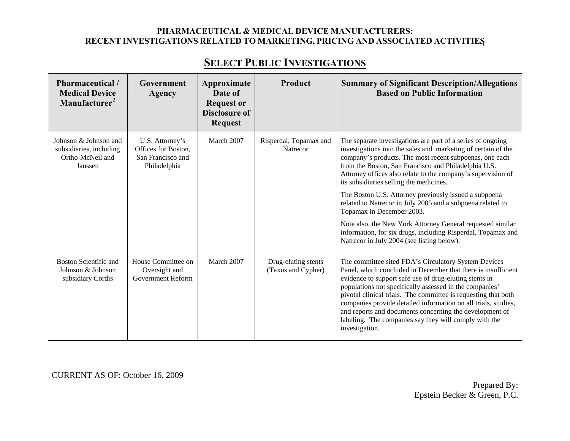| Pharmaceutical /<br><b>Medical Device</b><br>Manufacturer <sup>2</sup>          | Government<br>Agency                                                        | Approximate<br>Date of<br><b>Request or</b><br><b>Disclosure of</b><br><b>Request</b> | Product                                   | <b>Summary of Significant Description/Allegations</b><br><b>Based on Public Information</b>                                                                                                                                                                                                                                                                                                                                                                                                                                                                                                                                                                                                |
|---------------------------------------------------------------------------------|-----------------------------------------------------------------------------|---------------------------------------------------------------------------------------|-------------------------------------------|--------------------------------------------------------------------------------------------------------------------------------------------------------------------------------------------------------------------------------------------------------------------------------------------------------------------------------------------------------------------------------------------------------------------------------------------------------------------------------------------------------------------------------------------------------------------------------------------------------------------------------------------------------------------------------------------|
| Johnson & Johnson and<br>subsidiaries, including<br>Ortho-McNeil and<br>Janssen | U.S. Attorney's<br>Offices for Boston,<br>San Francisco and<br>Philadelphia | March 2007                                                                            | Risperdal, Topamax and<br><b>Natrecor</b> | The separate investigations are part of a series of ongoing<br>investigations into the sales and marketing of certain of the<br>company's products. The most recent subpoenas, one each<br>from the Boston, San Francisco and Philadelphia U.S.<br>Attorney offices also relate to the company's supervision of<br>its subsidiaries selling the medicines.<br>The Boston U.S. Attorney previously issued a subpoena<br>related to Natrecor in July 2005 and a subpoena related to<br>Topamax in December 2003.<br>Note also, the New York Attorney General requested similar<br>information, for six drugs, including Risperdal, Topamax and<br>Natrecor in July 2004 (see listing below). |
| <b>Boston Scientific and</b><br>Johnson & Johnson<br>subsidiary Cordis          | House Committee on<br>Oversight and<br>Government Reform                    | March 2007                                                                            | Drug-eluting stents<br>(Taxus and Cypher) | The committee sited FDA's Circulatory System Devices<br>Panel, which concluded in December that there is insufficient<br>evidence to support safe use of drug-eluting stents in<br>populations not specifically assessed in the companies'<br>pivotal clinical trials. The committee is requesting that both<br>companies provide detailed information on all trials, studies,<br>and reports and documents concerning the development of<br>labeling. The companies say they will comply with the<br>investigation.                                                                                                                                                                       |

CURRENT AS OF: October 16, 2009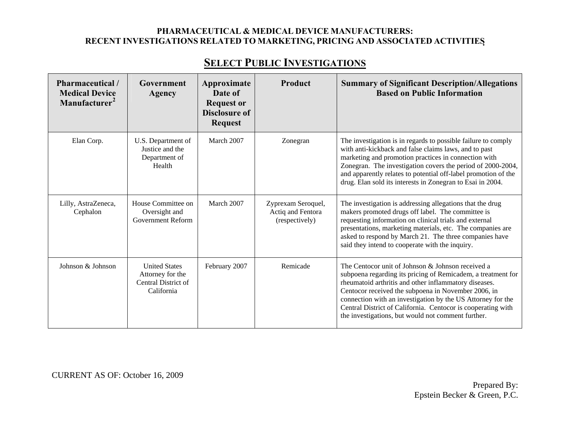| Pharmaceutical /<br><b>Medical Device</b><br>Manufacturer <sup>2</sup> | Government<br>Agency                                                          | Approximate<br>Date of<br><b>Request or</b><br><b>Disclosure of</b><br><b>Request</b> | Product                                                   | <b>Summary of Significant Description/Allegations</b><br><b>Based on Public Information</b>                                                                                                                                                                                                                                                                                                                            |
|------------------------------------------------------------------------|-------------------------------------------------------------------------------|---------------------------------------------------------------------------------------|-----------------------------------------------------------|------------------------------------------------------------------------------------------------------------------------------------------------------------------------------------------------------------------------------------------------------------------------------------------------------------------------------------------------------------------------------------------------------------------------|
| Elan Corp.                                                             | U.S. Department of<br>Justice and the<br>Department of<br>Health              | March 2007                                                                            | Zonegran                                                  | The investigation is in regards to possible failure to comply<br>with anti-kickback and false claims laws, and to past<br>marketing and promotion practices in connection with<br>Zonegran. The investigation covers the period of 2000-2004,<br>and apparently relates to potential off-label promotion of the<br>drug. Elan sold its interests in Zonegran to Esai in 2004.                                          |
| Lilly, AstraZeneca,<br>Cephalon                                        | House Committee on<br>Oversight and<br><b>Government Reform</b>               | March 2007                                                                            | Zyprexam Seroquel,<br>Actiq and Fentora<br>(respectively) | The investigation is addressing allegations that the drug<br>makers promoted drugs off label. The committee is<br>requesting information on clinical trials and external<br>presentations, marketing materials, etc. The companies are<br>asked to respond by March 21. The three companies have<br>said they intend to cooperate with the inquiry.                                                                    |
| Johnson & Johnson                                                      | <b>United States</b><br>Attorney for the<br>Central District of<br>California | February 2007                                                                         | Remicade                                                  | The Centocor unit of Johnson & Johnson received a<br>subpoena regarding its pricing of Remicadem, a treatment for<br>rheumatoid arthritis and other inflammatory diseases.<br>Centocor received the subpoena in November 2006, in<br>connection with an investigation by the US Attorney for the<br>Central District of California. Centocor is cooperating with<br>the investigations, but would not comment further. |

CURRENT AS OF: October 16, 2009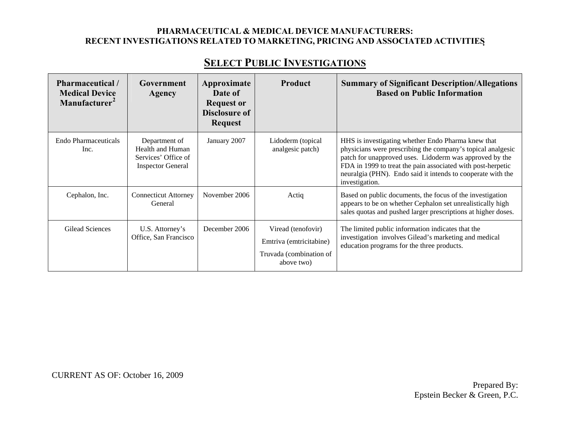# **SELECT PUBLIC INVESTIGATIONS**

| <b>Pharmaceutical</b> /<br><b>Medical Device</b><br>Manufacturer <sup>2</sup> | Government<br>Agency                                                                 | Approximate<br>Date of                                      | <b>Product</b>                                                                         | <b>Summary of Significant Description/Allegations</b><br><b>Based on Public Information</b>                                                                                                                                                                                                                                  |
|-------------------------------------------------------------------------------|--------------------------------------------------------------------------------------|-------------------------------------------------------------|----------------------------------------------------------------------------------------|------------------------------------------------------------------------------------------------------------------------------------------------------------------------------------------------------------------------------------------------------------------------------------------------------------------------------|
|                                                                               |                                                                                      | <b>Request or</b><br><b>Disclosure of</b><br><b>Request</b> |                                                                                        |                                                                                                                                                                                                                                                                                                                              |
| Endo Pharmaceuticals<br>Inc.                                                  | Department of<br>Health and Human<br>Services' Office of<br><b>Inspector General</b> | January 2007                                                | Lidoderm (topical<br>analgesic patch)                                                  | HHS is investigating whether Endo Pharma knew that<br>physicians were prescribing the company's topical analgesic<br>patch for unapproved uses. Lidoderm was approved by the<br>FDA in 1999 to treat the pain associated with post-herpetic<br>neuralgia (PHN). Endo said it intends to cooperate with the<br>investigation. |
| Cephalon, Inc.                                                                | <b>Connecticut Attorney</b><br>General                                               | November 2006                                               | Actiq                                                                                  | Based on public documents, the focus of the investigation<br>appears to be on whether Cephalon set unrealistically high<br>sales quotas and pushed larger prescriptions at higher doses.                                                                                                                                     |
| Gilead Sciences                                                               | U.S. Attorney's<br>Office, San Francisco                                             | December 2006                                               | Viread (tenofovir)<br>Emtriva (emtricitabine)<br>Truvada (combination of<br>above two) | The limited public information indicates that the<br>investigation involves Gilead's marketing and medical<br>education programs for the three products.                                                                                                                                                                     |

CURRENT AS OF: October 16, 2009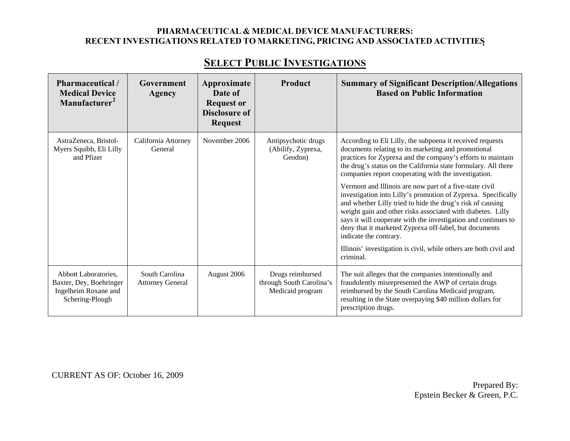| Pharmaceutical /<br><b>Medical Device</b><br>Manufacturer <sup>2</sup>                     | Government<br>Agency                      | Approximate<br>Date of<br><b>Request or</b><br><b>Disclosure of</b><br><b>Request</b> | Product                                                          | <b>Summary of Significant Description/Allegations</b><br><b>Based on Public Information</b>                                                                                                                                                                                                                                                                                                                                                                                                                                                                                                                                                                                                                                                                                                                |
|--------------------------------------------------------------------------------------------|-------------------------------------------|---------------------------------------------------------------------------------------|------------------------------------------------------------------|------------------------------------------------------------------------------------------------------------------------------------------------------------------------------------------------------------------------------------------------------------------------------------------------------------------------------------------------------------------------------------------------------------------------------------------------------------------------------------------------------------------------------------------------------------------------------------------------------------------------------------------------------------------------------------------------------------------------------------------------------------------------------------------------------------|
| AstraZeneca, Bristol-<br>Myers Squibb, Eli Lilly<br>and Pfizer                             | California Attorney<br>General            | November 2006                                                                         | Antipsychotic drugs<br>(Abilify, Zyprexa,<br>Geodon)             | According to Eli Lilly, the subpoena it received requests<br>documents relating to its marketing and promotional<br>practices for Zyprexa and the company's efforts to maintain<br>the drug's status on the California state formulary. All three<br>companies report cooperating with the investigation.<br>Vermont and Illinois are now part of a five-state civil<br>investigation into Lilly's promotion of Zyprexa. Specifically<br>and whether Lilly tried to hide the drug's risk of causing<br>weight gain and other risks associated with diabetes. Lilly<br>says it will cooperate with the investigation and continues to<br>deny that it marketed Zyprexa off-label, but documents<br>indicate the contrary.<br>Illinois' investigation is civil, while others are both civil and<br>criminal. |
| Abbott Laboratories,<br>Baxter, Dey, Boehringer<br>Ingelheim Roxane and<br>Schering-Plough | South Carolina<br><b>Attorney General</b> | August 2006                                                                           | Drugs reimbursed<br>through South Carolina's<br>Medicaid program | The suit alleges that the companies intentionally and<br>fraudulently misrepresented the AWP of certain drugs<br>reimbursed by the South Carolina Medicaid program,<br>resulting in the State overpaying \$40 million dollars for<br>prescription drugs.                                                                                                                                                                                                                                                                                                                                                                                                                                                                                                                                                   |

# **SELECT PUBLIC INVESTIGATIONS**

CURRENT AS OF: October 16, 2009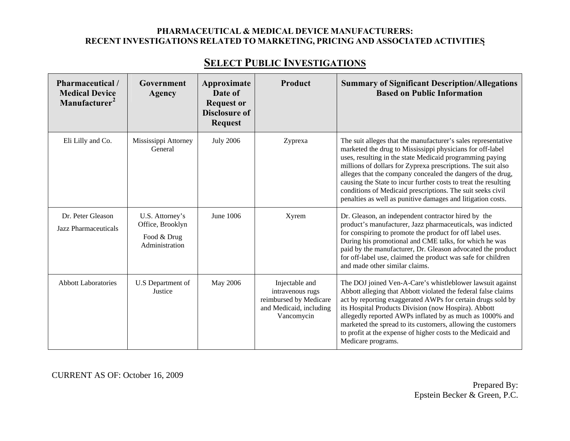| Pharmaceutical /<br><b>Medical Device</b><br>Manufacturer <sup>2</sup> | Government<br><b>Agency</b>                                          | Approximate<br>Date of<br><b>Request or</b><br><b>Disclosure of</b><br><b>Request</b> | Product                                                                                               | <b>Summary of Significant Description/Allegations</b><br><b>Based on Public Information</b>                                                                                                                                                                                                                                                                                                                                                                                                                           |
|------------------------------------------------------------------------|----------------------------------------------------------------------|---------------------------------------------------------------------------------------|-------------------------------------------------------------------------------------------------------|-----------------------------------------------------------------------------------------------------------------------------------------------------------------------------------------------------------------------------------------------------------------------------------------------------------------------------------------------------------------------------------------------------------------------------------------------------------------------------------------------------------------------|
| Eli Lilly and Co.                                                      | Mississippi Attorney<br>General                                      | <b>July 2006</b>                                                                      | Zyprexa                                                                                               | The suit alleges that the manufacturer's sales representative<br>marketed the drug to Mississippi physicians for off-label<br>uses, resulting in the state Medicaid programming paying<br>millions of dollars for Zyprexa prescriptions. The suit also<br>alleges that the company concealed the dangers of the drug,<br>causing the State to incur further costs to treat the resulting<br>conditions of Medicaid prescriptions. The suit seeks civil<br>penalties as well as punitive damages and litigation costs. |
| Dr. Peter Gleason<br>Jazz Pharmaceuticals                              | U.S. Attorney's<br>Office, Brooklyn<br>Food & Drug<br>Administration | June 1006                                                                             | Xyrem                                                                                                 | Dr. Gleason, an independent contractor hired by the<br>product's manufacturer, Jazz pharmaceuticals, was indicted<br>for conspiring to promote the product for off label uses.<br>During his promotional and CME talks, for which he was<br>paid by the manufacturer, Dr. Gleason advocated the product<br>for off-label use, claimed the product was safe for children<br>and made other similar claims.                                                                                                             |
| <b>Abbott Laboratories</b>                                             | U.S Department of<br>Justice                                         | May 2006                                                                              | Injectable and<br>intravenous rugs<br>reimbursed by Medicare<br>and Medicaid, including<br>Vancomycin | The DOJ joined Ven-A-Care's whistleblower lawsuit against<br>Abbott alleging that Abbott violated the federal false claims<br>act by reporting exaggerated AWPs for certain drugs sold by<br>its Hospital Products Division (now Hospira). Abbott<br>allegedly reported AWPs inflated by as much as 1000% and<br>marketed the spread to its customers, allowing the customers<br>to profit at the expense of higher costs to the Medicaid and<br>Medicare programs.                                                   |

CURRENT AS OF: October 16, 2009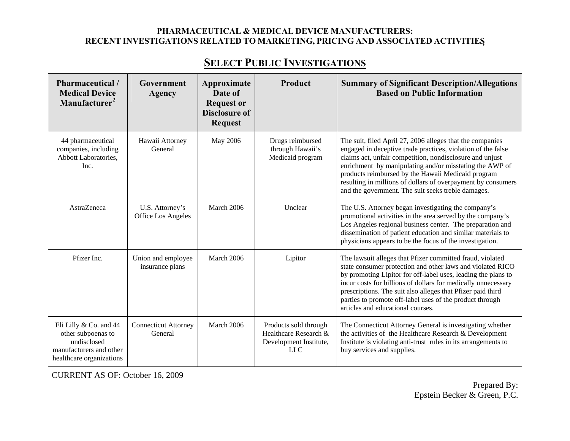# **SELECT PUBLIC INVESTIGATIONS**

| Pharmaceutical /<br><b>Medical Device</b><br>Manufacturer <sup>2</sup>                                             | Government<br>Agency                   | Approximate<br>Date of<br><b>Request or</b><br><b>Disclosure of</b><br><b>Request</b> | <b>Product</b>                                                                         | <b>Summary of Significant Description/Allegations</b><br><b>Based on Public Information</b>                                                                                                                                                                                                                                                                                                                                  |
|--------------------------------------------------------------------------------------------------------------------|----------------------------------------|---------------------------------------------------------------------------------------|----------------------------------------------------------------------------------------|------------------------------------------------------------------------------------------------------------------------------------------------------------------------------------------------------------------------------------------------------------------------------------------------------------------------------------------------------------------------------------------------------------------------------|
| 44 pharmaceutical<br>companies, including<br>Abbott Laboratories,<br>Inc.                                          | Hawaii Attorney<br>General             | May 2006                                                                              | Drugs reimbursed<br>through Hawaii's<br>Medicaid program                               | The suit, filed April 27, 2006 alleges that the companies<br>engaged in deceptive trade practices, violation of the false<br>claims act, unfair competition, nondisclosure and unjust<br>enrichment by manipulating and/or misstating the AWP of<br>products reimbursed by the Hawaii Medicaid program<br>resulting in millions of dollars of overpayment by consumers<br>and the government. The suit seeks treble damages. |
| AstraZeneca                                                                                                        | U.S. Attorney's<br>Office Los Angeles  | March 2006                                                                            | Unclear                                                                                | The U.S. Attorney began investigating the company's<br>promotional activities in the area served by the company's<br>Los Angeles regional business center. The preparation and<br>dissemination of patient education and similar materials to<br>physicians appears to be the focus of the investigation.                                                                                                                    |
| Pfizer Inc.                                                                                                        | Union and employee<br>insurance plans  | March 2006                                                                            | Lipitor                                                                                | The lawsuit alleges that Pfizer committed fraud, violated<br>state consumer protection and other laws and violated RICO<br>by promoting Lipitor for off-label uses, leading the plans to<br>incur costs for billions of dollars for medically unnecessary<br>prescriptions. The suit also alleges that Pfizer paid third<br>parties to promote off-label uses of the product through<br>articles and educational courses.    |
| Eli Lilly & Co. and 44<br>other subpoenas to<br>undisclosed<br>manufacturers and other<br>healthcare organizations | <b>Connecticut Attorney</b><br>General | March 2006                                                                            | Products sold through<br>Healthcare Research &<br>Development Institute,<br><b>LLC</b> | The Connecticut Attorney General is investigating whether<br>the activities of the Healthcare Research & Development<br>Institute is violating anti-trust rules in its arrangements to<br>buy services and supplies.                                                                                                                                                                                                         |

CURRENT AS OF: October 16, 2009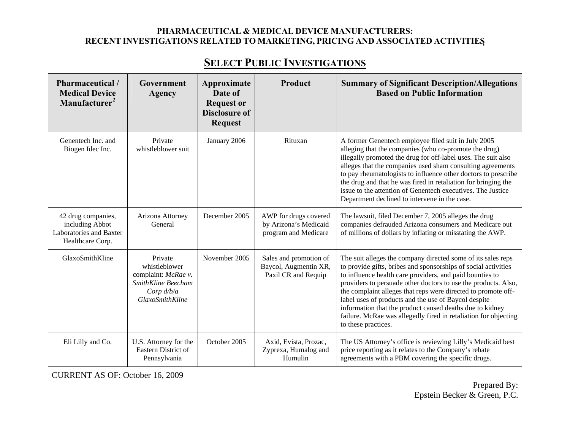| Pharmaceutical /<br><b>Medical Device</b><br>Manufacturer <sup>2</sup>               | Government<br>Agency                                                                                            | Approximate<br>Date of<br><b>Request or</b> | Product                                                                | <b>Summary of Significant Description/Allegations</b><br><b>Based on Public Information</b>                                                                                                                                                                                                                                                                                                                                                                                                                                                 |
|--------------------------------------------------------------------------------------|-----------------------------------------------------------------------------------------------------------------|---------------------------------------------|------------------------------------------------------------------------|---------------------------------------------------------------------------------------------------------------------------------------------------------------------------------------------------------------------------------------------------------------------------------------------------------------------------------------------------------------------------------------------------------------------------------------------------------------------------------------------------------------------------------------------|
|                                                                                      |                                                                                                                 | <b>Disclosure of</b><br><b>Request</b>      |                                                                        |                                                                                                                                                                                                                                                                                                                                                                                                                                                                                                                                             |
| Genentech Inc. and<br>Biogen Idec Inc.                                               | Private<br>whistleblower suit                                                                                   | January 2006                                | Rituxan                                                                | A former Genentech employee filed suit in July 2005<br>alleging that the companies (who co-promote the drug)<br>illegally promoted the drug for off-label uses. The suit also<br>alleges that the companies used sham consulting agreements<br>to pay rheumatologists to influence other doctors to prescribe<br>the drug and that he was fired in retaliation for bringing the<br>issue to the attention of Genentech executives. The Justice<br>Department declined to intervene in the case.                                             |
| 42 drug companies,<br>including Abbot<br>Laboratories and Baxter<br>Healthcare Corp. | Arizona Attorney<br>General                                                                                     | December 2005                               | AWP for drugs covered<br>by Arizona's Medicaid<br>program and Medicare | The lawsuit, filed December 7, 2005 alleges the drug<br>companies defrauded Arizona consumers and Medicare out<br>of millions of dollars by inflating or misstating the AWP.                                                                                                                                                                                                                                                                                                                                                                |
| GlaxoSmithKline                                                                      | Private<br>whistleblower<br>complaint: McRae v.<br>SmithKline Beecham<br>Corp $d/b/a$<br><b>GlaxoSmithKline</b> | November 2005                               | Sales and promotion of<br>Baycol, Augmentin XR,<br>Paxil CR and Requip | The suit alleges the company directed some of its sales reps<br>to provide gifts, bribes and sponsorships of social activities<br>to influence health care providers, and paid bounties to<br>providers to persuade other doctors to use the products. Also,<br>the complaint alleges that reps were directed to promote off-<br>label uses of products and the use of Baycol despite<br>information that the product caused deaths due to kidney<br>failure. McRae was allegedly fired in retaliation for objecting<br>to these practices. |
| Eli Lilly and Co.                                                                    | U.S. Attorney for the<br>Eastern District of<br>Pennsylvania                                                    | October 2005                                | Axid, Evista, Prozac,<br>Zyprexa, Humalog and<br>Humulin               | The US Attorney's office is reviewing Lilly's Medicaid best<br>price reporting as it relates to the Company's rebate<br>agreements with a PBM covering the specific drugs.                                                                                                                                                                                                                                                                                                                                                                  |

CURRENT AS OF: October 16, 2009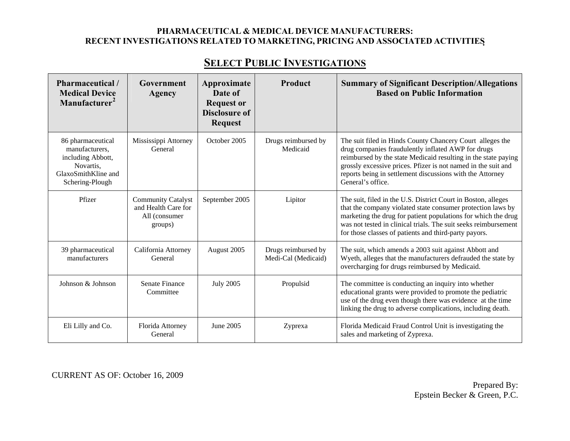# **SELECT PUBLIC INVESTIGATIONS**

| Pharmaceutical/<br><b>Medical Device</b><br>Manufacturer <sup>2</sup>                                           | Government<br>Agency                                                         | Approximate<br>Date of<br><b>Request or</b><br><b>Disclosure of</b><br><b>Request</b> | Product                                    | <b>Summary of Significant Description/Allegations</b><br><b>Based on Public Information</b>                                                                                                                                                                                                                                          |
|-----------------------------------------------------------------------------------------------------------------|------------------------------------------------------------------------------|---------------------------------------------------------------------------------------|--------------------------------------------|--------------------------------------------------------------------------------------------------------------------------------------------------------------------------------------------------------------------------------------------------------------------------------------------------------------------------------------|
| 86 pharmaceutical<br>manufacturers,<br>including Abbott,<br>Novartis,<br>GlaxoSmithKline and<br>Schering-Plough | Mississippi Attorney<br>General                                              | October 2005                                                                          | Drugs reimbursed by<br>Medicaid            | The suit filed in Hinds County Chancery Court alleges the<br>drug companies fraudulently inflated AWP for drugs<br>reimbursed by the state Medicaid resulting in the state paying<br>grossly excessive prices. Pfizer is not named in the suit and<br>reports being in settlement discussions with the Attorney<br>General's office. |
| Pfizer                                                                                                          | <b>Community Catalyst</b><br>and Health Care for<br>All (consumer<br>groups) | September 2005                                                                        | Lipitor                                    | The suit, filed in the U.S. District Court in Boston, alleges<br>that the company violated state consumer protection laws by<br>marketing the drug for patient populations for which the drug<br>was not tested in clinical trials. The suit seeks reimbursement<br>for those classes of patients and third-party payors.            |
| 39 pharmaceutical<br>manufacturers                                                                              | California Attorney<br>General                                               | August 2005                                                                           | Drugs reimbursed by<br>Medi-Cal (Medicaid) | The suit, which amends a 2003 suit against Abbott and<br>Wyeth, alleges that the manufacturers defrauded the state by<br>overcharging for drugs reimbursed by Medicaid.                                                                                                                                                              |
| Johnson & Johnson                                                                                               | <b>Senate Finance</b><br>Committee                                           | <b>July 2005</b>                                                                      | Propulsid                                  | The committee is conducting an inquiry into whether<br>educational grants were provided to promote the pediatric<br>use of the drug even though there was evidence at the time<br>linking the drug to adverse complications, including death.                                                                                        |
| Eli Lilly and Co.                                                                                               | Florida Attorney<br>General                                                  | June 2005                                                                             | Zyprexa                                    | Florida Medicaid Fraud Control Unit is investigating the<br>sales and marketing of Zyprexa.                                                                                                                                                                                                                                          |

CURRENT AS OF: October 16, 2009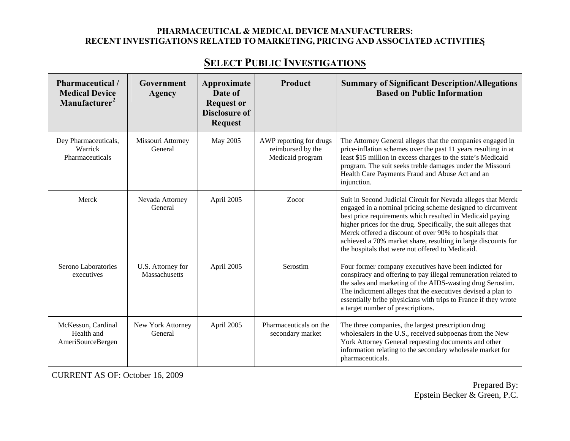| Pharmaceutical /<br><b>Medical Device</b><br>Manufacturer <sup>2</sup> | Government<br>Agency               | Approximate<br>Date of<br><b>Request or</b><br><b>Disclosure of</b><br><b>Request</b> | <b>Product</b>                                                   | <b>Summary of Significant Description/Allegations</b><br><b>Based on Public Information</b>                                                                                                                                                                                                                                                                                                                                                |
|------------------------------------------------------------------------|------------------------------------|---------------------------------------------------------------------------------------|------------------------------------------------------------------|--------------------------------------------------------------------------------------------------------------------------------------------------------------------------------------------------------------------------------------------------------------------------------------------------------------------------------------------------------------------------------------------------------------------------------------------|
| Dey Pharmaceuticals,<br>Warrick<br>Pharmaceuticals                     | Missouri Attorney<br>General       | May 2005                                                                              | AWP reporting for drugs<br>reimbursed by the<br>Medicaid program | The Attorney General alleges that the companies engaged in<br>price-inflation schemes over the past 11 years resulting in at<br>least \$15 million in excess charges to the state's Medicaid<br>program. The suit seeks treble damages under the Missouri<br>Health Care Payments Fraud and Abuse Act and an<br>injunction.                                                                                                                |
| Merck                                                                  | Nevada Attorney<br>General         | April 2005                                                                            | Zocor                                                            | Suit in Second Judicial Circuit for Nevada alleges that Merck<br>engaged in a nominal pricing scheme designed to circumvent<br>best price requirements which resulted in Medicaid paying<br>higher prices for the drug. Specifically, the suit alleges that<br>Merck offered a discount of over 90% to hospitals that<br>achieved a 70% market share, resulting in large discounts for<br>the hospitals that were not offered to Medicaid. |
| Serono Laboratories<br>executives                                      | U.S. Attorney for<br>Massachusetts | April 2005                                                                            | Serostim                                                         | Four former company executives have been indicted for<br>conspiracy and offering to pay illegal remuneration related to<br>the sales and marketing of the AIDS-wasting drug Serostim.<br>The indictment alleges that the executives devised a plan to<br>essentially bribe physicians with trips to France if they wrote<br>a target number of prescriptions.                                                                              |
| McKesson, Cardinal<br>Health and<br>AmeriSourceBergen                  | New York Attorney<br>General       | April 2005                                                                            | Pharmaceuticals on the<br>secondary market                       | The three companies, the largest prescription drug<br>wholesalers in the U.S., received subpoenas from the New<br>York Attorney General requesting documents and other<br>information relating to the secondary wholesale market for<br>pharmaceuticals.                                                                                                                                                                                   |

CURRENT AS OF: October 16, 2009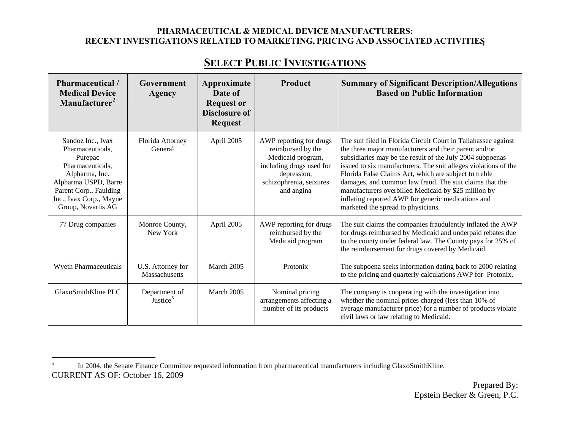| Pharmaceutical/<br><b>Medical Device</b><br>Manufacturer <sup>2</sup>                                                                                                                     | Government<br>Agency                  | Approximate<br>Date of<br><b>Request or</b><br><b>Disclosure of</b><br><b>Request</b> | Product                                                                                                                                               | <b>Summary of Significant Description/Allegations</b><br><b>Based on Public Information</b>                                                                                                                                                                                                                                                                                                                                                                                                                                     |
|-------------------------------------------------------------------------------------------------------------------------------------------------------------------------------------------|---------------------------------------|---------------------------------------------------------------------------------------|-------------------------------------------------------------------------------------------------------------------------------------------------------|---------------------------------------------------------------------------------------------------------------------------------------------------------------------------------------------------------------------------------------------------------------------------------------------------------------------------------------------------------------------------------------------------------------------------------------------------------------------------------------------------------------------------------|
| Sandoz Inc., Ivax<br>Pharmaceuticals.<br>Purepac<br>Pharmaceuticals,<br>Alpharma, Inc.<br>Alpharma USPD, Barre<br>Parent Corp., Faulding<br>Inc., Ivax Corp., Mayne<br>Group, Novartis AG | Florida Attorney<br>General           | April 2005                                                                            | AWP reporting for drugs<br>reimbursed by the<br>Medicaid program,<br>including drugs used for<br>depression,<br>schizophrenia, seizures<br>and angina | The suit filed in Florida Circuit Court in Tallahassee against<br>the three major manufacturers and their parent and/or<br>subsidiaries may be the result of the July 2004 subpoenas<br>issued to six manufacturers. The suit alleges violations of the<br>Florida False Claims Act, which are subject to treble<br>damages, and common law fraud. The suit claims that the<br>manufacturers overbilled Medicaid by \$25 million by<br>inflating reported AWP for generic medications and<br>marketed the spread to physicians. |
| 77 Drug companies                                                                                                                                                                         | Monroe County,<br>New York            | April 2005                                                                            | AWP reporting for drugs<br>reimbursed by the<br>Medicaid program                                                                                      | The suit claims the companies fraudulently inflated the AWP<br>for drugs reimbursed by Medicaid and underpaid rebates due<br>to the county under federal law. The County pays for 25% of<br>the reimbursement for drugs covered by Medicaid.                                                                                                                                                                                                                                                                                    |
| Wyeth Pharmaceuticals                                                                                                                                                                     | U.S. Attorney for<br>Massachusetts    | March 2005                                                                            | Protonix                                                                                                                                              | The subpoena seeks information dating back to 2000 relating<br>to the pricing and quarterly calculations AWP for Protonix.                                                                                                                                                                                                                                                                                                                                                                                                      |
| GlaxoSmithKline PLC                                                                                                                                                                       | Department of<br>Justice <sup>5</sup> | March 2005                                                                            | Nominal pricing<br>arrangements affecting a<br>number of its products                                                                                 | The company is cooperating with the investigation into<br>whether the nominal prices charged (less than 10% of<br>average manufacturer price) for a number of products violate<br>civil laws or law relating to Medicaid.                                                                                                                                                                                                                                                                                                       |

<span id="page-66-0"></span>CURRENT AS OF: October 16, 2009 <sup>5</sup> In 2004, the Senate Finance Committee requested information from pharmaceutical manufacturers including GlaxoSmithKline.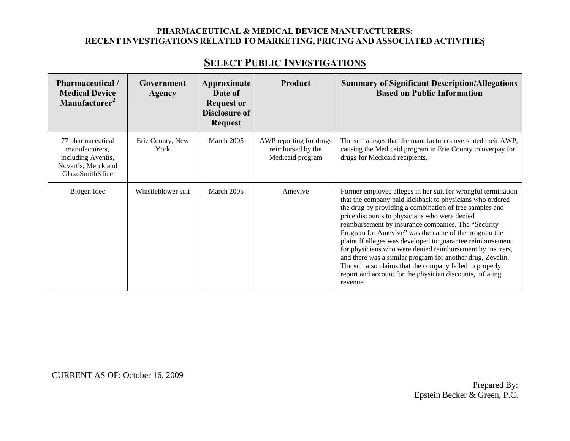# **SELECT PUBLIC INVESTIGATIONS**

| <b>Pharmaceutical</b> /<br><b>Medical Device</b><br>Manufacturer <sup>2</sup>                       | Government<br>Agency     | Approximate<br>Date of<br><b>Request or</b> | <b>Product</b>                                                   | <b>Summary of Significant Description/Allegations</b><br><b>Based on Public Information</b>                                                                                                                                                                                                                                                                                                                                                                                                                                                                                                                                                                                       |
|-----------------------------------------------------------------------------------------------------|--------------------------|---------------------------------------------|------------------------------------------------------------------|-----------------------------------------------------------------------------------------------------------------------------------------------------------------------------------------------------------------------------------------------------------------------------------------------------------------------------------------------------------------------------------------------------------------------------------------------------------------------------------------------------------------------------------------------------------------------------------------------------------------------------------------------------------------------------------|
|                                                                                                     |                          | <b>Disclosure of</b><br><b>Request</b>      |                                                                  |                                                                                                                                                                                                                                                                                                                                                                                                                                                                                                                                                                                                                                                                                   |
| 77 pharmaceutical<br>manufacturers,<br>including Aventis,<br>Novartis, Merck and<br>GlaxoSmithKline | Erie County, New<br>York | March 2005                                  | AWP reporting for drugs<br>reimbursed by the<br>Medicaid program | The suit alleges that the manufacturers overstated their AWP,<br>causing the Medicaid program in Erie County to overpay for<br>drugs for Medicaid recipients.                                                                                                                                                                                                                                                                                                                                                                                                                                                                                                                     |
| Biogen Idec                                                                                         | Whistleblower suit       | March 2005                                  | Amevive                                                          | Former employee alleges in her suit for wrongful termination<br>that the company paid kickback to physicians who ordered<br>the drug by providing a combination of free samples and<br>price discounts to physicians who were denied<br>reimbursement by insurance companies. The "Security<br>Program for Amevive" was the name of the program the<br>plaintiff alleges was developed to guarantee reimbursement<br>for physicians who were denied reimbursement by insurers,<br>and there was a similar program for another drug, Zevalin.<br>The suit also claims that the company failed to properly<br>report and account for the physician discounts, inflating<br>revenue. |

CURRENT AS OF: October 16, 2009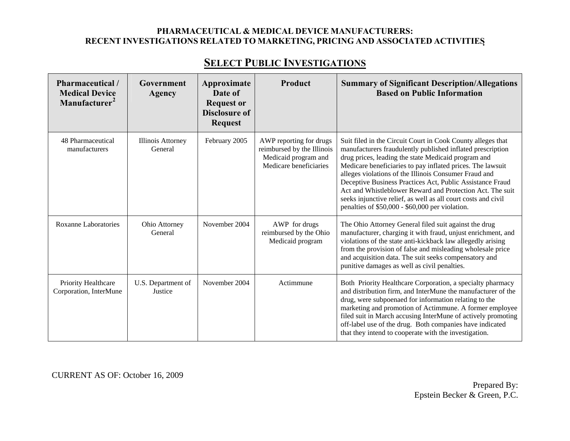| Pharmaceutical /<br><b>Medical Device</b><br>Manufacturer <sup>2</sup> | Government<br><b>Agency</b>         | Approximate<br>Date of<br><b>Request or</b><br><b>Disclosure of</b><br><b>Request</b> | Product                                                                                                 | <b>Summary of Significant Description/Allegations</b><br><b>Based on Public Information</b>                                                                                                                                                                                                                                                                                                                                                                                                                                                           |
|------------------------------------------------------------------------|-------------------------------------|---------------------------------------------------------------------------------------|---------------------------------------------------------------------------------------------------------|-------------------------------------------------------------------------------------------------------------------------------------------------------------------------------------------------------------------------------------------------------------------------------------------------------------------------------------------------------------------------------------------------------------------------------------------------------------------------------------------------------------------------------------------------------|
| 48 Pharmaceutical<br>manufacturers                                     | <b>Illinois Attorney</b><br>General | February 2005                                                                         | AWP reporting for drugs<br>reimbursed by the Illinois<br>Medicaid program and<br>Medicare beneficiaries | Suit filed in the Circuit Court in Cook County alleges that<br>manufacturers fraudulently published inflated prescription<br>drug prices, leading the state Medicaid program and<br>Medicare beneficiaries to pay inflated prices. The lawsuit<br>alleges violations of the Illinois Consumer Fraud and<br>Deceptive Business Practices Act, Public Assistance Fraud<br>Act and Whistleblower Reward and Protection Act. The suit<br>seeks injunctive relief, as well as all court costs and civil<br>penalties of \$50,000 - \$60,000 per violation. |
| <b>Roxanne Laboratories</b>                                            | Ohio Attorney<br>General            | November 2004                                                                         | AWP for drugs<br>reimbursed by the Ohio<br>Medicaid program                                             | The Ohio Attorney General filed suit against the drug<br>manufacturer, charging it with fraud, unjust enrichment, and<br>violations of the state anti-kickback law allegedly arising<br>from the provision of false and misleading wholesale price<br>and acquisition data. The suit seeks compensatory and<br>punitive damages as well as civil penalties.                                                                                                                                                                                           |
| Priority Healthcare<br>Corporation, InterMune                          | U.S. Department of<br>Justice       | November 2004                                                                         | Actimmune                                                                                               | Both Priority Healthcare Corporation, a specialty pharmacy<br>and distribution firm, and InterMune the manufacturer of the<br>drug, were subpoenaed for information relating to the<br>marketing and promotion of Actimmune. A former employee<br>filed suit in March accusing InterMune of actively promoting<br>off-label use of the drug. Both companies have indicated<br>that they intend to cooperate with the investigation.                                                                                                                   |

CURRENT AS OF: October 16, 2009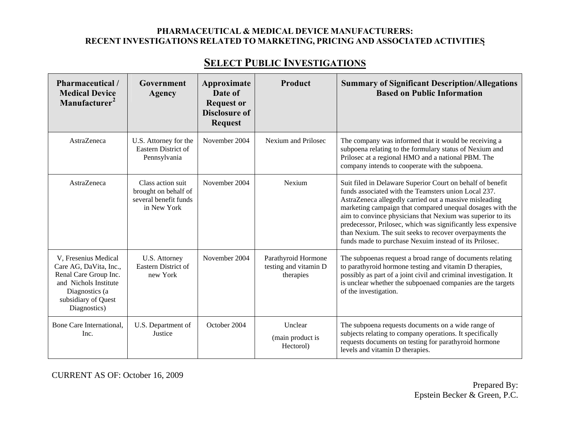# **SELECT PUBLIC INVESTIGATIONS**

| Pharmaceutical /<br><b>Medical Device</b><br>Manufacturer <sup>2</sup>                                                                                    | Government<br><b>Agency</b>                                                       | Approximate<br>Date of<br><b>Request or</b><br><b>Disclosure of</b><br><b>Request</b> | Product                                                   | <b>Summary of Significant Description/Allegations</b><br><b>Based on Public Information</b>                                                                                                                                                                                                                                                                                                                                                                                                   |
|-----------------------------------------------------------------------------------------------------------------------------------------------------------|-----------------------------------------------------------------------------------|---------------------------------------------------------------------------------------|-----------------------------------------------------------|-----------------------------------------------------------------------------------------------------------------------------------------------------------------------------------------------------------------------------------------------------------------------------------------------------------------------------------------------------------------------------------------------------------------------------------------------------------------------------------------------|
| <b>AstraZeneca</b>                                                                                                                                        | U.S. Attorney for the<br>Eastern District of<br>Pennsylvania                      | November 2004                                                                         | Nexium and Prilosec                                       | The company was informed that it would be receiving a<br>subpoena relating to the formulary status of Nexium and<br>Prilosec at a regional HMO and a national PBM. The<br>company intends to cooperate with the subpoena.                                                                                                                                                                                                                                                                     |
| AstraZeneca                                                                                                                                               | Class action suit<br>brought on behalf of<br>several benefit funds<br>in New York | November 2004                                                                         | Nexium                                                    | Suit filed in Delaware Superior Court on behalf of benefit<br>funds associated with the Teamsters union Local 237.<br>AstraZeneca allegedly carried out a massive misleading<br>marketing campaign that compared unequal dosages with the<br>aim to convince physicians that Nexium was superior to its<br>predecessor, Prilosec, which was significantly less expensive<br>than Nexium. The suit seeks to recover overpayments the<br>funds made to purchase Nexuim instead of its Prilosec. |
| V, Fresenius Medical<br>Care AG, DaVita, Inc.,<br>Renal Care Group Inc.<br>and Nichols Institute<br>Diagnostics (a<br>subsidiary of Quest<br>Diagnostics) | U.S. Attorney<br>Eastern District of<br>new York                                  | November 2004                                                                         | Parathyroid Hormone<br>testing and vitamin D<br>therapies | The subpoenas request a broad range of documents relating<br>to parathyroid hormone testing and vitamin D therapies,<br>possibly as part of a joint civil and criminal investigation. It<br>is unclear whether the subpoenaed companies are the targets<br>of the investigation.                                                                                                                                                                                                              |
| Bone Care International,<br>Inc.                                                                                                                          | U.S. Department of<br>Justice                                                     | October 2004                                                                          | Unclear<br>(main product is<br>Hectorol)                  | The subpoena requests documents on a wide range of<br>subjects relating to company operations. It specifically<br>requests documents on testing for parathyroid hormone<br>levels and vitamin D therapies.                                                                                                                                                                                                                                                                                    |

CURRENT AS OF: October 16, 2009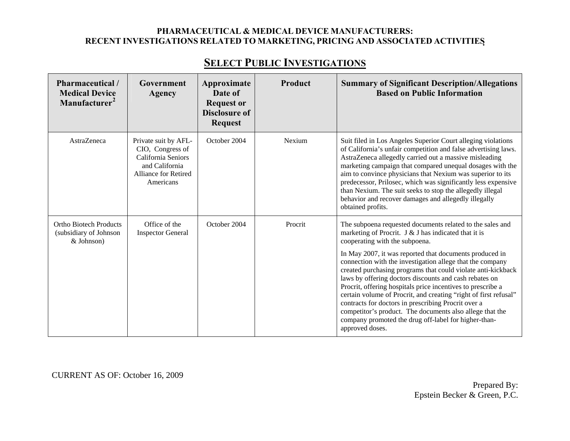| Pharmaceutical/<br><b>Medical Device</b><br>Manufacturer <sup>2</sup> | Government<br>Agency                                                                                                  | Approximate<br>Date of<br><b>Request or</b><br><b>Disclosure of</b><br><b>Request</b> | Product | <b>Summary of Significant Description/Allegations</b><br><b>Based on Public Information</b>                                                                                                                                                                                                                                                                                                                                                                                                                                                                                                                                                                                                                                            |
|-----------------------------------------------------------------------|-----------------------------------------------------------------------------------------------------------------------|---------------------------------------------------------------------------------------|---------|----------------------------------------------------------------------------------------------------------------------------------------------------------------------------------------------------------------------------------------------------------------------------------------------------------------------------------------------------------------------------------------------------------------------------------------------------------------------------------------------------------------------------------------------------------------------------------------------------------------------------------------------------------------------------------------------------------------------------------------|
| AstraZeneca                                                           | Private suit by AFL-<br>CIO, Congress of<br>California Seniors<br>and California<br>Alliance for Retired<br>Americans | October 2004                                                                          | Nexium  | Suit filed in Los Angeles Superior Court alleging violations<br>of California's unfair competition and false advertising laws.<br>AstraZeneca allegedly carried out a massive misleading<br>marketing campaign that compared unequal dosages with the<br>aim to convince physicians that Nexium was superior to its<br>predecessor, Prilosec, which was significantly less expensive<br>than Nexium. The suit seeks to stop the allegedly illegal<br>behavior and recover damages and allegedly illegally<br>obtained profits.                                                                                                                                                                                                         |
| <b>Ortho Biotech Products</b><br>(subsidiary of Johnson<br>& Johnson) | Office of the<br><b>Inspector General</b>                                                                             | October 2004                                                                          | Procrit | The subpoena requested documents related to the sales and<br>marketing of Procrit. J & J has indicated that it is<br>cooperating with the subpoena.<br>In May 2007, it was reported that documents produced in<br>connection with the investigation allege that the company<br>created purchasing programs that could violate anti-kickback<br>laws by offering doctors discounts and cash rebates on<br>Procrit, offering hospitals price incentives to prescribe a<br>certain volume of Procrit, and creating "right of first refusal"<br>contracts for doctors in prescribing Procrit over a<br>competitor's product. The documents also allege that the<br>company promoted the drug off-label for higher-than-<br>approved doses. |

CURRENT AS OF: October 16, 2009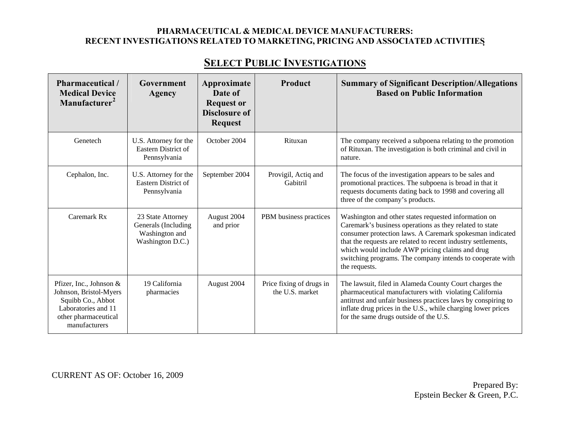# **SELECT PUBLIC INVESTIGATIONS**

| Pharmaceutical /<br><b>Medical Device</b><br>Manufacturer <sup>2</sup>                                                                 | Government<br>Agency                                                           | Approximate<br>Date of<br><b>Request or</b><br><b>Disclosure of</b><br><b>Request</b> | Product                                     | <b>Summary of Significant Description/Allegations</b><br><b>Based on Public Information</b>                                                                                                                                                                                                                                                                                   |
|----------------------------------------------------------------------------------------------------------------------------------------|--------------------------------------------------------------------------------|---------------------------------------------------------------------------------------|---------------------------------------------|-------------------------------------------------------------------------------------------------------------------------------------------------------------------------------------------------------------------------------------------------------------------------------------------------------------------------------------------------------------------------------|
| Genetech                                                                                                                               | U.S. Attorney for the<br>Eastern District of<br>Pennsylvania                   | October 2004                                                                          | Rituxan                                     | The company received a subpoena relating to the promotion<br>of Rituxan. The investigation is both criminal and civil in<br>nature.                                                                                                                                                                                                                                           |
| Cephalon, Inc.                                                                                                                         | U.S. Attorney for the<br>Eastern District of<br>Pennsylvania                   | September 2004                                                                        | Provigil, Actiq and<br>Gabitril             | The focus of the investigation appears to be sales and<br>promotional practices. The subpoena is broad in that it<br>requests documents dating back to 1998 and covering all<br>three of the company's products.                                                                                                                                                              |
| Caremark Rx                                                                                                                            | 23 State Attorney<br>Generals (Including<br>Washington and<br>Washington D.C.) | August 2004<br>and prior                                                              | PBM business practices                      | Washington and other states requested information on<br>Caremark's business operations as they related to state<br>consumer protection laws. A Caremark spokesman indicated<br>that the requests are related to recent industry settlements,<br>which would include AWP pricing claims and drug<br>switching programs. The company intends to cooperate with<br>the requests. |
| Pfizer, Inc., Johnson &<br>Johnson, Bristol-Myers<br>Squibb Co., Abbot<br>Laboratories and 11<br>other pharmaceutical<br>manufacturers | 19 California<br>pharmacies                                                    | August 2004                                                                           | Price fixing of drugs in<br>the U.S. market | The lawsuit, filed in Alameda County Court charges the<br>pharmaceutical manufacturers with violating California<br>antitrust and unfair business practices laws by conspiring to<br>inflate drug prices in the U.S., while charging lower prices<br>for the same drugs outside of the U.S.                                                                                   |

CURRENT AS OF: October 16, 2009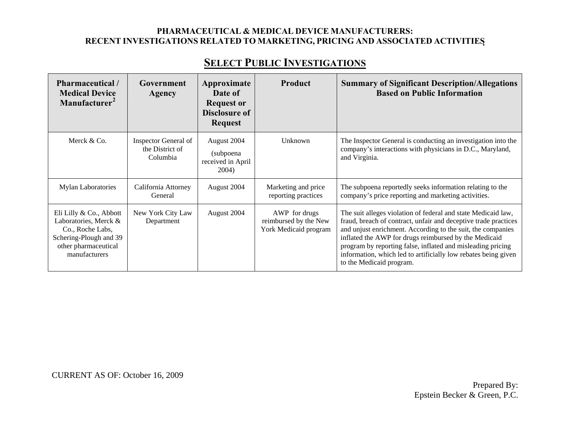# **SELECT PUBLIC INVESTIGATIONS**

| Pharmaceutical/<br><b>Medical Device</b><br>Manufacturer <sup>2</sup>                                                                   | Government<br>Agency                                | Approximate<br>Date of<br><b>Request or</b><br><b>Disclosure of</b><br><b>Request</b> | <b>Product</b>                                                  | <b>Summary of Significant Description/Allegations</b><br><b>Based on Public Information</b>                                                                                                                                                                                                                                                                                                                           |
|-----------------------------------------------------------------------------------------------------------------------------------------|-----------------------------------------------------|---------------------------------------------------------------------------------------|-----------------------------------------------------------------|-----------------------------------------------------------------------------------------------------------------------------------------------------------------------------------------------------------------------------------------------------------------------------------------------------------------------------------------------------------------------------------------------------------------------|
| Merck & Co.                                                                                                                             | Inspector General of<br>the District of<br>Columbia | August 2004<br>(subpoena)<br>received in April<br>2004)                               | Unknown                                                         | The Inspector General is conducting an investigation into the<br>company's interactions with physicians in D.C., Maryland,<br>and Virginia.                                                                                                                                                                                                                                                                           |
| <b>Mylan Laboratories</b>                                                                                                               | California Attorney<br>General                      | August 2004                                                                           | Marketing and price<br>reporting practices                      | The subpoena reportedly seeks information relating to the<br>company's price reporting and marketing activities.                                                                                                                                                                                                                                                                                                      |
| Eli Lilly & Co., Abbott<br>Laboratories, Merck &<br>Co., Roche Labs,<br>Schering-Plough and 39<br>other pharmaceutical<br>manufacturers | New York City Law<br>Department                     | August 2004                                                                           | AWP for drugs<br>reimbursed by the New<br>York Medicaid program | The suit alleges violation of federal and state Medicaid law,<br>fraud, breach of contract, unfair and deceptive trade practices<br>and unjust enrichment. According to the suit, the companies<br>inflated the AWP for drugs reimbursed by the Medicaid<br>program by reporting false, inflated and misleading pricing<br>information, which led to artificially low rebates being given<br>to the Medicaid program. |

CURRENT AS OF: October 16, 2009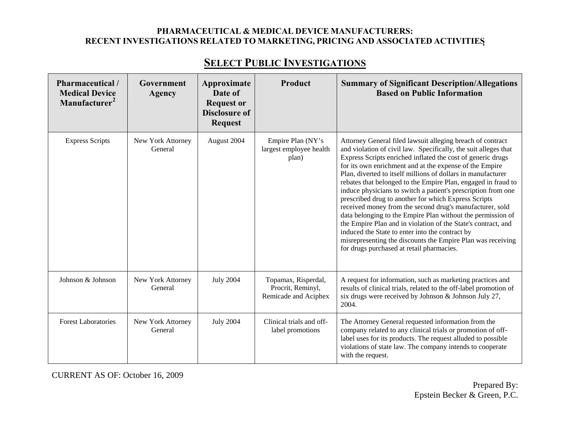| Pharmaceutical /<br><b>Medical Device</b><br>Manufacturer <sup>2</sup> | Government<br>Agency         | Approximate<br>Date of<br><b>Request or</b><br><b>Disclosure of</b><br><b>Request</b> | <b>Product</b>                                                   | <b>Summary of Significant Description/Allegations</b><br><b>Based on Public Information</b>                                                                                                                                                                                                                                                                                                                                                                                                                                                                                                                                                                                                                                                                                                                                                                                  |
|------------------------------------------------------------------------|------------------------------|---------------------------------------------------------------------------------------|------------------------------------------------------------------|------------------------------------------------------------------------------------------------------------------------------------------------------------------------------------------------------------------------------------------------------------------------------------------------------------------------------------------------------------------------------------------------------------------------------------------------------------------------------------------------------------------------------------------------------------------------------------------------------------------------------------------------------------------------------------------------------------------------------------------------------------------------------------------------------------------------------------------------------------------------------|
| <b>Express Scripts</b>                                                 | New York Attorney<br>General | August 2004                                                                           | Empire Plan (NY's<br>largest employee health<br>plan)            | Attorney General filed lawsuit alleging breach of contract<br>and violation of civil law. Specifically, the suit alleges that<br>Express Scripts enriched inflated the cost of generic drugs<br>for its own enrichment and at the expense of the Empire<br>Plan, diverted to itself millions of dollars in manufacturer<br>rebates that belonged to the Empire Plan, engaged in fraud to<br>induce physicians to switch a patient's prescription from one<br>prescribed drug to another for which Express Scripts<br>received money from the second drug's manufacturer, sold<br>data belonging to the Empire Plan without the permission of<br>the Empire Plan and in violation of the State's contract, and<br>induced the State to enter into the contract by<br>misrepresenting the discounts the Empire Plan was receiving<br>for drugs purchased at retail pharmacies. |
| Johnson & Johnson                                                      | New York Attorney<br>General | <b>July 2004</b>                                                                      | Topamax, Risperdal,<br>Procrit, Reminyl,<br>Remicade and Aciphex | A request for information, such as marketing practices and<br>results of clinical trials, related to the off-label promotion of<br>six drugs were received by Johnson & Johnson July 27,<br>2004.                                                                                                                                                                                                                                                                                                                                                                                                                                                                                                                                                                                                                                                                            |
| <b>Forest Laboratories</b>                                             | New York Attorney<br>General | <b>July 2004</b>                                                                      | Clinical trials and off-<br>label promotions                     | The Attorney General requested information from the<br>company related to any clinical trials or promotion of off-<br>label uses for its products. The request alluded to possible<br>violations of state law. The company intends to cooperate<br>with the request.                                                                                                                                                                                                                                                                                                                                                                                                                                                                                                                                                                                                         |

# **SELECT PUBLIC INVESTIGATIONS**

CURRENT AS OF: October 16, 2009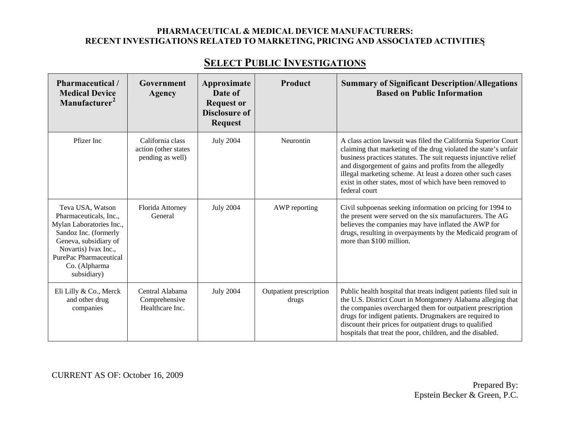# **SELECT PUBLIC INVESTIGATIONS**

| Pharmaceutical/<br><b>Medical Device</b><br>Manufacturer <sup>2</sup>                                                                                                                                      | Government<br>Agency                                          | Approximate<br>Date of<br><b>Request or</b><br><b>Disclosure of</b><br><b>Request</b> | Product                          | <b>Summary of Significant Description/Allegations</b><br><b>Based on Public Information</b>                                                                                                                                                                                                                                                                                                                    |
|------------------------------------------------------------------------------------------------------------------------------------------------------------------------------------------------------------|---------------------------------------------------------------|---------------------------------------------------------------------------------------|----------------------------------|----------------------------------------------------------------------------------------------------------------------------------------------------------------------------------------------------------------------------------------------------------------------------------------------------------------------------------------------------------------------------------------------------------------|
| Pfizer Inc                                                                                                                                                                                                 | California class<br>action (other states)<br>pending as well) | <b>July 2004</b>                                                                      | Neurontin                        | A class action lawsuit was filed the California Superior Court<br>claiming that marketing of the drug violated the state's unfair<br>business practices statutes. The suit requests injunctive relief<br>and disgorgement of gains and profits from the allegedly<br>illegal marketing scheme. At least a dozen other such cases<br>exist in other states, most of which have been removed to<br>federal court |
| Teva USA, Watson<br>Pharmaceuticals, Inc.,<br>Mylan Laboratories Inc.,<br>Sandoz Inc. (formerly<br>Geneva, subsidiary of<br>Novartis) Ivax Inc.,<br>PurePac Pharmaceutical<br>Co. (Alpharma<br>subsidiary) | Florida Attorney<br>General                                   | <b>July 2004</b>                                                                      | AWP reporting                    | Civil subpoenas seeking information on pricing for 1994 to<br>the present were served on the six manufacturers. The AG<br>believes the companies may have inflated the AWP for<br>drugs, resulting in overpayments by the Medicaid program of<br>more than \$100 million.                                                                                                                                      |
| Eli Lilly & Co., Merck<br>and other drug<br>companies                                                                                                                                                      | Central Alabama<br>Comprehensive<br>Healthcare Inc.           | <b>July 2004</b>                                                                      | Outpatient prescription<br>drugs | Public health hospital that treats indigent patients filed suit in<br>the U.S. District Court in Montgomery Alabama alleging that<br>the companies overcharged them for outpatient prescription<br>drugs for indigent patients. Drugmakers are required to<br>discount their prices for outpatient drugs to qualified<br>hospitals that treat the poor, children, and the disabled.                            |

CURRENT AS OF: October 16, 2009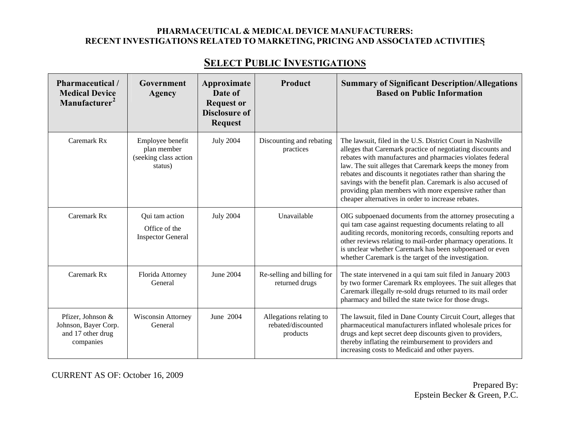# **SELECT PUBLIC INVESTIGATIONS**

| Pharmaceutical /<br><b>Medical Device</b><br>Manufacturer <sup>2</sup>      | Government<br>Agency                                                | Approximate<br>Date of<br><b>Request or</b><br><b>Disclosure of</b><br><b>Request</b> | Product                                                   | <b>Summary of Significant Description/Allegations</b><br><b>Based on Public Information</b>                                                                                                                                                                                                                                                                                                                                                                                                     |
|-----------------------------------------------------------------------------|---------------------------------------------------------------------|---------------------------------------------------------------------------------------|-----------------------------------------------------------|-------------------------------------------------------------------------------------------------------------------------------------------------------------------------------------------------------------------------------------------------------------------------------------------------------------------------------------------------------------------------------------------------------------------------------------------------------------------------------------------------|
| Caremark Rx                                                                 | Employee benefit<br>plan member<br>(seeking class action<br>status) | <b>July 2004</b>                                                                      | Discounting and rebating<br>practices                     | The lawsuit, filed in the U.S. District Court in Nashville<br>alleges that Caremark practice of negotiating discounts and<br>rebates with manufactures and pharmacies violates federal<br>law. The suit alleges that Caremark keeps the money from<br>rebates and discounts it negotiates rather than sharing the<br>savings with the benefit plan. Caremark is also accused of<br>providing plan members with more expensive rather than<br>cheaper alternatives in order to increase rebates. |
| Caremark Rx                                                                 | Qui tam action<br>Office of the<br><b>Inspector General</b>         | <b>July 2004</b>                                                                      | Unavailable                                               | OIG subpoenaed documents from the attorney prosecuting a<br>qui tam case against requesting documents relating to all<br>auditing records, monitoring records, consulting reports and<br>other reviews relating to mail-order pharmacy operations. It<br>is unclear whether Caremark has been subpoenaed or even<br>whether Caremark is the target of the investigation.                                                                                                                        |
| Caremark Rx                                                                 | Florida Attorney<br>General                                         | June 2004                                                                             | Re-selling and billing for<br>returned drugs              | The state intervened in a qui tam suit filed in January 2003<br>by two former Caremark Rx employees. The suit alleges that<br>Caremark illegally re-sold drugs returned to its mail order<br>pharmacy and billed the state twice for those drugs.                                                                                                                                                                                                                                               |
| Pfizer, Johnson &<br>Johnson, Bayer Corp.<br>and 17 other drug<br>companies | <b>Wisconsin Attorney</b><br>General                                | June 2004                                                                             | Allegations relating to<br>rebated/discounted<br>products | The lawsuit, filed in Dane County Circuit Court, alleges that<br>pharmaceutical manufacturers inflated wholesale prices for<br>drugs and kept secret deep discounts given to providers,<br>thereby inflating the reimbursement to providers and<br>increasing costs to Medicaid and other payers.                                                                                                                                                                                               |

CURRENT AS OF: October 16, 2009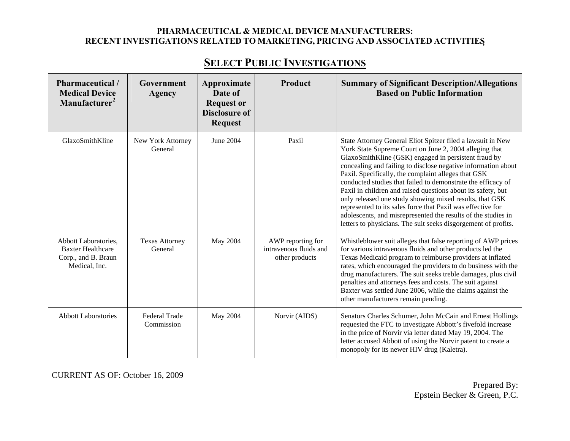| Pharmaceutical /<br><b>Medical Device</b><br>Manufacturer <sup>2</sup>                   | Government<br>Agency             | Approximate<br>Date of<br><b>Request or</b><br><b>Disclosure of</b><br><b>Request</b> | Product                                                       | <b>Summary of Significant Description/Allegations</b><br><b>Based on Public Information</b>                                                                                                                                                                                                                                                                                                                                                                                                                                                                                                                                                                                                        |
|------------------------------------------------------------------------------------------|----------------------------------|---------------------------------------------------------------------------------------|---------------------------------------------------------------|----------------------------------------------------------------------------------------------------------------------------------------------------------------------------------------------------------------------------------------------------------------------------------------------------------------------------------------------------------------------------------------------------------------------------------------------------------------------------------------------------------------------------------------------------------------------------------------------------------------------------------------------------------------------------------------------------|
| GlaxoSmithKline                                                                          | New York Attorney<br>General     | June 2004                                                                             | Paxil                                                         | State Attorney General Eliot Spitzer filed a lawsuit in New<br>York State Supreme Court on June 2, 2004 alleging that<br>GlaxoSmithKline (GSK) engaged in persistent fraud by<br>concealing and failing to disclose negative information about<br>Paxil. Specifically, the complaint alleges that GSK<br>conducted studies that failed to demonstrate the efficacy of<br>Paxil in children and raised questions about its safety, but<br>only released one study showing mixed results, that GSK<br>represented to its sales force that Paxil was effective for<br>adolescents, and misrepresented the results of the studies in<br>letters to physicians. The suit seeks disgorgement of profits. |
| Abbott Laboratories,<br><b>Baxter Healthcare</b><br>Corp., and B. Braun<br>Medical, Inc. | <b>Texas Attorney</b><br>General | May 2004                                                                              | AWP reporting for<br>intravenous fluids and<br>other products | Whistleblower suit alleges that false reporting of AWP prices<br>for various intravenous fluids and other products led the<br>Texas Medicaid program to reimburse providers at inflated<br>rates, which encouraged the providers to do business with the<br>drug manufacturers. The suit seeks treble damages, plus civil<br>penalties and attorneys fees and costs. The suit against<br>Baxter was settled June 2006, while the claims against the<br>other manufacturers remain pending.                                                                                                                                                                                                         |
| <b>Abbott Laboratories</b>                                                               | Federal Trade<br>Commission      | May 2004                                                                              | Norvir (AIDS)                                                 | Senators Charles Schumer, John McCain and Ernest Hollings<br>requested the FTC to investigate Abbott's fivefold increase<br>in the price of Norvir via letter dated May 19, 2004. The<br>letter accused Abbott of using the Norvir patent to create a<br>monopoly for its newer HIV drug (Kaletra).                                                                                                                                                                                                                                                                                                                                                                                                |

CURRENT AS OF: October 16, 2009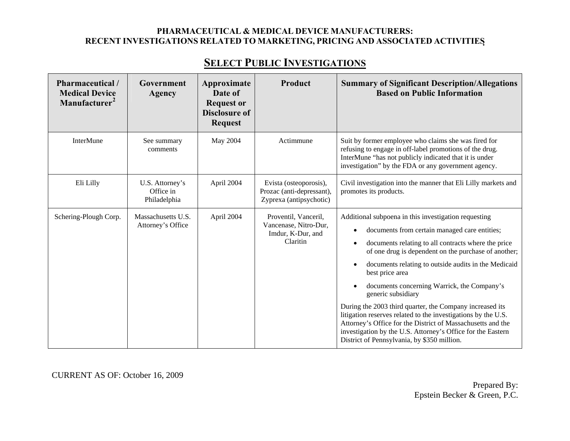# **SELECT PUBLIC INVESTIGATIONS**

| Pharmaceutical /<br><b>Medical Device</b><br>Manufacturer <sup>2</sup> | Government<br>Agency                         | Approximate<br>Date of<br><b>Request or</b> | <b>Product</b>                                                                 | <b>Summary of Significant Description/Allegations</b><br><b>Based on Public Information</b>                                                                                                                                                                                                                                                                                                                                                                                                                                                                                                                                                                                                                           |
|------------------------------------------------------------------------|----------------------------------------------|---------------------------------------------|--------------------------------------------------------------------------------|-----------------------------------------------------------------------------------------------------------------------------------------------------------------------------------------------------------------------------------------------------------------------------------------------------------------------------------------------------------------------------------------------------------------------------------------------------------------------------------------------------------------------------------------------------------------------------------------------------------------------------------------------------------------------------------------------------------------------|
|                                                                        |                                              | <b>Disclosure of</b><br><b>Request</b>      |                                                                                |                                                                                                                                                                                                                                                                                                                                                                                                                                                                                                                                                                                                                                                                                                                       |
| <b>InterMune</b>                                                       | See summary<br>comments                      | May 2004                                    | Actimmune                                                                      | Suit by former employee who claims she was fired for<br>refusing to engage in off-label promotions of the drug.<br>InterMune "has not publicly indicated that it is under<br>investigation" by the FDA or any government agency.                                                                                                                                                                                                                                                                                                                                                                                                                                                                                      |
| Eli Lilly                                                              | U.S. Attorney's<br>Office in<br>Philadelphia | April 2004                                  | Evista (osteoporosis),<br>Prozac (anti-depressant),<br>Zyprexa (antipsychotic) | Civil investigation into the manner that Eli Lilly markets and<br>promotes its products.                                                                                                                                                                                                                                                                                                                                                                                                                                                                                                                                                                                                                              |
| Schering-Plough Corp.                                                  | Massachusetts U.S.<br>Attorney's Office      | April 2004                                  | Proventil, Vanceril,<br>Vancenase, Nitro-Dur,<br>Imdur, K-Dur, and<br>Claritin | Additional subpoena in this investigation requesting<br>documents from certain managed care entities;<br>$\bullet$<br>documents relating to all contracts where the price<br>$\bullet$<br>of one drug is dependent on the purchase of another;<br>documents relating to outside audits in the Medicaid<br>best price area<br>documents concerning Warrick, the Company's<br>$\bullet$<br>generic subsidiary<br>During the 2003 third quarter, the Company increased its<br>litigation reserves related to the investigations by the U.S.<br>Attorney's Office for the District of Massachusetts and the<br>investigation by the U.S. Attorney's Office for the Eastern<br>District of Pennsylvania, by \$350 million. |

CURRENT AS OF: October 16, 2009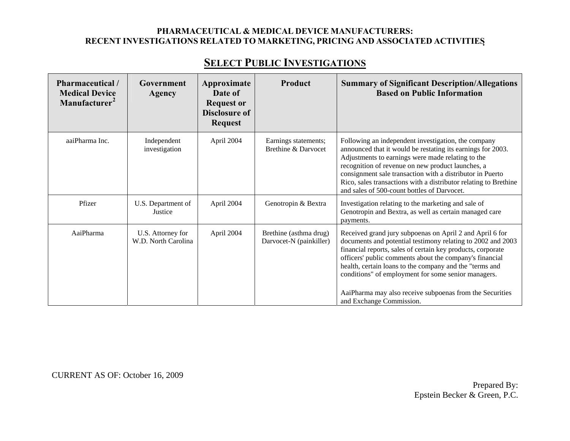# **SELECT PUBLIC INVESTIGATIONS**

| Pharmaceutical /<br><b>Medical Device</b><br>Manufacturer <sup>2</sup> | Government<br>Agency                     | Approximate<br>Date of<br><b>Request or</b><br><b>Disclosure of</b><br><b>Request</b> | Product                                           | <b>Summary of Significant Description/Allegations</b><br><b>Based on Public Information</b>                                                                                                                                                                                                                                                                                                                                                                 |
|------------------------------------------------------------------------|------------------------------------------|---------------------------------------------------------------------------------------|---------------------------------------------------|-------------------------------------------------------------------------------------------------------------------------------------------------------------------------------------------------------------------------------------------------------------------------------------------------------------------------------------------------------------------------------------------------------------------------------------------------------------|
| aaiPharma Inc.                                                         | Independent<br>investigation             | April 2004                                                                            | Earnings statements;<br>Brethine & Darvocet       | Following an independent investigation, the company<br>announced that it would be restating its earnings for 2003.<br>Adjustments to earnings were made relating to the<br>recognition of revenue on new product launches, a<br>consignment sale transaction with a distributor in Puerto<br>Rico, sales transactions with a distributor relating to Brethine<br>and sales of 500-count bottles of Darvocet.                                                |
| Pfizer                                                                 | U.S. Department of<br>Justice            | April 2004                                                                            | Genotropin & Bextra                               | Investigation relating to the marketing and sale of<br>Genotropin and Bextra, as well as certain managed care<br>payments.                                                                                                                                                                                                                                                                                                                                  |
| AaiPharma                                                              | U.S. Attorney for<br>W.D. North Carolina | April 2004                                                                            | Brethine (asthma drug)<br>Darvocet-N (painkiller) | Received grand jury subpoenas on April 2 and April 6 for<br>documents and potential testimony relating to 2002 and 2003<br>financial reports, sales of certain key products, corporate<br>officers' public comments about the company's financial<br>health, certain loans to the company and the "terms and<br>conditions" of employment for some senior managers.<br>AaiPharma may also receive subpoenas from the Securities<br>and Exchange Commission. |

CURRENT AS OF: October 16, 2009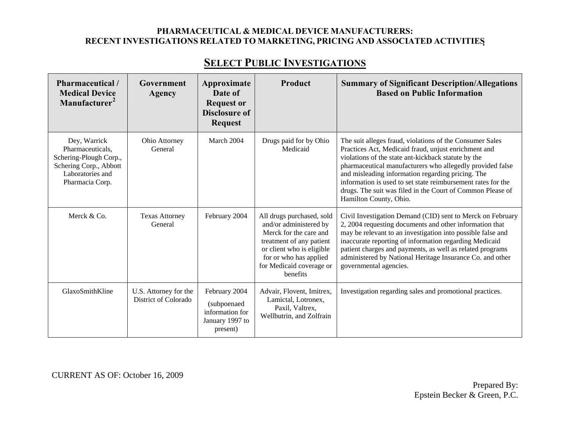### **SELECT PUBLIC INVESTIGATIONS**

| Pharmaceutical /<br><b>Medical Device</b><br>Manufacturer <sup>2</sup>                                      | Government<br>Agency                          | Approximate<br>Date of<br><b>Request or</b><br><b>Disclosure of</b>            | Product                                                                                                                                                                                                  | <b>Summary of Significant Description/Allegations</b><br><b>Based on Public Information</b>                                                                                                                                                                                                                                                                                                        |
|-------------------------------------------------------------------------------------------------------------|-----------------------------------------------|--------------------------------------------------------------------------------|----------------------------------------------------------------------------------------------------------------------------------------------------------------------------------------------------------|----------------------------------------------------------------------------------------------------------------------------------------------------------------------------------------------------------------------------------------------------------------------------------------------------------------------------------------------------------------------------------------------------|
| Dey, Warrick                                                                                                | Ohio Attorney                                 | <b>Request</b><br>March 2004                                                   | Drugs paid for by Ohio                                                                                                                                                                                   | The suit alleges fraud, violations of the Consumer Sales                                                                                                                                                                                                                                                                                                                                           |
| Pharmaceuticals,<br>Schering-Plough Corp.,<br>Schering Corp., Abbott<br>Laboratories and<br>Pharmacia Corp. | General                                       |                                                                                | Medicaid                                                                                                                                                                                                 | Practices Act, Medicaid fraud, unjust enrichment and<br>violations of the state ant-kickback statute by the<br>pharmaceutical manufacturers who allegedly provided false<br>and misleading information regarding pricing. The<br>information is used to set state reimbursement rates for the<br>drugs. The suit was filed in the Court of Common Please of<br>Hamilton County, Ohio.              |
| Merck & Co.                                                                                                 | <b>Texas Attorney</b><br>General              | February 2004                                                                  | All drugs purchased, sold<br>and/or administered by<br>Merck for the care and<br>treatment of any patient<br>or client who is eligible<br>for or who has applied<br>for Medicaid coverage or<br>benefits | Civil Investigation Demand (CID) sent to Merck on February<br>2, 2004 requesting documents and other information that<br>may be relevant to an investigation into possible false and<br>inaccurate reporting of information regarding Medicaid<br>patient charges and payments, as well as related programs<br>administered by National Heritage Insurance Co. and other<br>governmental agencies. |
| GlaxoSmithKline                                                                                             | U.S. Attorney for the<br>District of Colorado | February 2004<br>(subpoenaed<br>information for<br>January 1997 to<br>present) | Advair, Flovent, Imitrex,<br>Lamictal, Lotronex,<br>Paxil, Valtrex,<br>Wellbutrin, and Zolfrain                                                                                                          | Investigation regarding sales and promotional practices.                                                                                                                                                                                                                                                                                                                                           |

CURRENT AS OF: October 16, 2009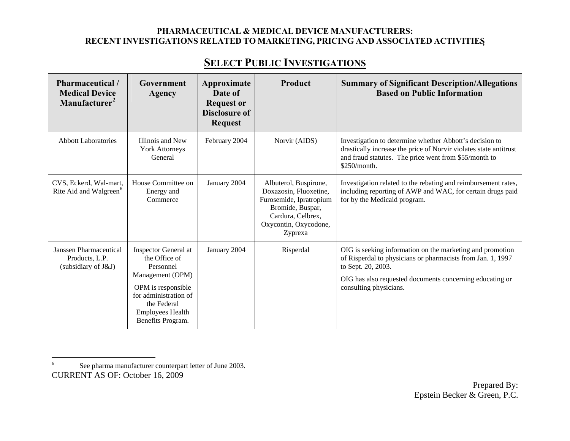# **SELECT PUBLIC INVESTIGATIONS**

| Pharmaceutical/<br><b>Medical Device</b><br>Manufacturer <sup>2</sup> | Government<br>Agency                                                                                                                                                                 | Approximate<br>Date of<br><b>Request or</b><br><b>Disclosure of</b><br><b>Request</b> | Product                                                                                                                                                 | <b>Summary of Significant Description/Allegations</b><br><b>Based on Public Information</b>                                                                                                                                          |
|-----------------------------------------------------------------------|--------------------------------------------------------------------------------------------------------------------------------------------------------------------------------------|---------------------------------------------------------------------------------------|---------------------------------------------------------------------------------------------------------------------------------------------------------|--------------------------------------------------------------------------------------------------------------------------------------------------------------------------------------------------------------------------------------|
| <b>Abbott Laboratories</b>                                            | Illinois and New<br><b>York Attorneys</b><br>General                                                                                                                                 | February 2004                                                                         | Norvir (AIDS)                                                                                                                                           | Investigation to determine whether Abbott's decision to<br>drastically increase the price of Norvir violates state antitrust<br>and fraud statutes. The price went from \$55/month to<br>\$250/month.                                |
| CVS, Eckerd, Wal-mart,<br>Rite Aid and Walgreen <sup>6</sup>          | House Committee on<br>Energy and<br>Commerce                                                                                                                                         | January 2004                                                                          | Albuterol, Buspirone,<br>Doxazosin, Fluoxetine,<br>Furosemide, Ipratropium<br>Bromide, Buspar,<br>Cardura, Celbrex,<br>Oxycontin, Oxycodone,<br>Zyprexa | Investigation related to the rebating and reimbursement rates,<br>including reporting of AWP and WAC, for certain drugs paid<br>for by the Medicaid program.                                                                         |
| Janssen Pharmaceutical<br>Products, L.P.<br>(subsidiary of J&J)       | Inspector General at<br>the Office of<br>Personnel<br>Management (OPM)<br>OPM is responsible<br>for administration of<br>the Federal<br><b>Employees Health</b><br>Benefits Program. | January 2004                                                                          | Risperdal                                                                                                                                               | OIG is seeking information on the marketing and promotion<br>of Risperdal to physicians or pharmacists from Jan. 1, 1997<br>to Sept. 20, 2003.<br>OIG has also requested documents concerning educating or<br>consulting physicians. |

<span id="page-80-0"></span>CURRENT AS OF: October 16, 2009 6 See pharma manufacturer counterpart letter of June 2003.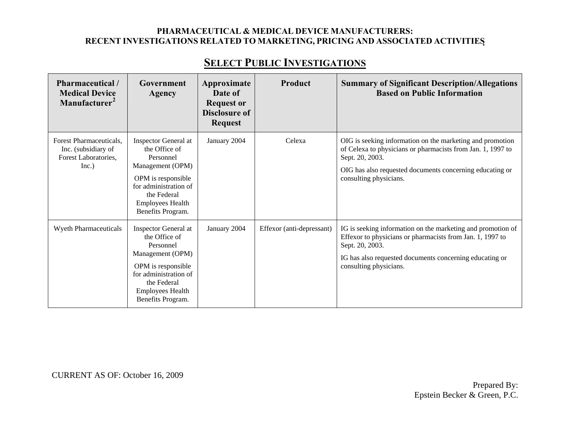| Pharmaceutical /<br><b>Medical Device</b><br>Manufacturer <sup>2</sup>          | Government<br>Agency                                                                                                                                                                 | Approximate<br>Date of<br><b>Request or</b><br><b>Disclosure of</b><br><b>Request</b> | Product                   | <b>Summary of Significant Description/Allegations</b><br><b>Based on Public Information</b>                                                                                                                                       |
|---------------------------------------------------------------------------------|--------------------------------------------------------------------------------------------------------------------------------------------------------------------------------------|---------------------------------------------------------------------------------------|---------------------------|-----------------------------------------------------------------------------------------------------------------------------------------------------------------------------------------------------------------------------------|
| Forest Pharmaceuticals,<br>Inc. (subsidiary of<br>Forest Laboratories,<br>Inc.) | Inspector General at<br>the Office of<br>Personnel<br>Management (OPM)<br>OPM is responsible<br>for administration of<br>the Federal<br><b>Employees Health</b><br>Benefits Program. | January 2004                                                                          | Celexa                    | OIG is seeking information on the marketing and promotion<br>of Celexa to physicians or pharmacists from Jan. 1, 1997 to<br>Sept. 20, 2003.<br>OIG has also requested documents concerning educating or<br>consulting physicians. |
| <b>Wyeth Pharmaceuticals</b>                                                    | Inspector General at<br>the Office of<br>Personnel<br>Management (OPM)<br>OPM is responsible<br>for administration of<br>the Federal<br><b>Employees Health</b><br>Benefits Program. | January 2004                                                                          | Effexor (anti-depressant) | IG is seeking information on the marketing and promotion of<br>Effexor to physicians or pharmacists from Jan. 1, 1997 to<br>Sept. 20, 2003.<br>IG has also requested documents concerning educating or<br>consulting physicians.  |

CURRENT AS OF: October 16, 2009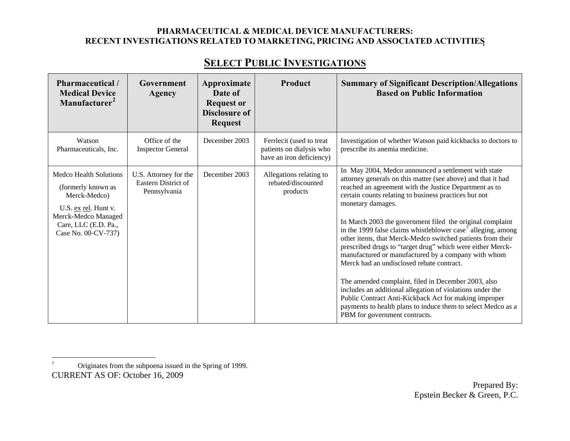| Pharmaceutical /<br><b>Medical Device</b><br>Manufacturer <sup>2</sup>                                                                                            | Government<br><b>Agency</b>                                  | Approximate<br>Date of<br><b>Request or</b><br><b>Disclosure of</b><br><b>Request</b> | Product                                                                          | <b>Summary of Significant Description/Allegations</b><br><b>Based on Public Information</b>                                                                                                                                                                                                                                                                                                                                                                                                                                                                                                                                                                                                                                                                                                                                                                                                                         |
|-------------------------------------------------------------------------------------------------------------------------------------------------------------------|--------------------------------------------------------------|---------------------------------------------------------------------------------------|----------------------------------------------------------------------------------|---------------------------------------------------------------------------------------------------------------------------------------------------------------------------------------------------------------------------------------------------------------------------------------------------------------------------------------------------------------------------------------------------------------------------------------------------------------------------------------------------------------------------------------------------------------------------------------------------------------------------------------------------------------------------------------------------------------------------------------------------------------------------------------------------------------------------------------------------------------------------------------------------------------------|
| Watson<br>Pharmaceuticals, Inc.                                                                                                                                   | Office of the<br><b>Inspector General</b>                    | December 2003                                                                         | Ferrlecit (used to treat<br>patients on dialysis who<br>have an iron deficiency) | Investigation of whether Watson paid kickbacks to doctors to<br>prescribe its anemia medicine.                                                                                                                                                                                                                                                                                                                                                                                                                                                                                                                                                                                                                                                                                                                                                                                                                      |
| <b>Medco Health Solutions</b><br>(formerly known as<br>Merck-Medco)<br>U.S. ex rel. Hunt v.<br>Merck-Medco Managed<br>Care, LLC (E.D. Pa.,<br>Case No. 00-CV-737) | U.S. Attorney for the<br>Eastern District of<br>Pennsylvania | December 2003                                                                         | Allegations relating to<br>rebated/discounted<br>products                        | In May 2004, Medco announced a settlement with state<br>attorney generals on this matter (see above) and that it had<br>reached an agreement with the Justice Department as to<br>certain counts relating to business practices but not<br>monetary damages.<br>In March 2003 the government filed the original complaint<br>in the 1999 false claims whistleblower case <sup>7</sup> alleging, among<br>other items, that Merck-Medco switched patients from their<br>prescribed drugs to "target drug" which were either Merck-<br>manufactured or manufactured by a company with whom<br>Merck had an undisclosed rebate contract.<br>The amended complaint, filed in December 2003, also<br>includes an additional allegation of violations under the<br>Public Contract Anti-Kickback Act for making improper<br>payments to health plans to induce them to select Medco as a<br>PBM for government contracts. |

<span id="page-82-0"></span>CURRENT AS OF: October 16, 2009 7 Originates from the subpoena issued in the Spring of 1999.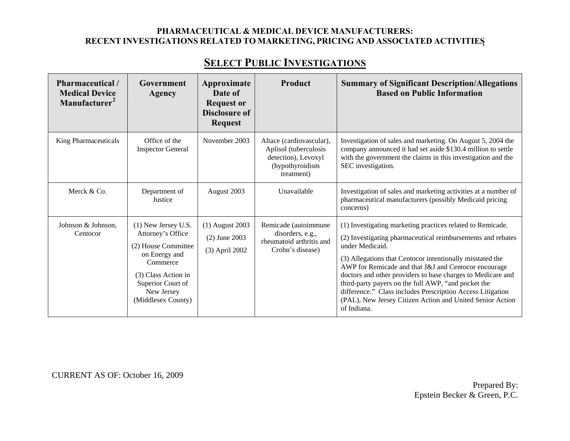### **SELECT PUBLIC INVESTIGATIONS**

| <b>Pharmaceutical</b> /<br><b>Medical Device</b><br>Manufacturer <sup>2</sup> | Government<br>Agency                                                                                                                                                         | Approximate<br>Date of<br><b>Request or</b><br><b>Disclosure of</b><br><b>Request</b> | Product                                                                                                   | <b>Summary of Significant Description/Allegations</b><br><b>Based on Public Information</b>                                                                                                                                                                                                                                                                                                                                                                                                                                       |
|-------------------------------------------------------------------------------|------------------------------------------------------------------------------------------------------------------------------------------------------------------------------|---------------------------------------------------------------------------------------|-----------------------------------------------------------------------------------------------------------|-----------------------------------------------------------------------------------------------------------------------------------------------------------------------------------------------------------------------------------------------------------------------------------------------------------------------------------------------------------------------------------------------------------------------------------------------------------------------------------------------------------------------------------|
| King Pharmaceuticals                                                          | Office of the<br><b>Inspector General</b>                                                                                                                                    | November 2003                                                                         | Altace (cardiovascular),<br>Aplisol (tuberculosis<br>detection), Levoxyl<br>(hypothyroidism<br>treatment) | Investigation of sales and marketing. On August 5, 2004 the<br>company announced it had set aside \$130.4 million to settle<br>with the government the claims in this investigation and the<br>SEC investigation.                                                                                                                                                                                                                                                                                                                 |
| Merck & Co.                                                                   | Department of<br>Justice                                                                                                                                                     | August 2003                                                                           | Unavailable                                                                                               | Investigation of sales and marketing activities at a number of<br>pharmaceutical manufacturers (possibly Medicaid pricing<br>concerns)                                                                                                                                                                                                                                                                                                                                                                                            |
| Johnson & Johnson,<br>Centocor                                                | (1) New Jersey U.S.<br>Attorney's Office<br>(2) House Committee<br>on Energy and<br>Commerce<br>(3) Class Action in<br>Superior Court of<br>New Jersey<br>(Middlesex County) | (1) August 2003<br>$(2)$ June 2003<br>(3) April 2002                                  | Remicade (autoimmune<br>disorders, e.g.,<br>rheumatoid arthritis and<br>Crohn's disease)                  | (1) Investigating marketing practices related to Remicade.<br>(2) Investigating pharmaceutical reimbursements and rebates<br>under Medicaid.<br>(3) Allegations that Centocor intentionally misstated the<br>AWP for Remicade and that J&J and Centocor encourage<br>doctors and other providers to base charges to Medicare and<br>third-party payers on the full AWP, "and pocket the<br>difference." Class includes Prescription Access Litigation<br>(PAL), New Jersey Citizen Action and United Senior Action<br>of Indiana. |

CURRENT AS OF: October 16, 2009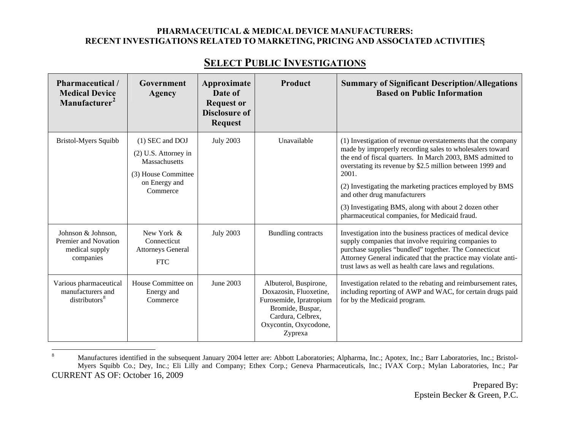| Pharmaceutical /<br><b>Medical Device</b><br>Manufacturer <sup>2</sup>    | Government<br><b>Agency</b>                                                                                  | Approximate<br>Date of<br><b>Request or</b> | Product                                                                                                                                                 | <b>Summary of Significant Description/Allegations</b><br><b>Based on Public Information</b>                                                                                                                                                                                                                                                                                                                                                                         |
|---------------------------------------------------------------------------|--------------------------------------------------------------------------------------------------------------|---------------------------------------------|---------------------------------------------------------------------------------------------------------------------------------------------------------|---------------------------------------------------------------------------------------------------------------------------------------------------------------------------------------------------------------------------------------------------------------------------------------------------------------------------------------------------------------------------------------------------------------------------------------------------------------------|
|                                                                           |                                                                                                              | <b>Disclosure of</b><br><b>Request</b>      |                                                                                                                                                         |                                                                                                                                                                                                                                                                                                                                                                                                                                                                     |
| <b>Bristol-Myers Squibb</b>                                               | (1) SEC and DOJ<br>(2) U.S. Attorney in<br>Massachusetts<br>(3) House Committee<br>on Energy and<br>Commerce | <b>July 2003</b>                            | Unavailable                                                                                                                                             | (1) Investigation of revenue overstatements that the company<br>made by improperly recording sales to wholesalers toward<br>the end of fiscal quarters. In March 2003, BMS admitted to<br>overstating its revenue by \$2.5 million between 1999 and<br>2001.<br>(2) Investigating the marketing practices employed by BMS<br>and other drug manufacturers<br>(3) Investigating BMS, along with about 2 dozen other<br>pharmaceutical companies, for Medicaid fraud. |
| Johnson & Johnson,<br>Premier and Novation<br>medical supply<br>companies | New York &<br>Connecticut<br><b>Attorneys General</b><br><b>FTC</b>                                          | <b>July 2003</b>                            | <b>Bundling contracts</b>                                                                                                                               | Investigation into the business practices of medical device<br>supply companies that involve requiring companies to<br>purchase supplies "bundled" together. The Connecticut<br>Attorney General indicated that the practice may violate anti-<br>trust laws as well as health care laws and regulations.                                                                                                                                                           |
| Various pharmaceutical<br>manufacturers and<br>distributors <sup>8</sup>  | House Committee on<br>Energy and<br>Commerce                                                                 | June 2003                                   | Albuterol, Buspirone,<br>Doxazosin, Fluoxetine,<br>Furosemide, Ipratropium<br>Bromide, Buspar,<br>Cardura, Celbrex,<br>Oxycontin, Oxycodone,<br>Zyprexa | Investigation related to the rebating and reimbursement rates,<br>including reporting of AWP and WAC, for certain drugs paid<br>for by the Medicaid program.                                                                                                                                                                                                                                                                                                        |

<span id="page-84-0"></span>CURRENT AS OF: October 16, 2009 <sup>8</sup> Manufactures identified in the subsequent January 2004 letter are: Abbott Laboratories; Alpharma, Inc.; Apotex, Inc.; Barr Laboratories, Inc.; Bristol-Myers Squibb Co.; Dey, Inc.; Eli Lilly and Company; Ethex Corp.; Geneva Pharmaceuticals, Inc.; IVAX Corp.; Mylan Laboratories, Inc.; Par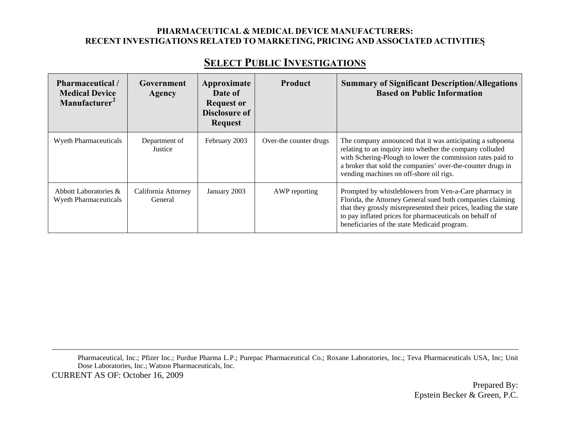### **SELECT PUBLIC INVESTIGATIONS**

| Pharmaceutical /<br><b>Medical Device</b><br>Manufacturer <sup>2</sup> | Government<br>Agency           | Approximate<br>Date of<br><b>Request or</b><br><b>Disclosure of</b><br><b>Request</b> | <b>Product</b>         | <b>Summary of Significant Description/Allegations</b><br><b>Based on Public Information</b>                                                                                                                                                                                                         |
|------------------------------------------------------------------------|--------------------------------|---------------------------------------------------------------------------------------|------------------------|-----------------------------------------------------------------------------------------------------------------------------------------------------------------------------------------------------------------------------------------------------------------------------------------------------|
| Wyeth Pharmaceuticals                                                  | Department of<br>Justice       | February 2003                                                                         | Over-the counter drugs | The company announced that it was anticipating a subpoena<br>relating to an inquiry into whether the company colluded<br>with Schering-Plough to lower the commission rates paid to<br>a broker that sold the companies' over-the-counter drugs in<br>vending machines on off-shore oil rigs.       |
| Abbott Laboratories &<br><b>Wyeth Pharmaceuticals</b>                  | California Attorney<br>General | January 2003                                                                          | AWP reporting          | Prompted by whistleblowers from Ven-a-Care pharmacy in<br>Florida, the Attorney General sued both companies claiming<br>that they grossly misrepresented their prices, leading the state<br>to pay inflated prices for pharmaceuticals on behalf of<br>beneficiaries of the state Medicaid program. |

CURRENT AS OF: October 16, 2009 Pharmaceutical, Inc.; Pfizer Inc.; Purdue Pharma L.P.; Purepac Pharmaceutical Co.; Roxane Laboratories, Inc.; Teva Pharmaceuticals USA, Inc; Unit Dose Laboratories, Inc.; Watson Pharmaceuticals, Inc.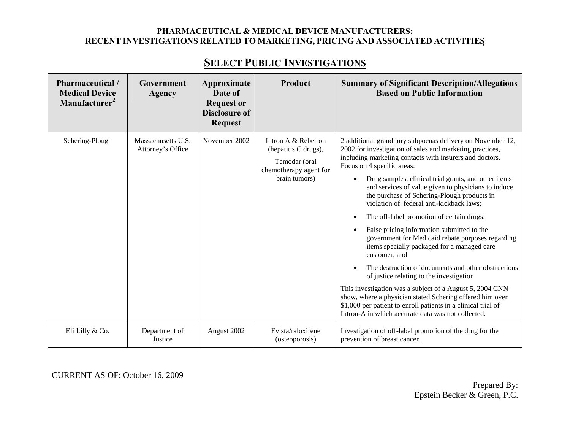| <b>Pharmaceutical</b> /<br><b>Medical Device</b><br>Manufacturer <sup>2</sup> | Government<br>Agency                    | Approximate<br>Date of<br><b>Request or</b><br><b>Disclosure of</b><br><b>Request</b> | Product                                                                                                 | <b>Summary of Significant Description/Allegations</b><br><b>Based on Public Information</b>                                                                                                                                                                                                                                                                                                                                                                                                                                                                                                                                                                                                                                                                                                                                                                                                                                                                                                              |
|-------------------------------------------------------------------------------|-----------------------------------------|---------------------------------------------------------------------------------------|---------------------------------------------------------------------------------------------------------|----------------------------------------------------------------------------------------------------------------------------------------------------------------------------------------------------------------------------------------------------------------------------------------------------------------------------------------------------------------------------------------------------------------------------------------------------------------------------------------------------------------------------------------------------------------------------------------------------------------------------------------------------------------------------------------------------------------------------------------------------------------------------------------------------------------------------------------------------------------------------------------------------------------------------------------------------------------------------------------------------------|
| Schering-Plough                                                               | Massachusetts U.S.<br>Attorney's Office | November 2002                                                                         | Intron A & Rebetron<br>(hepatitis C drugs),<br>Temodar (oral<br>chemotherapy agent for<br>brain tumors) | 2 additional grand jury subpoenas delivery on November 12,<br>2002 for investigation of sales and marketing practices,<br>including marketing contacts with insurers and doctors.<br>Focus on 4 specific areas:<br>Drug samples, clinical trial grants, and other items<br>$\bullet$<br>and services of value given to physicians to induce<br>the purchase of Schering-Plough products in<br>violation of federal anti-kickback laws;<br>The off-label promotion of certain drugs;<br>False pricing information submitted to the<br>government for Medicaid rebate purposes regarding<br>items specially packaged for a managed care<br>customer: and<br>The destruction of documents and other obstructions<br>of justice relating to the investigation<br>This investigation was a subject of a August 5, 2004 CNN<br>show, where a physician stated Schering offered him over<br>\$1,000 per patient to enroll patients in a clinical trial of<br>Intron-A in which accurate data was not collected. |
| Eli Lilly & Co.                                                               | Department of<br>Justice                | August 2002                                                                           | Evista/raloxifene<br>(osteoporosis)                                                                     | Investigation of off-label promotion of the drug for the<br>prevention of breast cancer.                                                                                                                                                                                                                                                                                                                                                                                                                                                                                                                                                                                                                                                                                                                                                                                                                                                                                                                 |

# **SELECT PUBLIC INVESTIGATIONS**

CURRENT AS OF: October 16, 2009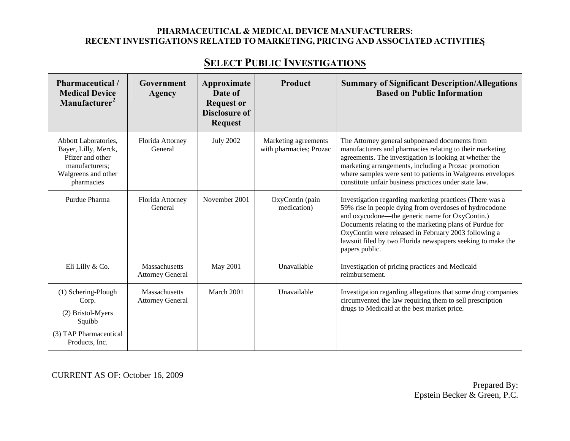# **SELECT PUBLIC INVESTIGATIONS**

| Pharmaceutical /<br><b>Medical Device</b><br>Manufacturer <sup>2</sup>                                                  | Government<br>Agency                            | Approximate<br>Date of<br><b>Request or</b><br><b>Disclosure of</b><br><b>Request</b> | Product                                         | <b>Summary of Significant Description/Allegations</b><br><b>Based on Public Information</b>                                                                                                                                                                                                                                                                              |
|-------------------------------------------------------------------------------------------------------------------------|-------------------------------------------------|---------------------------------------------------------------------------------------|-------------------------------------------------|--------------------------------------------------------------------------------------------------------------------------------------------------------------------------------------------------------------------------------------------------------------------------------------------------------------------------------------------------------------------------|
| Abbott Laboratories.<br>Bayer, Lilly, Merck,<br>Pfizer and other<br>manufacturers:<br>Walgreens and other<br>pharmacies | Florida Attorney<br>General                     | <b>July 2002</b>                                                                      | Marketing agreements<br>with pharmacies; Prozac | The Attorney general subpoenaed documents from<br>manufacturers and pharmacies relating to their marketing<br>agreements. The investigation is looking at whether the<br>marketing arrangements, including a Prozac promotion<br>where samples were sent to patients in Walgreens envelopes<br>constitute unfair business practices under state law.                     |
| Purdue Pharma                                                                                                           | Florida Attorney<br>General                     | November 2001                                                                         | OxyContin (pain<br>medication)                  | Investigation regarding marketing practices (There was a<br>59% rise in people dying from overdoses of hydrocodone<br>and oxycodone—the generic name for OxyContin.)<br>Documents relating to the marketing plans of Purdue for<br>OxyContin were released in February 2003 following a<br>lawsuit filed by two Florida newspapers seeking to make the<br>papers public. |
| Eli Lilly & Co.                                                                                                         | Massachusetts<br><b>Attorney General</b>        | <b>May 2001</b>                                                                       | Unavailable                                     | Investigation of pricing practices and Medicaid<br>reimbursement.                                                                                                                                                                                                                                                                                                        |
| (1) Schering-Plough<br>Corp.<br>(2) Bristol-Myers<br>Squibb<br>(3) TAP Pharmaceutical<br>Products, Inc.                 | <b>Massachusetts</b><br><b>Attorney General</b> | March 2001                                                                            | Unavailable                                     | Investigation regarding allegations that some drug companies<br>circumvented the law requiring them to sell prescription<br>drugs to Medicaid at the best market price.                                                                                                                                                                                                  |

CURRENT AS OF: October 16, 2009